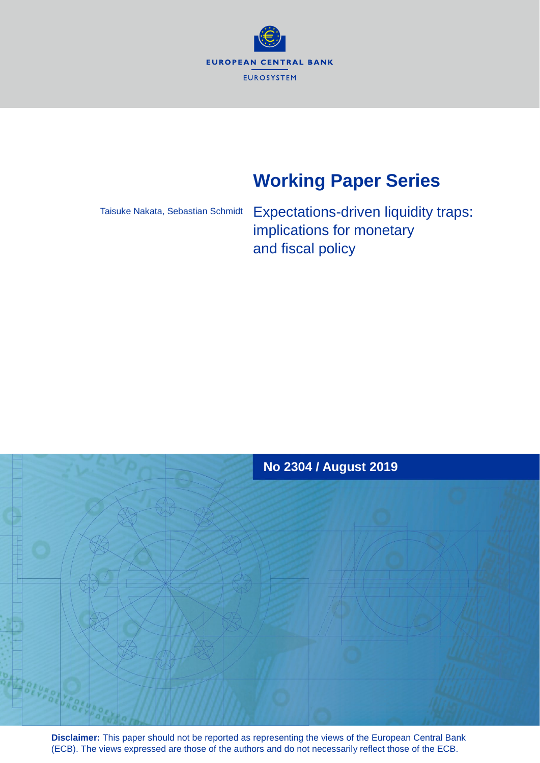

# **Working Paper Series**

Taisuke Nakata, Sebastian Schmidt

Expectations-driven liquidity traps: implications for monetary and fiscal policy



**Disclaimer:** This paper should not be reported as representing the views of the European Central Bank (ECB). The views expressed are those of the authors and do not necessarily reflect those of the ECB.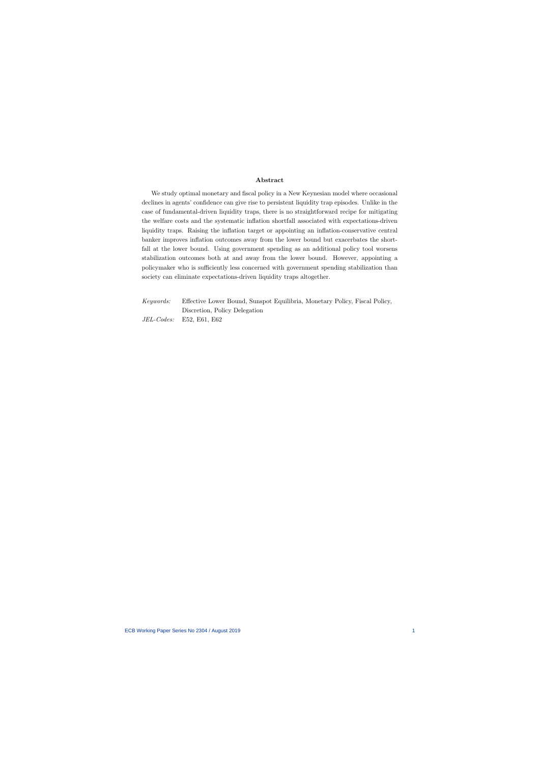#### Abstract

We study optimal monetary and fiscal policy in a New Keynesian model where occasional declines in agents' confidence can give rise to persistent liquidity trap episodes. Unlike in the case of fundamental-driven liquidity traps, there is no straightforward recipe for mitigating the welfare costs and the systematic inflation shortfall associated with expectations-driven liquidity traps. Raising the inflation target or appointing an inflation-conservative central banker improves inflation outcomes away from the lower bound but exacerbates the shortfall at the lower bound. Using government spending as an additional policy tool worsens stabilization outcomes both at and away from the lower bound. However, appointing a policymaker who is sufficiently less concerned with government spending stabilization than society can eliminate expectations-driven liquidity traps altogether.

Keywords: Effective Lower Bound, Sunspot Equilibria, Monetary Policy, Fiscal Policy, Discretion, Policy Delegation JEL-Codes: E52, E61, E62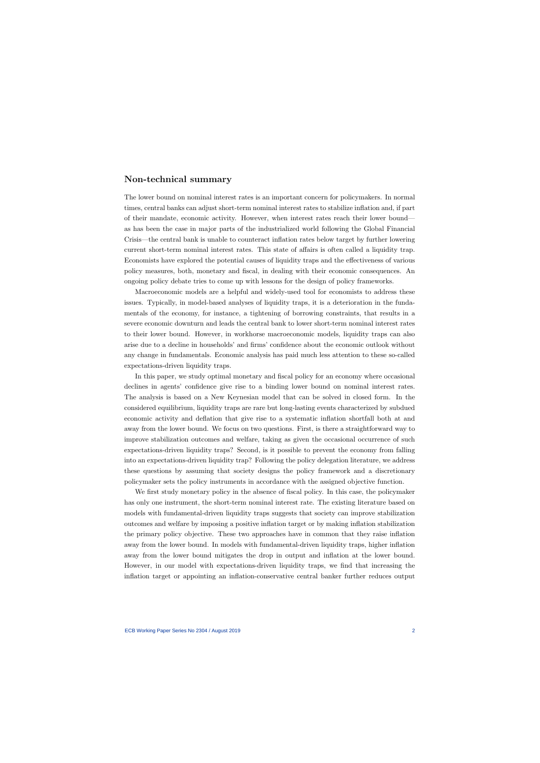## Non-technical summary

The lower bound on nominal interest rates is an important concern for policymakers. In normal times, central banks can adjust short-term nominal interest rates to stabilize inflation and, if part of their mandate, economic activity. However, when interest rates reach their lower bound as has been the case in major parts of the industrialized world following the Global Financial Crisis—the central bank is unable to counteract inflation rates below target by further lowering current short-term nominal interest rates. This state of affairs is often called a liquidity trap. Economists have explored the potential causes of liquidity traps and the effectiveness of various policy measures, both, monetary and fiscal, in dealing with their economic consequences. An ongoing policy debate tries to come up with lessons for the design of policy frameworks.

Macroeconomic models are a helpful and widely-used tool for economists to address these issues. Typically, in model-based analyses of liquidity traps, it is a deterioration in the fundamentals of the economy, for instance, a tightening of borrowing constraints, that results in a severe economic downturn and leads the central bank to lower short-term nominal interest rates to their lower bound. However, in workhorse macroeconomic models, liquidity traps can also arise due to a decline in households' and firms' confidence about the economic outlook without any change in fundamentals. Economic analysis has paid much less attention to these so-called expectations-driven liquidity traps.

In this paper, we study optimal monetary and fiscal policy for an economy where occasional declines in agents' confidence give rise to a binding lower bound on nominal interest rates. The analysis is based on a New Keynesian model that can be solved in closed form. In the considered equilibrium, liquidity traps are rare but long-lasting events characterized by subdued economic activity and deflation that give rise to a systematic inflation shortfall both at and away from the lower bound. We focus on two questions. First, is there a straightforward way to improve stabilization outcomes and welfare, taking as given the occasional occurrence of such expectations-driven liquidity traps? Second, is it possible to prevent the economy from falling into an expectations-driven liquidity trap? Following the policy delegation literature, we address these questions by assuming that society designs the policy framework and a discretionary policymaker sets the policy instruments in accordance with the assigned objective function.

We first study monetary policy in the absence of fiscal policy. In this case, the policymaker has only one instrument, the short-term nominal interest rate. The existing literature based on models with fundamental-driven liquidity traps suggests that society can improve stabilization outcomes and welfare by imposing a positive inflation target or by making inflation stabilization the primary policy objective. These two approaches have in common that they raise inflation away from the lower bound. In models with fundamental-driven liquidity traps, higher inflation away from the lower bound mitigates the drop in output and inflation at the lower bound. However, in our model with expectations-driven liquidity traps, we find that increasing the inflation target or appointing an inflation-conservative central banker further reduces output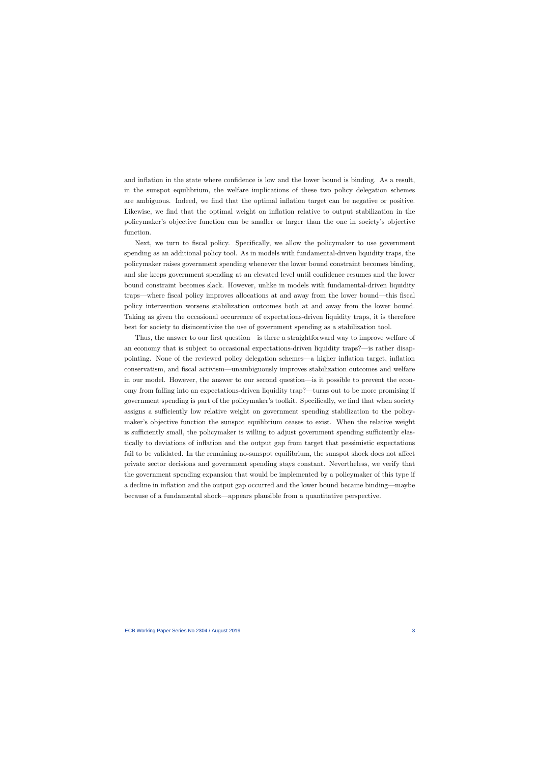and inflation in the state where confidence is low and the lower bound is binding. As a result, in the sunspot equilibrium, the welfare implications of these two policy delegation schemes are ambiguous. Indeed, we find that the optimal inflation target can be negative or positive. Likewise, we find that the optimal weight on inflation relative to output stabilization in the policymaker's objective function can be smaller or larger than the one in society's objective function.

Next, we turn to fiscal policy. Specifically, we allow the policymaker to use government spending as an additional policy tool. As in models with fundamental-driven liquidity traps, the policymaker raises government spending whenever the lower bound constraint becomes binding, and she keeps government spending at an elevated level until confidence resumes and the lower bound constraint becomes slack. However, unlike in models with fundamental-driven liquidity traps—where fiscal policy improves allocations at and away from the lower bound—this fiscal policy intervention worsens stabilization outcomes both at and away from the lower bound. Taking as given the occasional occurrence of expectations-driven liquidity traps, it is therefore best for society to disincentivize the use of government spending as a stabilization tool.

Thus, the answer to our first question—is there a straightforward way to improve welfare of an economy that is subject to occasional expectations-driven liquidity traps?—is rather disappointing. None of the reviewed policy delegation schemes—a higher inflation target, inflation conservatism, and fiscal activism—unambiguously improves stabilization outcomes and welfare in our model. However, the answer to our second question—is it possible to prevent the economy from falling into an expectations-driven liquidity trap?—turns out to be more promising if government spending is part of the policymaker's toolkit. Specifically, we find that when society assigns a sufficiently low relative weight on government spending stabilization to the policymaker's objective function the sunspot equilibrium ceases to exist. When the relative weight is sufficiently small, the policymaker is willing to adjust government spending sufficiently elastically to deviations of inflation and the output gap from target that pessimistic expectations fail to be validated. In the remaining no-sunspot equilibrium, the sunspot shock does not affect private sector decisions and government spending stays constant. Nevertheless, we verify that the government spending expansion that would be implemented by a policymaker of this type if a decline in inflation and the output gap occurred and the lower bound became binding—maybe because of a fundamental shock—appears plausible from a quantitative perspective.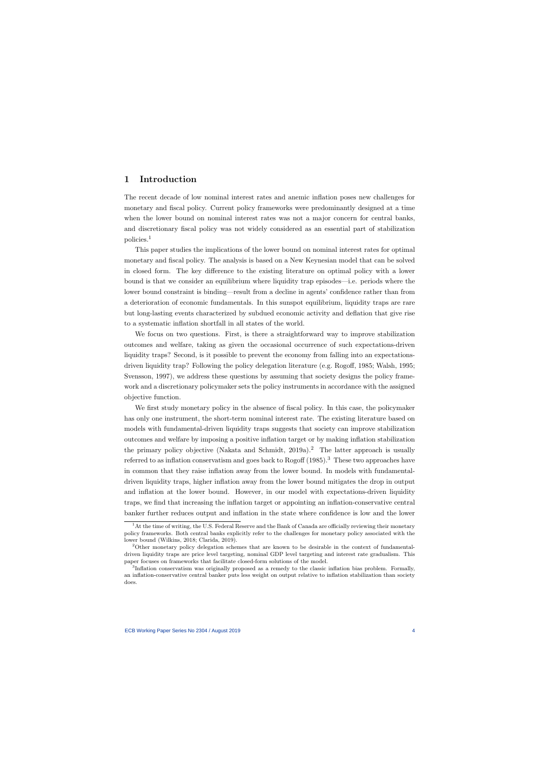# 1 Introduction

The recent decade of low nominal interest rates and anemic inflation poses new challenges for monetary and fiscal policy. Current policy frameworks were predominantly designed at a time when the lower bound on nominal interest rates was not a major concern for central banks, and discretionary fiscal policy was not widely considered as an essential part of stabilization policies.<sup>1</sup>

This paper studies the implications of the lower bound on nominal interest rates for optimal monetary and fiscal policy. The analysis is based on a New Keynesian model that can be solved in closed form. The key difference to the existing literature on optimal policy with a lower bound is that we consider an equilibrium where liquidity trap episodes—i.e. periods where the lower bound constraint is binding—result from a decline in agents' confidence rather than from a deterioration of economic fundamentals. In this sunspot equilibrium, liquidity traps are rare but long-lasting events characterized by subdued economic activity and deflation that give rise to a systematic inflation shortfall in all states of the world.

We focus on two questions. First, is there a straightforward way to improve stabilization outcomes and welfare, taking as given the occasional occurrence of such expectations-driven liquidity traps? Second, is it possible to prevent the economy from falling into an expectationsdriven liquidity trap? Following the policy delegation literature (e.g. Rogoff, 1985; Walsh, 1995; Svensson, 1997), we address these questions by assuming that society designs the policy framework and a discretionary policymaker sets the policy instruments in accordance with the assigned objective function.

We first study monetary policy in the absence of fiscal policy. In this case, the policymaker has only one instrument, the short-term nominal interest rate. The existing literature based on models with fundamental-driven liquidity traps suggests that society can improve stabilization outcomes and welfare by imposing a positive inflation target or by making inflation stabilization the primary policy objective (Nakata and Schmidt,  $2019a$ ).<sup>2</sup> The latter approach is usually referred to as inflation conservatism and goes back to Rogoff  $(1985)$ .<sup>3</sup> These two approaches have in common that they raise inflation away from the lower bound. In models with fundamentaldriven liquidity traps, higher inflation away from the lower bound mitigates the drop in output and inflation at the lower bound. However, in our model with expectations-driven liquidity traps, we find that increasing the inflation target or appointing an inflation-conservative central banker further reduces output and inflation in the state where confidence is low and the lower

<sup>&</sup>lt;sup>1</sup>At the time of writing, the U.S. Federal Reserve and the Bank of Canada are officially reviewing their monetary policy frameworks. Both central banks explicitly refer to the challenges for monetary policy associated with the lower bound (Wilkins, 2018; Clarida, 2019).

<sup>2</sup>Other monetary policy delegation schemes that are known to be desirable in the context of fundamentaldriven liquidity traps are price level targeting, nominal GDP level targeting and interest rate gradualism. This paper focuses on frameworks that facilitate closed-form solutions of the model.

<sup>&</sup>lt;sup>3</sup>Inflation conservatism was originally proposed as a remedy to the classic inflation bias problem. Formally, an inflation-conservative central banker puts less weight on output relative to inflation stabilization than society does.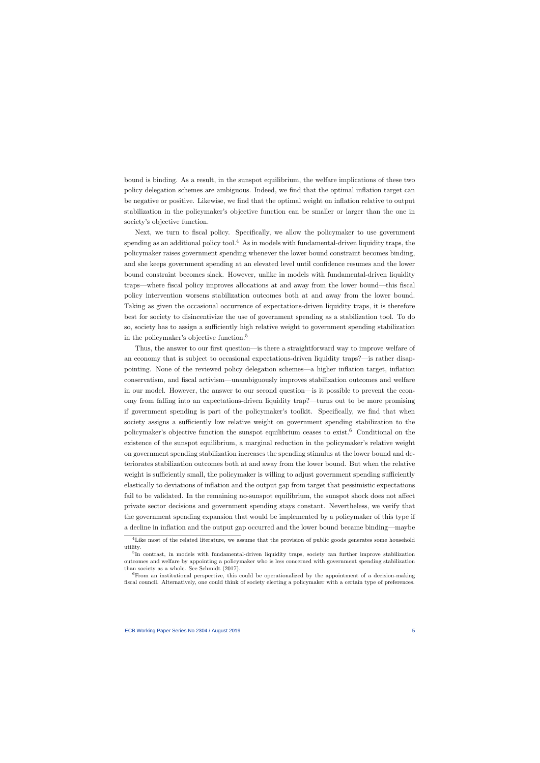bound is binding. As a result, in the sunspot equilibrium, the welfare implications of these two policy delegation schemes are ambiguous. Indeed, we find that the optimal inflation target can be negative or positive. Likewise, we find that the optimal weight on inflation relative to output stabilization in the policymaker's objective function can be smaller or larger than the one in society's objective function.

Next, we turn to fiscal policy. Specifically, we allow the policymaker to use government spending as an additional policy tool.<sup>4</sup> As in models with fundamental-driven liquidity traps, the policymaker raises government spending whenever the lower bound constraint becomes binding, and she keeps government spending at an elevated level until confidence resumes and the lower bound constraint becomes slack. However, unlike in models with fundamental-driven liquidity traps—where fiscal policy improves allocations at and away from the lower bound—this fiscal policy intervention worsens stabilization outcomes both at and away from the lower bound. Taking as given the occasional occurrence of expectations-driven liquidity traps, it is therefore best for society to disincentivize the use of government spending as a stabilization tool. To do so, society has to assign a sufficiently high relative weight to government spending stabilization in the policymaker's objective function.<sup>5</sup>

Thus, the answer to our first question—is there a straightforward way to improve welfare of an economy that is subject to occasional expectations-driven liquidity traps?—is rather disappointing. None of the reviewed policy delegation schemes—a higher inflation target, inflation conservatism, and fiscal activism—unambiguously improves stabilization outcomes and welfare in our model. However, the answer to our second question—is it possible to prevent the economy from falling into an expectations-driven liquidity trap?—turns out to be more promising if government spending is part of the policymaker's toolkit. Specifically, we find that when society assigns a sufficiently low relative weight on government spending stabilization to the policymaker's objective function the sunspot equilibrium ceases to exist.<sup>6</sup> Conditional on the existence of the sunspot equilibrium, a marginal reduction in the policymaker's relative weight on government spending stabilization increases the spending stimulus at the lower bound and deteriorates stabilization outcomes both at and away from the lower bound. But when the relative weight is sufficiently small, the policymaker is willing to adjust government spending sufficiently elastically to deviations of inflation and the output gap from target that pessimistic expectations fail to be validated. In the remaining no-sunspot equilibrium, the sunspot shock does not affect private sector decisions and government spending stays constant. Nevertheless, we verify that the government spending expansion that would be implemented by a policymaker of this type if a decline in inflation and the output gap occurred and the lower bound became binding—maybe

<sup>&</sup>lt;sup>4</sup>Like most of the related literature, we assume that the provision of public goods generates some household utility.

<sup>&</sup>lt;sup>5</sup>In contrast, in models with fundamental-driven liquidity traps, society can further improve stabilization outcomes and welfare by appointing a policymaker who is less concerned with government spending stabilization than society as a whole. See Schmidt (2017).

<sup>&</sup>lt;sup>6</sup>From an institutional perspective, this could be operationalized by the appointment of a decision-making fiscal council. Alternatively, one could think of society electing a policymaker with a certain type of preferences.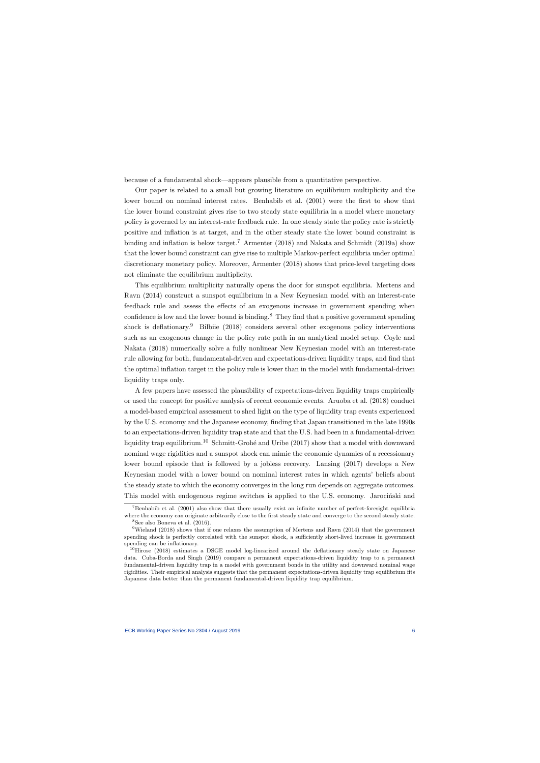because of a fundamental shock—appears plausible from a quantitative perspective.

Our paper is related to a small but growing literature on equilibrium multiplicity and the lower bound on nominal interest rates. Benhabib et al. (2001) were the first to show that the lower bound constraint gives rise to two steady state equilibria in a model where monetary policy is governed by an interest-rate feedback rule. In one steady state the policy rate is strictly positive and inflation is at target, and in the other steady state the lower bound constraint is binding and inflation is below target.<sup>7</sup> Armenter (2018) and Nakata and Schmidt (2019a) show that the lower bound constraint can give rise to multiple Markov-perfect equilibria under optimal discretionary monetary policy. Moreover, Armenter (2018) shows that price-level targeting does not eliminate the equilibrium multiplicity.

This equilibrium multiplicity naturally opens the door for sunspot equilibria. Mertens and Ravn (2014) construct a sunspot equilibrium in a New Keynesian model with an interest-rate feedback rule and assess the effects of an exogenous increase in government spending when confidence is low and the lower bound is binding. $8$  They find that a positive government spending shock is deflationary.<sup>9</sup> Bilbiie (2018) considers several other exogenous policy interventions such as an exogenous change in the policy rate path in an analytical model setup. Coyle and Nakata (2018) numerically solve a fully nonlinear New Keynesian model with an interest-rate rule allowing for both, fundamental-driven and expectations-driven liquidity traps, and find that the optimal inflation target in the policy rule is lower than in the model with fundamental-driven liquidity traps only.

A few papers have assessed the plausibility of expectations-driven liquidity traps empirically or used the concept for positive analysis of recent economic events. Aruoba et al. (2018) conduct a model-based empirical assessment to shed light on the type of liquidity trap events experienced by the U.S. economy and the Japanese economy, finding that Japan transitioned in the late 1990s to an expectations-driven liquidity trap state and that the U.S. had been in a fundamental-driven liquidity trap equilibrium.<sup>10</sup> Schmitt-Grohé and Uribe (2017) show that a model with downward nominal wage rigidities and a sunspot shock can mimic the economic dynamics of a recessionary lower bound episode that is followed by a jobless recovery. Lansing (2017) develops a New Keynesian model with a lower bound on nominal interest rates in which agents' beliefs about the steady state to which the economy converges in the long run depends on aggregate outcomes. This model with endogenous regime switches is applied to the U.S. economy. Jarocinski and

<sup>7</sup>Benhabib et al. (2001) also show that there usually exist an infinite number of perfect-foresight equilibria where the economy can originate arbitrarily close to the first steady state and converge to the second steady state.  ${}^8$ See also Boneva et al. (2016).

 $9$ Wieland (2018) shows that if one relaxes the assumption of Mertens and Ravn (2014) that the government spending shock is perfectly correlated with the sunspot shock, a sufficiently short-lived increase in government spending can be inflationary.

 $10$ Hirose (2018) estimates a DSGE model log-linearized around the deflationary steady state on Japanese data. Cuba-Borda and Singh (2019) compare a permanent expectations-driven liquidity trap to a permanent fundamental-driven liquidity trap in a model with government bonds in the utility and downward nominal wage rigidities. Their empirical analysis suggests that the permanent expectations-driven liquidity trap equilibrium fits Japanese data better than the permanent fundamental-driven liquidity trap equilibrium.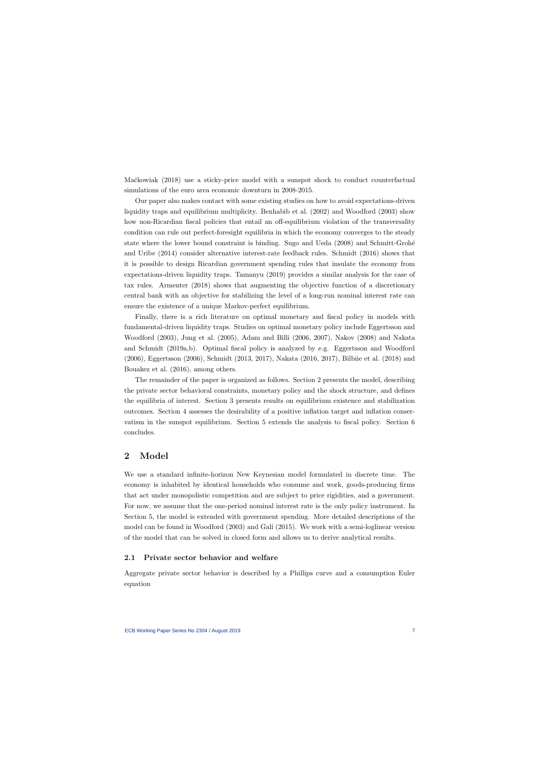Mackowiak (2018) use a sticky-price model with a sunspot shock to conduct counterfactual simulations of the euro area economic downturn in 2008-2015.

Our paper also makes contact with some existing studies on how to avoid expectations-driven liquidity traps and equilibrium multiplicity. Benhabib et al. (2002) and Woodford (2003) show how non-Ricardian fiscal policies that entail an off-equilibrium violation of the transversality condition can rule out perfect-foresight equilibria in which the economy converges to the steady state where the lower bound constraint is binding. Sugo and Ueda (2008) and Schmitt-Grohé and Uribe (2014) consider alternative interest-rate feedback rules. Schmidt (2016) shows that it is possible to design Ricardian government spending rules that insulate the economy from expectations-driven liquidity traps. Tamanyu (2019) provides a similar analysis for the case of tax rules. Armenter (2018) shows that augmenting the objective function of a discretionary central bank with an objective for stabilizing the level of a long-run nominal interest rate can ensure the existence of a unique Markov-perfect equilibrium.

Finally, there is a rich literature on optimal monetary and fiscal policy in models with fundamental-driven liquidity traps. Studies on optimal monetary policy include Eggertsson and Woodford (2003), Jung et al. (2005), Adam and Billi (2006, 2007), Nakov (2008) and Nakata and Schmidt (2019a,b). Optimal fiscal policy is analyzed by e.g. Eggertsson and Woodford (2006), Eggertsson (2006), Schmidt (2013, 2017), Nakata (2016, 2017), Bilbiie et al. (2018) and Bouakez et al. (2016), among others.

The remainder of the paper is organized as follows. Section 2 presents the model, describing the private sector behavioral constraints, monetary policy and the shock structure, and defines the equilibria of interest. Section 3 presents results on equilibrium existence and stabilization outcomes. Section 4 assesses the desirability of a positive inflation target and inflation conservatism in the sunspot equilibrium. Section 5 extends the analysis to fiscal policy. Section 6 concludes.

## 2 Model

We use a standard infinite-horizon New Keynesian model formulated in discrete time. The economy is inhabited by identical households who consume and work, goods-producing firms that act under monopolistic competition and are subject to price rigidities, and a government. For now, we assume that the one-period nominal interest rate is the only policy instrument. In Section 5, the model is extended with government spending. More detailed descriptions of the model can be found in Woodford (2003) and Galí (2015). We work with a semi-loglinear version of the model that can be solved in closed form and allows us to derive analytical results.

## 2.1 Private sector behavior and welfare

Aggregate private sector behavior is described by a Phillips curve and a consumption Euler equation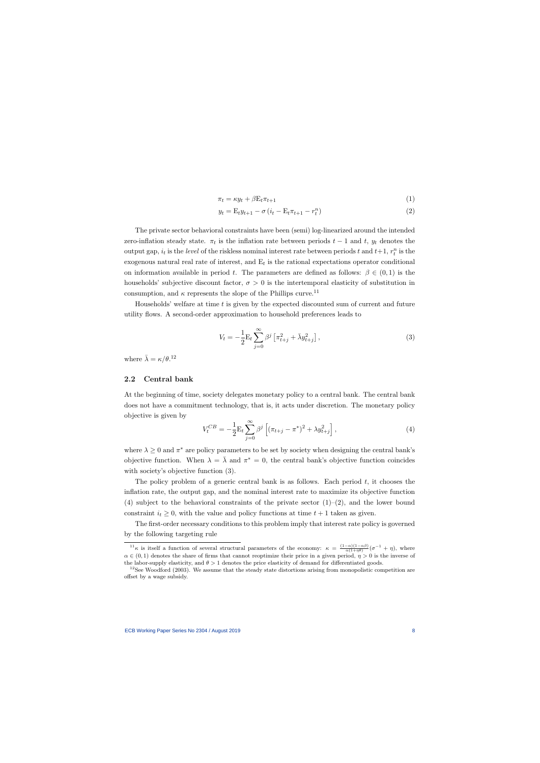$$
\pi_t = \kappa y_t + \beta E_t \pi_{t+1} \tag{1}
$$

$$
y_t = \mathcal{E}_t y_{t+1} - \sigma \left( i_t - \mathcal{E}_t \pi_{t+1} - r_t^n \right) \tag{2}
$$

The private sector behavioral constraints have been (semi) log-linearized around the intended zero-inflation steady state.  $\pi_t$  is the inflation rate between periods  $t-1$  and  $t$ ,  $y_t$  denotes the output gap,  $i_t$  is the level of the riskless nominal interest rate between periods t and  $t+1$ ,  $r_t^n$  is the exogenous natural real rate of interest, and  $E_t$  is the rational expectations operator conditional on information available in period t. The parameters are defined as follows:  $\beta \in (0,1)$  is the households' subjective discount factor,  $\sigma > 0$  is the intertemporal elasticity of substitution in consumption, and  $\kappa$  represents the slope of the Phillips curve.<sup>11</sup>

Households' welfare at time  $t$  is given by the expected discounted sum of current and future utility flows. A second-order approximation to household preferences leads to

$$
V_t = -\frac{1}{2} \mathcal{E}_t \sum_{j=0}^{\infty} \beta^j \left[ \pi_{t+j}^2 + \bar{\lambda} y_{t+j}^2 \right],\tag{3}
$$

where  $\bar{\lambda} = \kappa/\theta$ .<sup>12</sup>

#### 2.2 Central bank

At the beginning of time, society delegates monetary policy to a central bank. The central bank does not have a commitment technology, that is, it acts under discretion. The monetary policy objective is given by

$$
V_t^{CB} = -\frac{1}{2} \mathcal{E}_t \sum_{j=0}^{\infty} \beta^j \left[ (\pi_{t+j} - \pi^*)^2 + \lambda y_{t+j}^2 \right],\tag{4}
$$

where  $\lambda \geq 0$  and  $\pi^*$  are policy parameters to be set by society when designing the central bank's objective function. When  $\lambda = \overline{\lambda}$  and  $\pi^* = 0$ , the central bank's objective function coincides with society's objective function (3).

The policy problem of a generic central bank is as follows. Each period  $t$ , it chooses the inflation rate, the output gap, and the nominal interest rate to maximize its objective function (4) subject to the behavioral constraints of the private sector  $(1)-(2)$ , and the lower bound constraint  $i_t \geq 0$ , with the value and policy functions at time  $t + 1$  taken as given.

The first-order necessary conditions to this problem imply that interest rate policy is governed by the following targeting rule

<sup>&</sup>lt;sup>11</sup>κ is itself a function of several structural parameters of the economy:  $\kappa = \frac{(1-\alpha)(1-\alpha\beta)}{\alpha(1+\eta\theta)}(\sigma^{-1}+\eta)$ , where  $\alpha \in (0,1)$  denotes the share of firms that cannot reoptimize their price in a given period,  $\eta > 0$  is the inverse of the labor-supply elasticity, and  $\theta > 1$  denotes the price elasticity of demand for differentiated goods.

 $12$ See Woodford (2003). We assume that the steady state distortions arising from monopolistic competition are offset by a wage subsidy.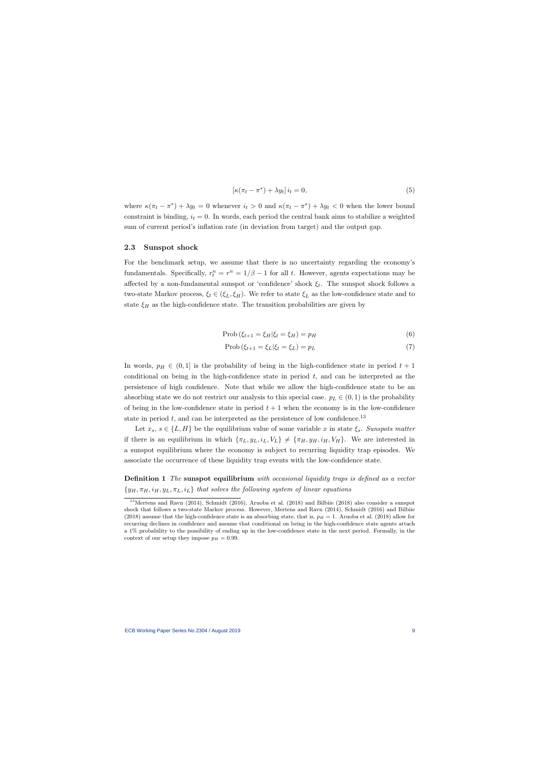$$
\left[\kappa(\pi_t - \pi^*) + \lambda y_t\right] i_t = 0,\tag{5}
$$

where  $\kappa(\pi_t - \pi^*) + \lambda y_t = 0$  whenever  $i_t > 0$  and  $\kappa(\pi_t - \pi^*) + \lambda y_t < 0$  when the lower bound constraint is binding,  $i_t = 0$ . In words, each period the central bank aims to stabilize a weighted sum of current period's inflation rate (in deviation from target) and the output gap.

#### 2.3 Sunspot shock

For the benchmark setup, we assume that there is no uncertainty regarding the economy's fundamentals. Specifically,  $r_t^n = r^n = 1/\beta - 1$  for all t. However, agents expectations may be affected by a non-fundamental sunspot or 'confidence' shock  $\xi_t$ . The sunspot shock follows a two-state Markov process,  $\xi_t \in (\xi_L, \xi_H)$ . We refer to state  $\xi_L$  as the low-confidence state and to state  $\xi_H$  as the high-confidence state. The transition probabilities are given by

$$
Prob(\xi_{t+1} = \xi_H | \xi_t = \xi_H) = p_H
$$
\n(6)

$$
\text{Prob}\left(\xi_{t+1} = \xi_L | \xi_t = \xi_L\right) = p_L\tag{7}
$$

In words,  $p_H \in (0,1]$  is the probability of being in the high-confidence state in period  $t + 1$ conditional on being in the high-confidence state in period  $t$ , and can be interpreted as the persistence of high confidence. Note that while we allow the high-confidence state to be an absorbing state we do not restrict our analysis to this special case.  $p_L \in (0,1)$  is the probability of being in the low-confidence state in period  $t + 1$  when the economy is in the low-confidence state in period t, and can be interpreted as the persistence of low confidence.<sup>13</sup>

Let  $x_s, s \in \{L, H\}$  be the equilibrium value of some variable x in state  $\xi_s$ . Sunspots matter if there is an equilibrium in which  $\{\pi_L, y_L, i_L, V_L\} \neq \{\pi_H, y_H, i_H, V_H\}$ . We are interested in a sunspot equilibrium where the economy is subject to recurring liquidity trap episodes. We associate the occurrence of these liquidity trap events with the low-confidence state.

Definition 1 The sunspot equilibrium with occasional liquidity traps is defined as a vector  ${y_H, \pi_H, i_H, y_L, \pi_L, i_L}$  that solves the following system of linear equations

<sup>&</sup>lt;sup>13</sup>Mertens and Ravn (2014), Schmidt (2016), Aruoba et al. (2018) and Bilbiie (2018) also consider a sunspot shock that follows a two-state Markov process. However, Mertens and Ravn (2014), Schmidt (2016) and Bilbiie (2018) assume that the high-confidence state is an absorbing state, that is,  $p_H = 1$ . Aruoba et al. (2018) allow for recurring declines in confidence and assume that conditional on being in the high-confidence state agents attach a 1% probability to the possibility of ending up in the low-confidence state in the next period. Formally, in the context of our setup they impose  $p_H = 0.99$ .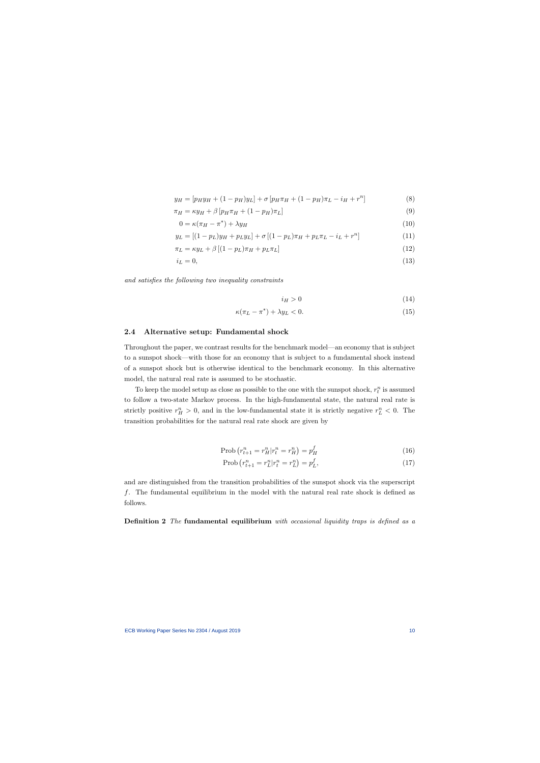$$
y_H = [p_H y_H + (1 - p_H) y_L] + \sigma [p_H \pi_H + (1 - p_H) \pi_L - i_H + r^n]
$$
\n(8)

$$
\pi_H = \kappa y_H + \beta \left[ p_H \pi_H + (1 - p_H) \pi_L \right] \tag{9}
$$

$$
0 = \kappa (\pi_H - \pi^*) + \lambda y_H \tag{10}
$$

$$
y_L = [(1 - p_L)y_H + p_Ly_L] + \sigma [(1 - p_L)\pi_H + p_L\pi_L - i_L + r^n]
$$
\n(11)

$$
\pi_L = \kappa y_L + \beta \left[ (1 - p_L) \pi_H + p_L \pi_L \right] \tag{12}
$$

$$
i_L = 0,\t\t(13)
$$

and satisfies the following two inequality constraints

$$
i_H > 0 \tag{14}
$$

$$
\kappa(\pi_L - \pi^*) + \lambda y_L < 0. \tag{15}
$$

#### 2.4 Alternative setup: Fundamental shock

Throughout the paper, we contrast results for the benchmark model—an economy that is subject to a sunspot shock—with those for an economy that is subject to a fundamental shock instead of a sunspot shock but is otherwise identical to the benchmark economy. In this alternative model, the natural real rate is assumed to be stochastic.

To keep the model setup as close as possible to the one with the sunspot shock,  $r_t^n$  is assumed to follow a two-state Markov process. In the high-fundamental state, the natural real rate is strictly positive  $r_H^n > 0$ , and in the low-fundamental state it is strictly negative  $r_L^n < 0$ . The transition probabilities for the natural real rate shock are given by

$$
Prob(r_{t+1}^n = r_H^n | r_t^n = r_H^n) = p_H^f \tag{16}
$$

$$
Prob(r_{t+1}^n = r_L^n | r_t^n = r_L^n) = p_L^f,
$$
\n(17)

and are distinguished from the transition probabilities of the sunspot shock via the superscript f. The fundamental equilibrium in the model with the natural real rate shock is defined as follows.

Definition 2 The fundamental equilibrium with occasional liquidity traps is defined as a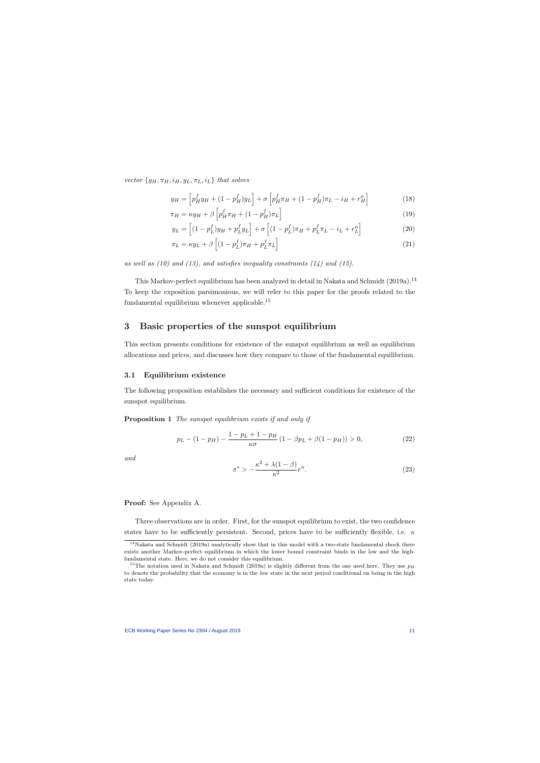vector  $\{y_H, \pi_H, i_H, y_L, \pi_L, i_L\}$  that solves

$$
y_H = \left[ p_H^f y_H + (1 - p_H^f) y_L \right] + \sigma \left[ p_H^f \pi_H + (1 - p_H^f) \pi_L - i_H + r_H^n \right]
$$
(18)

$$
\pi_H = \kappa y_H + \beta \left[ p_H^f \pi_H + (1 - p_H^f) \pi_L \right] \tag{19}
$$

$$
y_L = \left[ (1 - p_L^f) y_H + p_L^f y_L \right] + \sigma \left[ (1 - p_L^f) \pi_H + p_L^f \pi_L - i_L + r_L^n \right] \tag{20}
$$

$$
\pi_L = \kappa y_L + \beta \left[ (1 - p_L^f) \pi_H + p_L^f \pi_L \right] \tag{21}
$$

as well as  $(10)$  and  $(13)$ , and satisfies inequality constraints  $(14)$  and  $(15)$ .

This Markov-perfect equilibrium has been analyzed in detail in Nakata and Schmidt (2019a).<sup>14</sup> To keep the exposition parsimonious, we will refer to this paper for the proofs related to the fundamental equilibrium whenever applicable.<sup>15</sup>

## 3 Basic properties of the sunspot equilibrium

This section presents conditions for existence of the sunspot equilibrium as well as equilibrium allocations and prices, and discusses how they compare to those of the fundamental equilibrium.

#### 3.1 Equilibrium existence

The following proposition establishes the necessary and sufficient conditions for existence of the sunspot equilibrium.

Proposition 1 The sunspot equilibrium exists if and only if

$$
p_L - (1 - p_H) - \frac{1 - p_L + 1 - p_H}{\kappa \sigma} (1 - \beta p_L + \beta (1 - p_H)) > 0,
$$
\n(22)

and

$$
\pi^* > -\frac{\kappa^2 + \lambda(1-\beta)}{\kappa^2}r^n. \tag{23}
$$

Proof: See Appendix A.

Three observations are in order. First, for the sunspot equilibrium to exist, the two confidence states have to be sufficiently persistent. Second, prices have to be sufficiently flexible, i.e.  $\kappa$ 

<sup>&</sup>lt;sup>14</sup>Nakata and Schmidt (2019a) analytically show that in this model with a two-state fundamental shock there exists another Markov-perfect equilibrium in which the lower bound constraint binds in the low and the highfundamental state. Here, we do not consider this equilibrium.

<sup>&</sup>lt;sup>15</sup>The notation used in Nakata and Schmidt (2019a) is slightly different from the one used here. They use  $p_H$ to denote the probability that the economy is in the low state in the next period conditional on being in the high state today.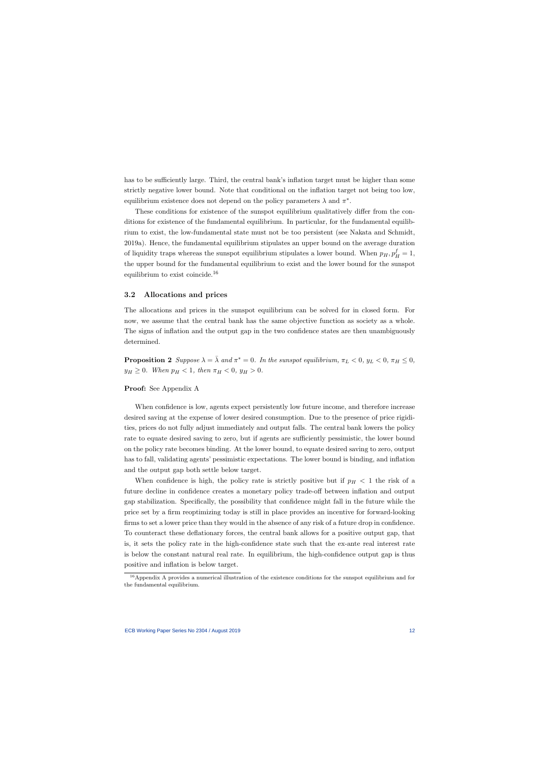has to be sufficiently large. Third, the central bank's inflation target must be higher than some strictly negative lower bound. Note that conditional on the inflation target not being too low, equilibrium existence does not depend on the policy parameters  $\lambda$  and  $\pi^*$ .

These conditions for existence of the sunspot equilibrium qualitatively differ from the conditions for existence of the fundamental equilibrium. In particular, for the fundamental equilibrium to exist, the low-fundamental state must not be too persistent (see Nakata and Schmidt, 2019a). Hence, the fundamental equilibrium stipulates an upper bound on the average duration of liquidity traps whereas the sunspot equilibrium stipulates a lower bound. When  $p_H$ ,  $p_H^f = 1$ , the upper bound for the fundamental equilibrium to exist and the lower bound for the sunspot equilibrium to exist coincide.<sup>16</sup>

#### 3.2 Allocations and prices

The allocations and prices in the sunspot equilibrium can be solved for in closed form. For now, we assume that the central bank has the same objective function as society as a whole. The signs of inflation and the output gap in the two confidence states are then unambiguously determined.

**Proposition 2** Suppose  $\lambda = \overline{\lambda}$  and  $\pi^* = 0$ . In the sunspot equilibrium,  $\pi_L < 0$ ,  $y_L < 0$ ,  $\pi_H \leq 0$ ,  $y_H \ge 0$ . When  $p_H < 1$ , then  $\pi_H < 0$ ,  $y_H > 0$ .

Proof: See Appendix A

When confidence is low, agents expect persistently low future income, and therefore increase desired saving at the expense of lower desired consumption. Due to the presence of price rigidities, prices do not fully adjust immediately and output falls. The central bank lowers the policy rate to equate desired saving to zero, but if agents are sufficiently pessimistic, the lower bound on the policy rate becomes binding. At the lower bound, to equate desired saving to zero, output has to fall, validating agents' pessimistic expectations. The lower bound is binding, and inflation and the output gap both settle below target.

When confidence is high, the policy rate is strictly positive but if  $p_H < 1$  the risk of a future decline in confidence creates a monetary policy trade-off between inflation and output gap stabilization. Specifically, the possibility that confidence might fall in the future while the price set by a firm reoptimizing today is still in place provides an incentive for forward-looking firms to set a lower price than they would in the absence of any risk of a future drop in confidence. To counteract these deflationary forces, the central bank allows for a positive output gap, that is, it sets the policy rate in the high-confidence state such that the ex-ante real interest rate is below the constant natural real rate. In equilibrium, the high-confidence output gap is thus positive and inflation is below target.

<sup>&</sup>lt;sup>16</sup>Appendix A provides a numerical illustration of the existence conditions for the sunspot equilibrium and for the fundamental equilibrium.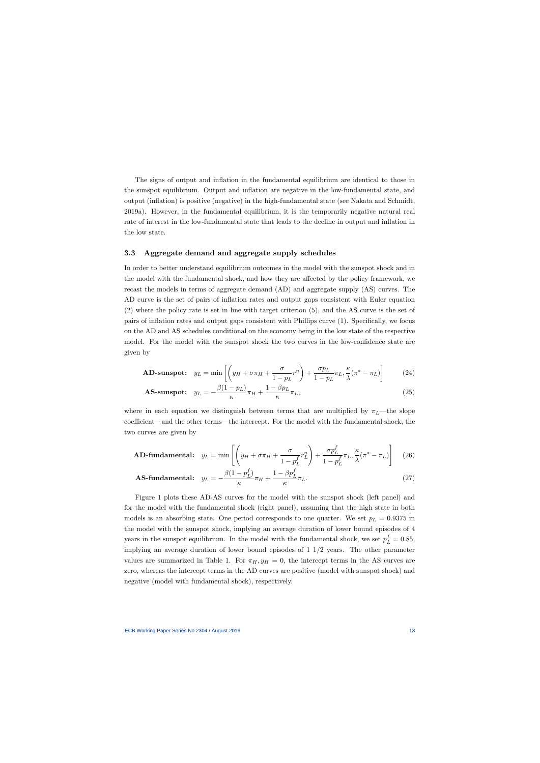The signs of output and inflation in the fundamental equilibrium are identical to those in the sunspot equilibrium. Output and inflation are negative in the low-fundamental state, and output (inflation) is positive (negative) in the high-fundamental state (see Nakata and Schmidt, 2019a). However, in the fundamental equilibrium, it is the temporarily negative natural real rate of interest in the low-fundamental state that leads to the decline in output and inflation in the low state.

#### 3.3 Aggregate demand and aggregate supply schedules

In order to better understand equilibrium outcomes in the model with the sunspot shock and in the model with the fundamental shock, and how they are affected by the policy framework, we recast the models in terms of aggregate demand (AD) and aggregate supply (AS) curves. The AD curve is the set of pairs of inflation rates and output gaps consistent with Euler equation (2) where the policy rate is set in line with target criterion (5), and the AS curve is the set of pairs of inflation rates and output gaps consistent with Phillips curve (1). Specifically, we focus on the AD and AS schedules conditional on the economy being in the low state of the respective model. For the model with the sunspot shock the two curves in the low-confidence state are given by

$$
\textbf{AD-sunspot:} \quad y_L = \min\left[ \left( y_H + \sigma \pi_H + \frac{\sigma}{1 - p_L} r^n \right) + \frac{\sigma p_L}{1 - p_L} \pi_L, \frac{\kappa}{\lambda} (\pi^* - \pi_L) \right] \tag{24}
$$

$$
\text{AS-sunspot:} \quad y_L = -\frac{\beta(1 - p_L)}{\kappa} \pi_H + \frac{1 - \beta p_L}{\kappa} \pi_L,\tag{25}
$$

where in each equation we distinguish between terms that are multiplied by  $\pi_L$ —the slope coefficient—and the other terms—the intercept. For the model with the fundamental shock, the two curves are given by

$$
\textbf{AD-fundamental:} \quad y_L = \min\left[ \left( y_H + \sigma \pi_H + \frac{\sigma}{1 - p_L^f} r_L^n \right) + \frac{\sigma p_L^f}{1 - p_L^f} \pi_L, \frac{\kappa}{\lambda} (\pi^* - \pi_L) \right] \tag{26}
$$

$$
\text{AS-fundamental:} \quad y_L = -\frac{\beta(1 - p_L^f)}{\kappa} \pi_H + \frac{1 - \beta p_L^f}{\kappa} \pi_L. \tag{27}
$$

Figure 1 plots these AD-AS curves for the model with the sunspot shock (left panel) and for the model with the fundamental shock (right panel), assuming that the high state in both models is an absorbing state. One period corresponds to one quarter. We set  $p_L = 0.9375$  in the model with the sunspot shock, implying an average duration of lower bound episodes of 4 years in the sunspot equilibrium. In the model with the fundamental shock, we set  $p_L^f = 0.85$ , implying an average duration of lower bound episodes of  $1 \frac{1}{2}$  years. The other parameter values are summarized in Table 1. For  $\pi_H, y_H = 0$ , the intercept terms in the AS curves are zero, whereas the intercept terms in the AD curves are positive (model with sunspot shock) and negative (model with fundamental shock), respectively.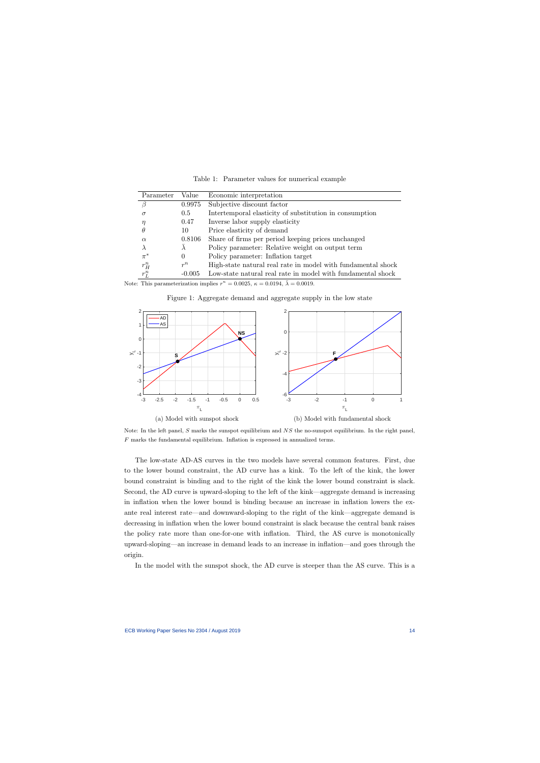| Parameter | Value    | Economic interpretation                                      |
|-----------|----------|--------------------------------------------------------------|
|           | 0.9975   | Subjective discount factor                                   |
|           | 0.5      | Intertemporal elasticity of substitution in consumption      |
|           | 0.47     | Inverse labor supply elasticity                              |
|           | 10       | Price elasticity of demand                                   |
| $\alpha$  | 0.8106   | Share of firms per period keeping prices unchanged           |
|           |          | Policy parameter: Relative weight on output term             |
| $\pi^*$   | $\theta$ | Policy parameter: Inflation target                           |
| $r_H^n$   | $r^n$    | High-state natural real rate in model with fundamental shock |
| $r_L^n$   | $-0.005$ | Low-state natural real rate in model with fundamental shock  |

Table 1: Parameter values for numerical example

Note: This parameterization implies  $r^n = 0.0025$ ,  $\kappa = 0.0194$ ,  $\bar{\lambda} = 0.0019$ .



Figure 1: Aggregate demand and aggregate supply in the low state

Note: In the left panel, S marks the sunspot equilibrium and  $NS$  the no-sunspot equilibrium. In the right panel,  $F$  marks the fundamental equilibrium. Inflation is expressed in annualized terms.

The low-state AD-AS curves in the two models have several common features. First, due to the lower bound constraint, the AD curve has a kink. To the left of the kink, the lower bound constraint is binding and to the right of the kink the lower bound constraint is slack. Second, the AD curve is upward-sloping to the left of the kink—aggregate demand is increasing in inflation when the lower bound is binding because an increase in inflation lowers the exante real interest rate—and downward-sloping to the right of the kink—aggregate demand is decreasing in inflation when the lower bound constraint is slack because the central bank raises the policy rate more than one-for-one with inflation. Third, the AS curve is monotonically upward-sloping—an increase in demand leads to an increase in inflation—and goes through the origin.

In the model with the sunspot shock, the AD curve is steeper than the AS curve. This is a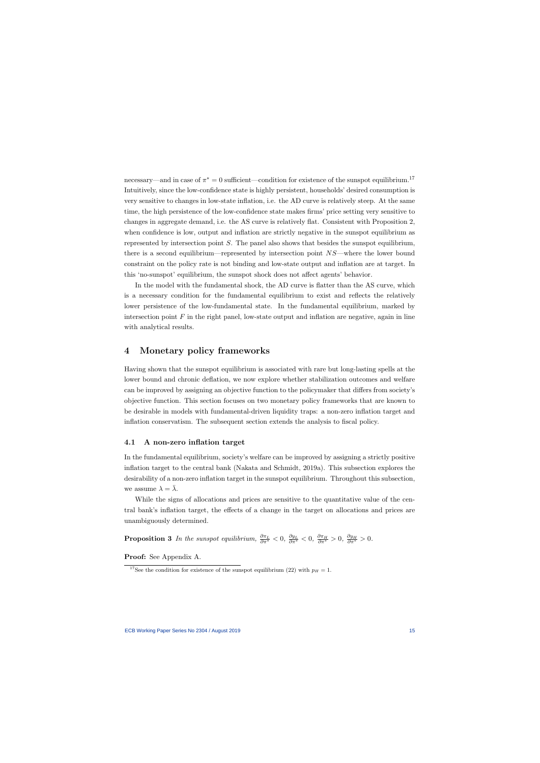necessary—and in case of  $\pi^* = 0$  sufficient—condition for existence of the sunspot equilibrium.<sup>17</sup> Intuitively, since the low-confidence state is highly persistent, households' desired consumption is very sensitive to changes in low-state inflation, i.e. the AD curve is relatively steep. At the same time, the high persistence of the low-confidence state makes firms' price setting very sensitive to changes in aggregate demand, i.e. the AS curve is relatively flat. Consistent with Proposition 2, when confidence is low, output and inflation are strictly negative in the sunspot equilibrium as represented by intersection point  $S$ . The panel also shows that besides the sunspot equilibrium, there is a second equilibrium—represented by intersection point NS—where the lower bound constraint on the policy rate is not binding and low-state output and inflation are at target. In this 'no-sunspot' equilibrium, the sunspot shock does not affect agents' behavior.

In the model with the fundamental shock, the AD curve is flatter than the AS curve, which is a necessary condition for the fundamental equilibrium to exist and reflects the relatively lower persistence of the low-fundamental state. In the fundamental equilibrium, marked by intersection point  $F$  in the right panel, low-state output and inflation are negative, again in line with analytical results.

## 4 Monetary policy frameworks

Having shown that the sunspot equilibrium is associated with rare but long-lasting spells at the lower bound and chronic deflation, we now explore whether stabilization outcomes and welfare can be improved by assigning an objective function to the policymaker that differs from society's objective function. This section focuses on two monetary policy frameworks that are known to be desirable in models with fundamental-driven liquidity traps: a non-zero inflation target and inflation conservatism. The subsequent section extends the analysis to fiscal policy.

#### 4.1 A non-zero inflation target

In the fundamental equilibrium, society's welfare can be improved by assigning a strictly positive inflation target to the central bank (Nakata and Schmidt, 2019a). This subsection explores the desirability of a non-zero inflation target in the sunspot equilibrium. Throughout this subsection, we assume  $\lambda = \overline{\lambda}$ .

While the signs of allocations and prices are sensitive to the quantitative value of the central bank's inflation target, the effects of a change in the target on allocations and prices are unambiguously determined.

**Proposition 3** In the sunspot equilibrium,  $\frac{\partial \pi_L}{\partial \pi^*} < 0$ ,  $\frac{\partial y_L}{\partial \pi^*} < 0$ ,  $\frac{\partial \pi_H}{\partial \pi^*} > 0$ ,  $\frac{\partial y_H}{\partial \pi^*} > 0$ .

Proof: See Appendix A.

<sup>&</sup>lt;sup>17</sup>See the condition for existence of the sunspot equilibrium (22) with  $p_H = 1$ .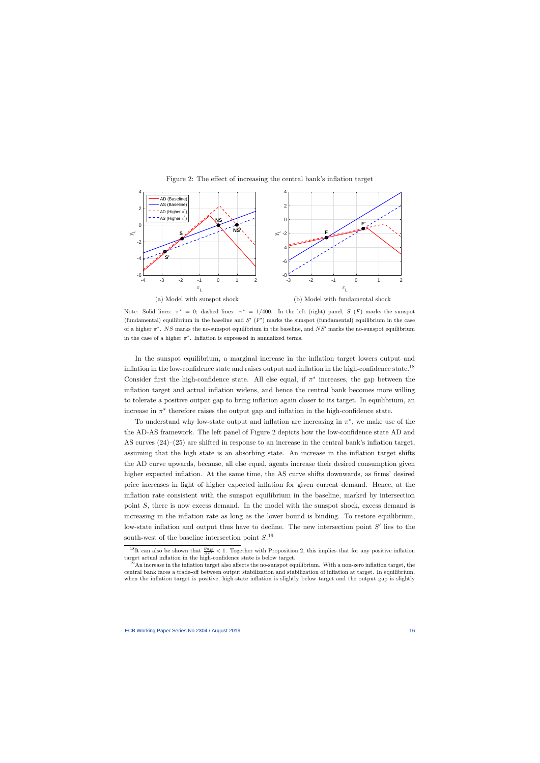

#### Figure 2: The effect of increasing the central bank's inflation target

Note: Solid lines:  $\pi^* = 0$ ; dashed lines:  $\pi^* = 1/400$ . In the left (right) panel, S (F) marks the sunspot (fundamental) equilibrium in the baseline and  $S'$  ( $F'$ ) marks the sunspot (fundamental) equilibrium in the case of a higher  $\pi^*$ . NS marks the no-sunspot equilibrium in the baseline, and NS' marks the no-sunspot equilibrium in the case of a higher  $\pi^*$ . Inflation is expressed in annualized terms.

In the sunspot equilibrium, a marginal increase in the inflation target lowers output and inflation in the low-confidence state and raises output and inflation in the high-confidence state.<sup>18</sup> Consider first the high-confidence state. All else equal, if  $\pi^*$  increases, the gap between the inflation target and actual inflation widens, and hence the central bank becomes more willing to tolerate a positive output gap to bring inflation again closer to its target. In equilibrium, an increase in  $\pi^*$  therefore raises the output gap and inflation in the high-confidence state.

To understand why low-state output and inflation are increasing in  $\pi^*$ , we make use of the the AD-AS framework. The left panel of Figure 2 depicts how the low-confidence state AD and AS curves (24)–(25) are shifted in response to an increase in the central bank's inflation target, assuming that the high state is an absorbing state. An increase in the inflation target shifts the AD curve upwards, because, all else equal, agents increase their desired consumption given higher expected inflation. At the same time, the AS curve shifts downwards, as firms' desired price increases in light of higher expected inflation for given current demand. Hence, at the inflation rate consistent with the sunspot equilibrium in the baseline, marked by intersection point S, there is now excess demand. In the model with the sunspot shock, excess demand is increasing in the inflation rate as long as the lower bound is binding. To restore equilibrium, low-state inflation and output thus have to decline. The new intersection point  $S'$  lies to the south-west of the baseline intersection point  $S^{19}$ 

<sup>&</sup>lt;sup>18</sup>It can also be shown that  $\frac{\partial \pi_H}{\partial \pi^*}$  < 1. Together with Proposition 2, this implies that for any positive inflation target actual inflation in the high-confidence state is below target.

<sup>19</sup>An increase in the inflation target also affects the no-sunspot equilibrium. With a non-zero inflation target, the central bank faces a trade-off between output stabilization and stabilization of inflation at target. In equilibrium, when the inflation target is positive, high-state inflation is slightly below target and the output gap is slightly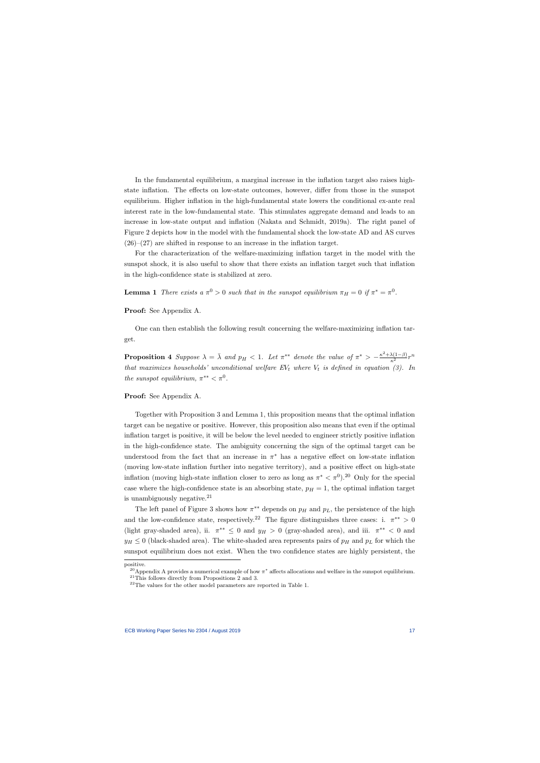In the fundamental equilibrium, a marginal increase in the inflation target also raises highstate inflation. The effects on low-state outcomes, however, differ from those in the sunspot equilibrium. Higher inflation in the high-fundamental state lowers the conditional ex-ante real interest rate in the low-fundamental state. This stimulates aggregate demand and leads to an increase in low-state output and inflation (Nakata and Schmidt, 2019a). The right panel of Figure 2 depicts how in the model with the fundamental shock the low-state AD and AS curves  $(26)-(27)$  are shifted in response to an increase in the inflation target.

For the characterization of the welfare-maximizing inflation target in the model with the sunspot shock, it is also useful to show that there exists an inflation target such that inflation in the high-confidence state is stabilized at zero.

**Lemma 1** There exists a  $\pi^0 > 0$  such that in the sunspot equilibrium  $\pi_H = 0$  if  $\pi^* = \pi^0$ .

Proof: See Appendix A.

One can then establish the following result concerning the welfare-maximizing inflation target.

**Proposition 4** Suppose  $\lambda = \overline{\lambda}$  and  $p_H < 1$ . Let  $\pi^{**}$  denote the value of  $\pi^* > -\frac{\kappa^2 + \lambda(1-\beta)}{\kappa^2}r^n$ that maximizes households' unconditional welfare  $EV_t$  where  $V_t$  is defined in equation (3). In the sunspot equilibrium,  $\pi^{**} < \pi^0$ .

Proof: See Appendix A.

Together with Proposition 3 and Lemma 1, this proposition means that the optimal inflation target can be negative or positive. However, this proposition also means that even if the optimal inflation target is positive, it will be below the level needed to engineer strictly positive inflation in the high-confidence state. The ambiguity concerning the sign of the optimal target can be understood from the fact that an increase in  $\pi^*$  has a negative effect on low-state inflation (moving low-state inflation further into negative territory), and a positive effect on high-state inflation (moving high-state inflation closer to zero as long as  $\pi^* < \pi^0$ ).<sup>20</sup> Only for the special case where the high-confidence state is an absorbing state,  $p_H = 1$ , the optimal inflation target is unambiguously negative.<sup>21</sup>

The left panel of Figure 3 shows how  $\pi^{**}$  depends on  $p<sub>H</sub>$  and  $p<sub>L</sub>$ , the persistence of the high and the low-confidence state, respectively.<sup>22</sup> The figure distinguishes three cases: i.  $\pi^{**} > 0$ (light gray-shaded area), ii.  $\pi^{**} \leq 0$  and  $y_H > 0$  (gray-shaded area), and iii.  $\pi^{**} < 0$  and  $y_H \leq 0$  (black-shaded area). The white-shaded area represents pairs of  $p_H$  and  $p_L$  for which the sunspot equilibrium does not exist. When the two confidence states are highly persistent, the

positive.

<sup>&</sup>lt;sup>20</sup> Appendix A provides a numerical example of how  $\pi^*$  affects allocations and welfare in the sunspot equilibrium.  $21$ This follows directly from Propositions 2 and 3.

 $22$ The values for the other model parameters are reported in Table 1.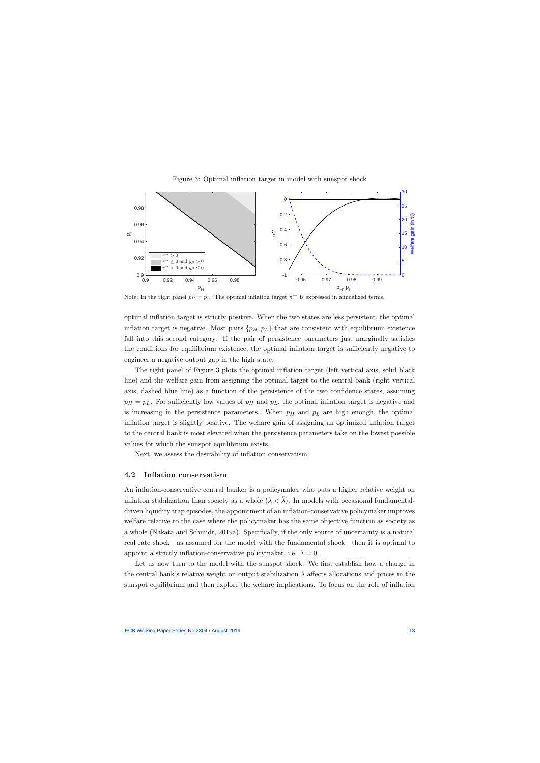

Figure 3: Optimal inflation target in model with sunspot shock

Note: In the right panel  $p_H = p_L$ . The optimal inflation target  $\pi^{**}$  is expressed in annualized terms.

optimal inflation target is strictly positive. When the two states are less persistent, the optimal inflation target is negative. Most pairs  $\{p_H, p_L\}$  that are consistent with equilibrium existence fall into this second category. If the pair of persistence parameters just marginally satisfies the conditions for equilibrium existence, the optimal inflation target is sufficiently negative to engineer a negative output gap in the high state.

The right panel of Figure 3 plots the optimal inflation target (left vertical axis, solid black line) and the welfare gain from assigning the optimal target to the central bank (right vertical axis, dashed blue line) as a function of the persistence of the two confidence states, assuming  $p_H = p_L$ . For sufficiently low values of  $p_H$  and  $p_L$ , the optimal inflation target is negative and is increasing in the persistence parameters. When  $p<sub>H</sub>$  and  $p<sub>L</sub>$  are high enough, the optimal inflation target is slightly positive. The welfare gain of assigning an optimized inflation target to the central bank is most elevated when the persistence parameters take on the lowest possible values for which the sunspot equilibrium exists.

Next, we assess the desirability of inflation conservatism.

#### 4.2 Inflation conservatism

An inflation-conservative central banker is a policymaker who puts a higher relative weight on inflation stabilization than society as a whole  $(\lambda < \overline{\lambda})$ . In models with occasional fundamentaldriven liquidity trap episodes, the appointment of an inflation-conservative policymaker improves welfare relative to the case where the policymaker has the same objective function as society as a whole (Nakata and Schmidt, 2019a). Specifically, if the only source of uncertainty is a natural real rate shock—as assumed for the model with the fundamental shock—then it is optimal to appoint a strictly inflation-conservative policymaker, i.e.  $\lambda = 0$ .

Let us now turn to the model with the sunspot shock. We first establish how a change in the central bank's relative weight on output stabilization  $\lambda$  affects allocations and prices in the sunspot equilibrium and then explore the welfare implications. To focus on the role of inflation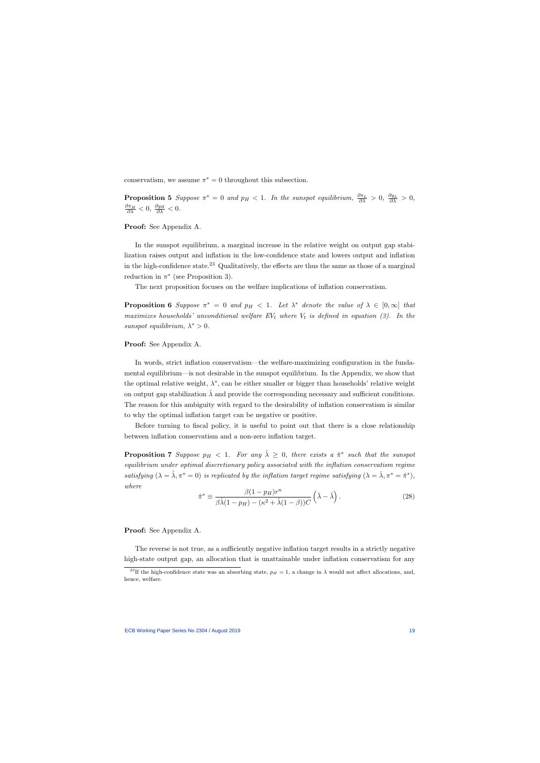conservatism, we assume  $\pi^* = 0$  throughout this subsection.

**Proposition 5** Suppose  $\pi^* = 0$  and  $p_H < 1$ . In the sunspot equilibrium,  $\frac{\partial \pi_L}{\partial \lambda} > 0$ ,  $\frac{\partial y_L}{\partial \lambda} > 0$ ,  $\frac{\partial \pi_H}{\partial \lambda} < 0, \ \frac{\partial y_H}{\partial \lambda} < 0.$ 

Proof: See Appendix A.

In the sunspot equilibrium, a marginal increase in the relative weight on output gap stabilization raises output and inflation in the low-confidence state and lowers output and inflation in the high-confidence state.<sup>23</sup> Qualitatively, the effects are thus the same as those of a marginal reduction in  $\pi^*$  (see Proposition 3).

The next proposition focuses on the welfare implications of inflation conservatism.

**Proposition 6** Suppose  $\pi^* = 0$  and  $p_H < 1$ . Let  $\lambda^*$  denote the value of  $\lambda \in [0, \infty]$  that maximizes households' unconditional welfare  $EV_t$  where  $V_t$  is defined in equation (3). In the sunspot equilibrium,  $\lambda^* > 0$ .

Proof: See Appendix A.

In words, strict inflation conservatism—the welfare-maximizing configuration in the fundamental equilibrium—is not desirable in the sunspot equilibrium. In the Appendix, we show that the optimal relative weight,  $\lambda^*$ , can be either smaller or bigger than households' relative weight on output gap stabilization  $\lambda$  and provide the corresponding necessary and sufficient conditions. The reason for this ambiguity with regard to the desirability of inflation conservatism is similar to why the optimal inflation target can be negative or positive.

Before turning to fiscal policy, it is useful to point out that there is a close relationship between inflation conservatism and a non-zero inflation target.

**Proposition 7** Suppose  $p_H < 1$ . For any  $\hat{\lambda} \geq 0$ , there exists a  $\hat{\pi}^*$  such that the sunspot equilibrium under optimal discretionary policy associated with the inflation conservatism regime satisfying  $(\lambda = \hat{\lambda}, \pi^* = 0)$  is replicated by the inflation target regime satisfying  $(\lambda = \bar{\lambda}, \pi^* = \hat{\pi}^*)$ , where

$$
\hat{\pi}^* \equiv \frac{\beta(1 - p_H)r^n}{\beta\hat{\lambda}(1 - p_H) - (\kappa^2 + \hat{\lambda}(1 - \beta))C} \left(\bar{\lambda} - \hat{\lambda}\right).
$$
\n(28)

Proof: See Appendix A.

The reverse is not true, as a sufficiently negative inflation target results in a strictly negative high-state output gap, an allocation that is unattainable under inflation conservatism for any

<sup>&</sup>lt;sup>23</sup>If the high-confidence state was an absorbing state,  $p_H = 1$ , a change in  $\lambda$  would not affect allocations, and, hence, welfare.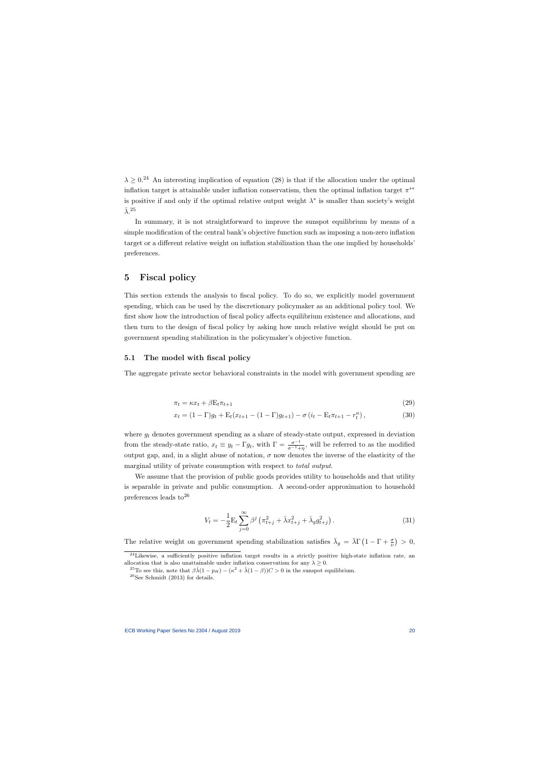$\lambda > 0.24$  An interesting implication of equation (28) is that if the allocation under the optimal inflation target is attainable under inflation conservatism, then the optimal inflation target  $\pi^{**}$ is positive if and only if the optimal relative output weight  $\lambda^*$  is smaller than society's weight  $\bar{\lambda}$ . 25

In summary, it is not straightforward to improve the sunspot equilibrium by means of a simple modification of the central bank's objective function such as imposing a non-zero inflation target or a different relative weight on inflation stabilization than the one implied by households' preferences.

## 5 Fiscal policy

This section extends the analysis to fiscal policy. To do so, we explicitly model government spending, which can be used by the discretionary policymaker as an additional policy tool. We first show how the introduction of fiscal policy affects equilibrium existence and allocations, and then turn to the design of fiscal policy by asking how much relative weight should be put on government spending stabilization in the policymaker's objective function.

#### 5.1 The model with fiscal policy

The aggregate private sector behavioral constraints in the model with government spending are

$$
\pi_t = \kappa x_t + \beta E_t \pi_{t+1} \tag{29}
$$

$$
x_t = (1 - \Gamma)g_t + \mathcal{E}_t(x_{t+1} - (1 - \Gamma)g_{t+1}) - \sigma(i_t - \mathcal{E}_t \pi_{t+1} - r_t^n),
$$
\n(30)

where  $g_t$  denotes government spending as a share of steady-state output, expressed in deviation from the steady-state ratio,  $x_t \equiv y_t - \Gamma g_t$ , with  $\Gamma = \frac{\sigma^{-1}}{\sigma^{-1} + \eta}$ , will be referred to as the modified output gap, and, in a slight abuse of notation,  $\sigma$  now denotes the inverse of the elasticity of the marginal utility of private consumption with respect to total output.

We assume that the provision of public goods provides utility to households and that utility is separable in private and public consumption. A second-order approximation to household preferences leads to  $26$ 

$$
V_t = -\frac{1}{2} \mathcal{E}_t \sum_{j=0}^{\infty} \beta^j \left( \pi_{t+j}^2 + \bar{\lambda} x_{t+j}^2 + \bar{\lambda}_g g_{t+j}^2 \right).
$$
 (31)

The relative weight on government spending stabilization satisfies  $\bar{\lambda}_g = \bar{\lambda} \Gamma \left( 1 - \Gamma + \frac{\sigma}{\nu} \right) > 0$ ,

 $^{24}$ Likewise, a sufficiently positive inflation target results in a strictly positive high-state inflation rate, an allocation that is also unattainable under inflation conservatism for any  $\lambda \geq 0$ .

<sup>&</sup>lt;sup>25</sup>To see this, note that  $\beta \hat{\lambda}(1 - p_H) - (\kappa^2 + \hat{\lambda}(1 - \beta))C > 0$  in the sunspot equilibrium.  $26$ See Schmidt (2013) for details.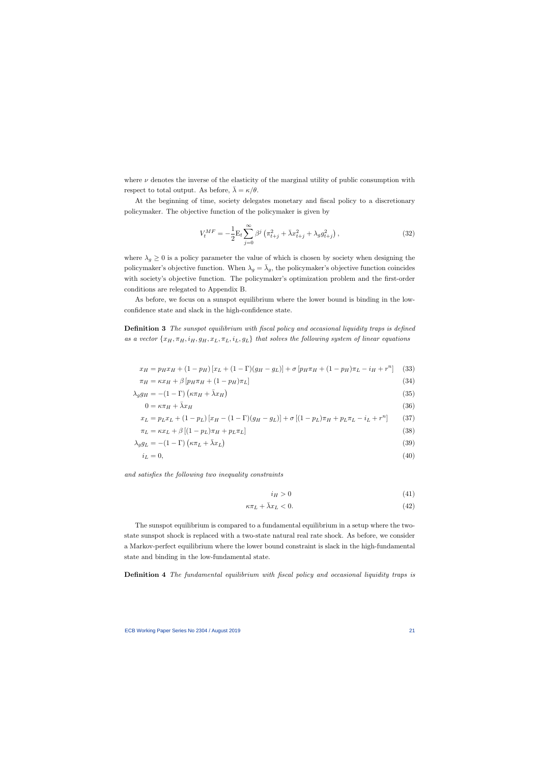where  $\nu$  denotes the inverse of the elasticity of the marginal utility of public consumption with respect to total output. As before,  $\bar{\lambda} = \kappa/\theta$ .

At the beginning of time, society delegates monetary and fiscal policy to a discretionary policymaker. The objective function of the policymaker is given by

$$
V_t^{MF} = -\frac{1}{2} \mathcal{E}_t \sum_{j=0}^{\infty} \beta^j \left( \pi_{t+j}^2 + \bar{\lambda} x_{t+j}^2 + \lambda_g g_{t+j}^2 \right), \tag{32}
$$

where  $\lambda_q \geq 0$  is a policy parameter the value of which is chosen by society when designing the policymaker's objective function. When  $\lambda_g = \bar{\lambda}_g$ , the policymaker's objective function coincides with society's objective function. The policymaker's optimization problem and the first-order conditions are relegated to Appendix B.

As before, we focus on a sunspot equilibrium where the lower bound is binding in the lowconfidence state and slack in the high-confidence state.

Definition 3 The sunspot equilibrium with fiscal policy and occasional liquidity traps is defined as a vector  $\{x_H, \pi_H, i_H, g_H, x_L, \pi_L, i_L, g_L\}$  that solves the following system of linear equations

$$
x_H = p_H x_H + (1 - p_H) [x_L + (1 - \Gamma)(g_H - g_L)] + \sigma [p_H \pi_H + (1 - p_H) \pi_L - i_H + r^n]
$$
(33)

$$
\pi_H = \kappa x_H + \beta \left[ p_H \pi_H + (1 - p_H) \pi_L \right] \tag{34}
$$

$$
\lambda_g g_H = -(1 - \Gamma) \left( \kappa \pi_H + \bar{\lambda} x_H \right) \tag{35}
$$

$$
0 = \kappa \pi_H + \bar{\lambda} x_H \tag{36}
$$

$$
x_L = p_L x_L + (1 - p_L) [x_H - (1 - \Gamma)(g_H - g_L)] + \sigma [(1 - p_L)\pi_H + p_L \pi_L - i_L + r^n]
$$
(37)  

$$
\pi_L = \kappa x_L + \beta [(1 - p_L)\pi_H + p_L \pi_L]
$$
(38)

$$
\pi_L = \kappa x_L + \rho \left[ (1 - p_L) \pi_H + p_L \pi_L \right] \tag{38}
$$

$$
\lambda_g g_L = -(1 - \Gamma) \left( \kappa \pi_L + \bar{\lambda} x_L \right) \tag{39}
$$

$$
i_L = 0,\t\t(40)
$$

and satisfies the following two inequality constraints

$$
i_H > 0 \tag{41}
$$

$$
\kappa \pi_L + \bar{\lambda} x_L < 0. \tag{42}
$$

The sunspot equilibrium is compared to a fundamental equilibrium in a setup where the twostate sunspot shock is replaced with a two-state natural real rate shock. As before, we consider a Markov-perfect equilibrium where the lower bound constraint is slack in the high-fundamental state and binding in the low-fundamental state.

Definition 4 The fundamental equilibrium with fiscal policy and occasional liquidity traps is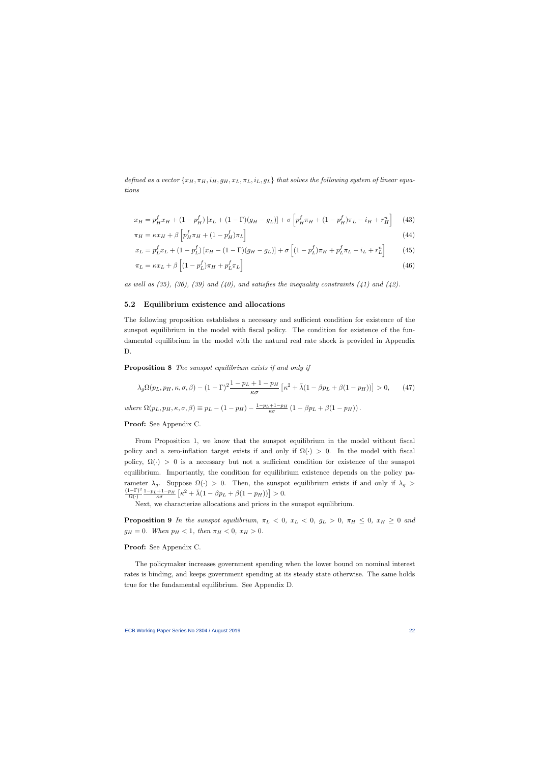defined as a vector  $\{x_H, \pi_H, i_H, g_H, x_L, \pi_L, i_L, g_L\}$  that solves the following system of linear equations

$$
x_H = p_H^f x_H + (1 - p_H^f) [x_L + (1 - \Gamma)(g_H - g_L)] + \sigma \left[ p_H^f \pi_H + (1 - p_H^f) \pi_L - i_H + r_H^n \right] \tag{43}
$$

$$
\pi_H = \kappa x_H + \beta \left[ p_H^f \pi_H + (1 - p_H^f) \pi_L \right] \tag{44}
$$

$$
x_L = p_L^f x_L + (1 - p_L^f) [x_H - (1 - \Gamma)(g_H - g_L)] + \sigma \left[ (1 - p_L^f) \pi_H + p_L^f \pi_L - i_L + r_L^n \right] \tag{45}
$$

$$
\pi_L = \kappa x_L + \beta \left[ (1 - p_L^f) \pi_H + p_L^f \pi_L \right] \tag{46}
$$

as well as  $(35)$ ,  $(36)$ ,  $(39)$  and  $(40)$ , and satisfies the inequality constraints  $(41)$  and  $(42)$ .

#### 5.2 Equilibrium existence and allocations

The following proposition establishes a necessary and sufficient condition for existence of the sunspot equilibrium in the model with fiscal policy. The condition for existence of the fundamental equilibrium in the model with the natural real rate shock is provided in Appendix D.

Proposition 8 The sunspot equilibrium exists if and only if

$$
\lambda_g \Omega(p_L, p_H, \kappa, \sigma, \beta) - (1 - \Gamma)^2 \frac{1 - p_L + 1 - p_H}{\kappa \sigma} \left[ \kappa^2 + \bar{\lambda} (1 - \beta p_L + \beta (1 - p_H)) \right] > 0, \qquad (47)
$$

where  $\Omega(p_L, p_H, \kappa, \sigma, \beta) \equiv p_L - (1 - p_H) - \frac{1 - p_L + 1 - p_H}{\kappa \sigma} (1 - \beta p_L + \beta (1 - p_H))$ .

Proof: See Appendix C.

From Proposition 1, we know that the sunspot equilibrium in the model without fiscal policy and a zero-inflation target exists if and only if  $\Omega(\cdot) > 0$ . In the model with fiscal policy,  $\Omega(\cdot) > 0$  is a necessary but not a sufficient condition for existence of the sunspot equilibrium. Importantly, the condition for equilibrium existence depends on the policy parameter  $\lambda_g$ . Suppose  $\Omega(\cdot) > 0$ . Then, the sunspot equilibrium exists if and only if  $\lambda_g$  $(1-\Gamma)^2$  $\frac{(1-\Gamma)^2}{\Omega(\cdot)} \frac{1-p_L+1-p_H}{\kappa \sigma} \left[ \kappa^2 + \bar{\lambda} (1-\beta p_L + \beta (1-p_H)) \right] > 0.$ 

Next, we characterize allocations and prices in the sunspot equilibrium.

**Proposition 9** In the sunspot equilibrium,  $\pi_L < 0$ ,  $x_L < 0$ ,  $g_L > 0$ ,  $\pi_H \leq 0$ ,  $x_H \geq 0$  and  $g_H = 0$ . When  $p_H < 1$ , then  $\pi_H < 0$ ,  $x_H > 0$ .

Proof: See Appendix C.

The policymaker increases government spending when the lower bound on nominal interest rates is binding, and keeps government spending at its steady state otherwise. The same holds true for the fundamental equilibrium. See Appendix D.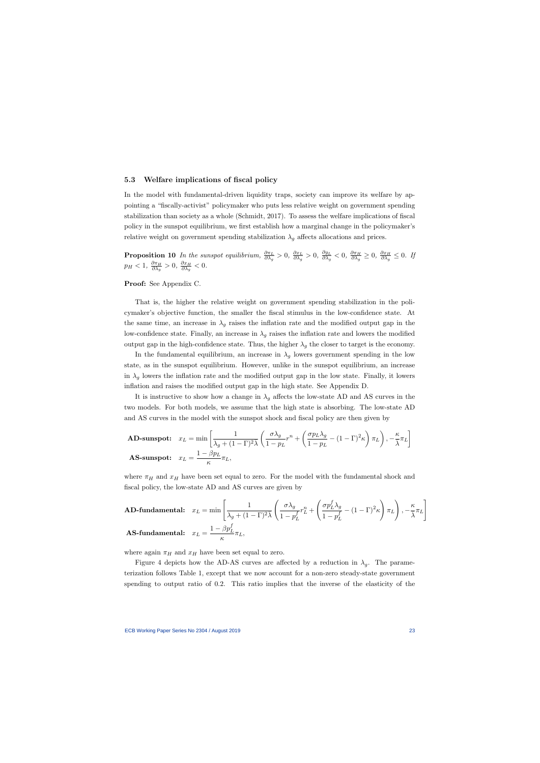#### 5.3 Welfare implications of fiscal policy

In the model with fundamental-driven liquidity traps, society can improve its welfare by appointing a "fiscally-activist" policymaker who puts less relative weight on government spending stabilization than society as a whole (Schmidt, 2017). To assess the welfare implications of fiscal policy in the sunspot equilibrium, we first establish how a marginal change in the policymaker's relative weight on government spending stabilization  $\lambda_q$  affects allocations and prices.

**Proposition 10** In the sunspot equilibrium,  $\frac{\partial \pi_L}{\partial \lambda_g} > 0$ ,  $\frac{\partial x_L}{\partial \lambda_g}$  $\frac{\partial x_L}{\partial \lambda_g} > 0, \ \frac{\partial g_L}{\partial \lambda_g}$  $\frac{\partial g_L}{\partial \lambda_g} < 0, \; \frac{\partial \pi_H}{\partial \lambda_g}$  $\frac{\partial \pi_H}{\partial \lambda_g} \geq 0$ ,  $\frac{\partial x_H}{\partial \lambda_g}$  $\frac{\partial x_H}{\partial \lambda_g} \leq 0$ . If  $p_H < 1, \frac{\partial \pi_H}{\partial \lambda_a}$  $\frac{\partial \pi_H}{\partial \lambda_g}>0, \ \frac{\partial x_H}{\partial \lambda_g}$  $\frac{\partial x_H}{\partial \lambda_g} < 0.$ 

Proof: See Appendix C.

That is, the higher the relative weight on government spending stabilization in the policymaker's objective function, the smaller the fiscal stimulus in the low-confidence state. At the same time, an increase in  $\lambda_g$  raises the inflation rate and the modified output gap in the low-confidence state. Finally, an increase in  $\lambda_g$  raises the inflation rate and lowers the modified output gap in the high-confidence state. Thus, the higher  $\lambda_g$  the closer to target is the economy.

In the fundamental equilibrium, an increase in  $\lambda_g$  lowers government spending in the low state, as in the sunspot equilibrium. However, unlike in the sunspot equilibrium, an increase in  $\lambda_q$  lowers the inflation rate and the modified output gap in the low state. Finally, it lowers inflation and raises the modified output gap in the high state. See Appendix D.

It is instructive to show how a change in  $\lambda_q$  affects the low-state AD and AS curves in the two models. For both models, we assume that the high state is absorbing. The low-state AD and AS curves in the model with the sunspot shock and fiscal policy are then given by

$$
\textbf{AD-sunspot:} \quad x_L = \min\left[\frac{1}{\lambda_g + (1 - \Gamma)^2 \bar{\lambda}} \left(\frac{\sigma \lambda_g}{1 - p_L} r^n + \left(\frac{\sigma p_L \lambda_g}{1 - p_L} - (1 - \Gamma)^2 \kappa\right) \pi_L\right), -\frac{\kappa}{\bar{\lambda}} \pi_L\right]
$$
\n
$$
\textbf{AS-sunspot:} \quad x_L = \frac{1 - \beta p_L}{\kappa} \pi_L,
$$

where  $\pi_H$  and  $x_H$  have been set equal to zero. For the model with the fundamental shock and fiscal policy, the low-state AD and AS curves are given by

**AD-fundamental:** 
$$
x_L = \min \left[ \frac{1}{\lambda_g + (1 - \Gamma)^2 \overline{\lambda}} \left( \frac{\sigma \lambda_g}{1 - p_L^f} r_L^n + \left( \frac{\sigma p_L^f \lambda_g}{1 - p_L^f} - (1 - \Gamma)^2 \kappa \right) \pi_L \right), -\frac{\kappa}{\overline{\lambda}} \pi_L \right]
$$
  
**AS-fundamental:**  $x_L = \frac{1 - \beta p_L^f}{\kappa} \pi_L$ ,

where again  $\pi_H$  and  $x_H$  have been set equal to zero.

Figure 4 depicts how the AD-AS curves are affected by a reduction in  $\lambda_q$ . The parameterization follows Table 1, except that we now account for a non-zero steady-state government spending to output ratio of 0.2. This ratio implies that the inverse of the elasticity of the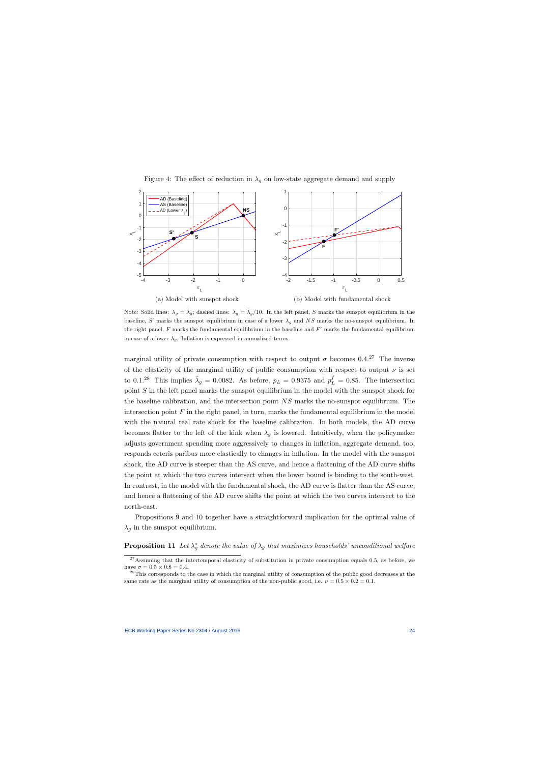

Figure 4: The effect of reduction in  $\lambda_q$  on low-state aggregate demand and supply

Note: Solid lines:  $\lambda_g = \bar{\lambda}_g$ ; dashed lines:  $\lambda_g = \bar{\lambda}_g/10$ . In the left panel, S marks the sunspot equilibrium in the baseline, S' marks the sunspot equilibrium in case of a lower  $\lambda_g$  and NS marks the no-sunspot equilibrium. In the right panel,  $F$  marks the fundamental equilibrium in the baseline and  $F'$  marks the fundamental equilibrium in case of a lower  $\lambda_g$ . Inflation is expressed in annualized terms.

marginal utility of private consumption with respect to output  $\sigma$  becomes 0.4.<sup>27</sup> The inverse of the elasticity of the marginal utility of public consumption with respect to output  $\nu$  is set to 0.1.<sup>28</sup> This implies  $\bar{\lambda}_g = 0.0082$ . As before,  $p_L = 0.9375$  and  $p_L^f = 0.85$ . The intersection point  $S$  in the left panel marks the sunspot equilibrium in the model with the sunspot shock for the baseline calibration, and the intersection point NS marks the no-sunspot equilibrium. The intersection point  $F$  in the right panel, in turn, marks the fundamental equilibrium in the model with the natural real rate shock for the baseline calibration. In both models, the AD curve becomes flatter to the left of the kink when  $\lambda_q$  is lowered. Intuitively, when the policymaker adjusts government spending more aggressively to changes in inflation, aggregate demand, too, responds ceteris paribus more elastically to changes in inflation. In the model with the sunspot shock, the AD curve is steeper than the AS curve, and hence a flattening of the AD curve shifts the point at which the two curves intersect when the lower bound is binding to the south-west. In contrast, in the model with the fundamental shock, the AD curve is flatter than the AS curve, and hence a flattening of the AD curve shifts the point at which the two curves intersect to the north-east.

Propositions 9 and 10 together have a straightforward implication for the optimal value of  $\lambda_g$  in the sunspot equilibrium.

# **Proposition 11** Let  $\lambda_g^*$  denote the value of  $\lambda_g$  that maximizes households' unconditional welfare

 $27$ Assuming that the intertemporal elasticity of substitution in private consumption equals 0.5, as before, we have  $\sigma = 0.5 \times 0.8 = 0.4$ .

<sup>&</sup>lt;sup>28</sup>This corresponds to the case in which the marginal utility of consumption of the public good decreases at the same rate as the marginal utility of consumption of the non-public good, i.e.  $\nu = 0.5 \times 0.2 = 0.1$ .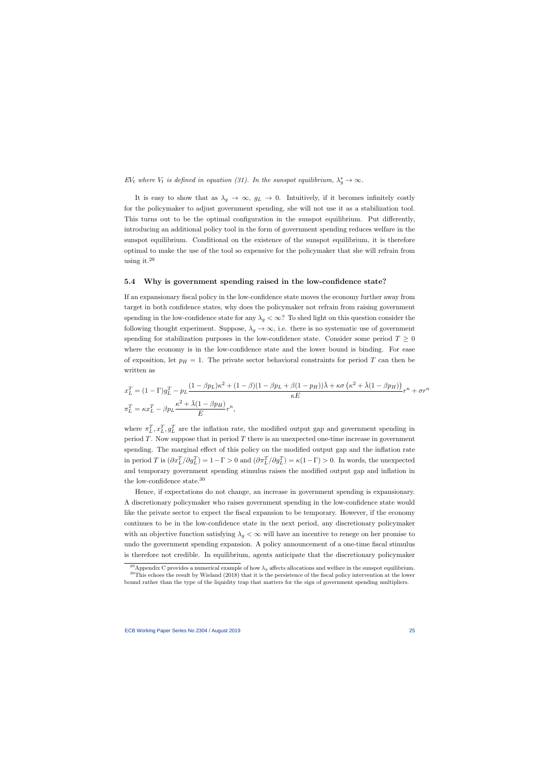EV<sub>t</sub> where  $V_t$  is defined in equation (31). In the sunspot equilibrium,  $\lambda_g^* \to \infty$ .

It is easy to show that as  $\lambda_g \to \infty$ ,  $g_L \to 0$ . Intuitively, if it becomes infinitely costly for the policymaker to adjust government spending, she will not use it as a stabilization tool. This turns out to be the optimal configuration in the sunspot equilibrium. Put differently, introducing an additional policy tool in the form of government spending reduces welfare in the sunspot equilibrium. Conditional on the existence of the sunspot equilibrium, it is therefore optimal to make the use of the tool so expensive for the policymaker that she will refrain from using it.<sup>29</sup>

#### 5.4 Why is government spending raised in the low-confidence state?

If an expansionary fiscal policy in the low-confidence state moves the economy further away from target in both confidence states, why does the policymaker not refrain from raising government spending in the low-confidence state for any  $\lambda_q < \infty$ ? To shed light on this question consider the following thought experiment. Suppose,  $\lambda_g \to \infty$ , i.e. there is no systematic use of government spending for stabilization purposes in the low-confidence state. Consider some period  $T \geq 0$ where the economy is in the low-confidence state and the lower bound is binding. For ease of exposition, let  $p_H = 1$ . The private sector behavioral constraints for period T can then be written as

$$
x_L^T = (1 - \Gamma)g_L^T - p_L \frac{(1 - \beta p_L)\kappa^2 + (1 - \beta)(1 - \beta p_L + \beta(1 - p_H))\bar{\lambda} + \kappa\sigma(\kappa^2 + \bar{\lambda}(1 - \beta p_H))}{\kappa E}r^n + \sigma r^n
$$
  

$$
\pi_L^T = \kappa x_L^T - \beta p_L \frac{\kappa^2 + \bar{\lambda}(1 - \beta p_H)}{E}r^n,
$$

where  $\pi_L^T, x_L^T, g_L^T$  are the inflation rate, the modified output gap and government spending in period  $T$ . Now suppose that in period  $T$  there is an unexpected one-time increase in government spending. The marginal effect of this policy on the modified output gap and the inflation rate in period T is  $(\partial x_L^T/\partial g_L^T) = 1 - \Gamma > 0$  and  $(\partial \pi_L^T/\partial g_L^T) = \kappa(1 - \Gamma) > 0$ . In words, the unexpected and temporary government spending stimulus raises the modified output gap and inflation in the low-confidence state.<sup>30</sup>

Hence, if expectations do not change, an increase in government spending is expansionary. A discretionary policymaker who raises government spending in the low-confidence state would like the private sector to expect the fiscal expansion to be temporary. However, if the economy continues to be in the low-confidence state in the next period, any discretionary policymaker with an objective function satisfying  $\lambda_g < \infty$  will have an incentive to renege on her promise to undo the government spending expansion. A policy announcement of a one-time fiscal stimulus is therefore not credible. In equilibrium, agents anticipate that the discretionary policymaker

<sup>&</sup>lt;sup>29</sup>Appendix C provides a numerical example of how  $\lambda_q$  affects allocations and welfare in the sunspot equilibrium.  $30$ This echoes the result by Wieland (2018) that it is the persistence of the fiscal policy intervention at the lower

bound rather than the type of the liquidity trap that matters for the sign of government spending multipliers.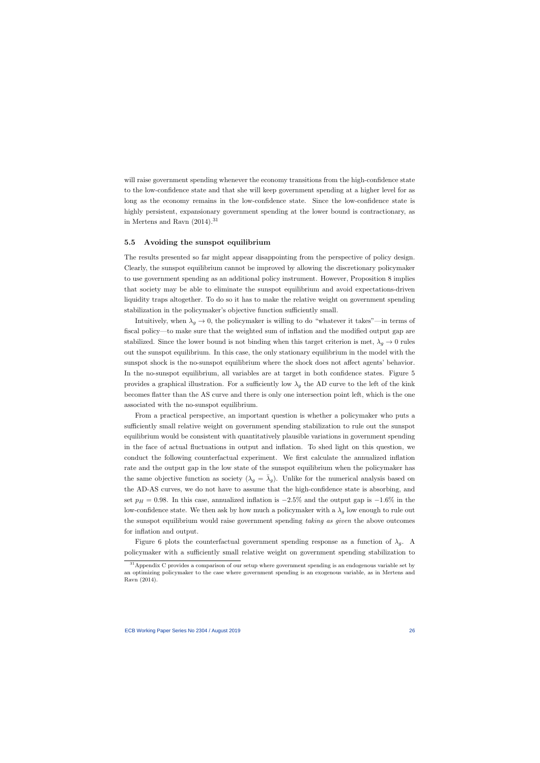will raise government spending whenever the economy transitions from the high-confidence state to the low-confidence state and that she will keep government spending at a higher level for as long as the economy remains in the low-confidence state. Since the low-confidence state is highly persistent, expansionary government spending at the lower bound is contractionary, as in Mertens and Ravn  $(2014).$ <sup>31</sup>

#### 5.5 Avoiding the sunspot equilibrium

The results presented so far might appear disappointing from the perspective of policy design. Clearly, the sunspot equilibrium cannot be improved by allowing the discretionary policymaker to use government spending as an additional policy instrument. However, Proposition 8 implies that society may be able to eliminate the sunspot equilibrium and avoid expectations-driven liquidity traps altogether. To do so it has to make the relative weight on government spending stabilization in the policymaker's objective function sufficiently small.

Intuitively, when  $\lambda_q \to 0$ , the policymaker is willing to do "whatever it takes"—in terms of fiscal policy—to make sure that the weighted sum of inflation and the modified output gap are stabilized. Since the lower bound is not binding when this target criterion is met,  $\lambda_g \to 0$  rules out the sunspot equilibrium. In this case, the only stationary equilibrium in the model with the sunspot shock is the no-sunspot equilibrium where the shock does not affect agents' behavior. In the no-sunspot equilibrium, all variables are at target in both confidence states. Figure 5 provides a graphical illustration. For a sufficiently low  $\lambda_q$  the AD curve to the left of the kink becomes flatter than the AS curve and there is only one intersection point left, which is the one associated with the no-sunspot equilibrium.

From a practical perspective, an important question is whether a policymaker who puts a sufficiently small relative weight on government spending stabilization to rule out the sunspot equilibrium would be consistent with quantitatively plausible variations in government spending in the face of actual fluctuations in output and inflation. To shed light on this question, we conduct the following counterfactual experiment. We first calculate the annualized inflation rate and the output gap in the low state of the sunspot equilibrium when the policymaker has the same objective function as society  $(\lambda_g = \overline{\lambda}_g)$ . Unlike for the numerical analysis based on the AD-AS curves, we do not have to assume that the high-confidence state is absorbing, and set  $p_H = 0.98$ . In this case, annualized inflation is  $-2.5\%$  and the output gap is  $-1.6\%$  in the low-confidence state. We then ask by how much a policymaker with a  $\lambda_q$  low enough to rule out the sunspot equilibrium would raise government spending taking as given the above outcomes for inflation and output.

Figure 6 plots the counterfactual government spending response as a function of  $\lambda_g$ . A policymaker with a sufficiently small relative weight on government spending stabilization to

<sup>&</sup>lt;sup>31</sup> Appendix C provides a comparison of our setup where government spending is an endogenous variable set by an optimizing policymaker to the case where government spending is an exogenous variable, as in Mertens and Ravn (2014).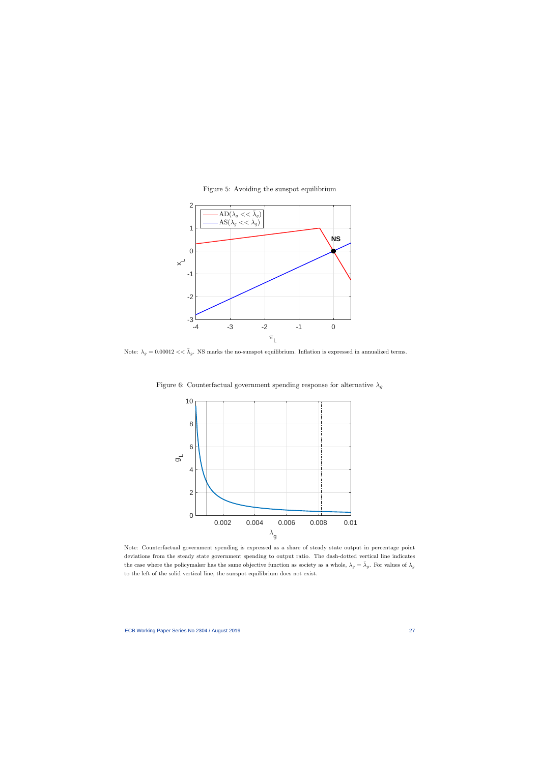

Figure 5: Avoiding the sunspot equilibrium

Note:  $\lambda_g = 0.00012 \ll \bar{\lambda}_g$ . NS marks the no-sunspot equilibrium. Inflation is expressed in annualized terms.



Figure 6: Counterfactual government spending response for alternative  $\lambda_g$ 

Note: Counterfactual government spending is expressed as a share of steady state output in percentage point deviations from the steady state government spending to output ratio. The dash-dotted vertical line indicates the case where the policymaker has the same objective function as society as a whole,  $\lambda_g = \bar{\lambda}_g$ . For values of  $\lambda_g$ to the left of the solid vertical line, the sunspot equilibrium does not exist.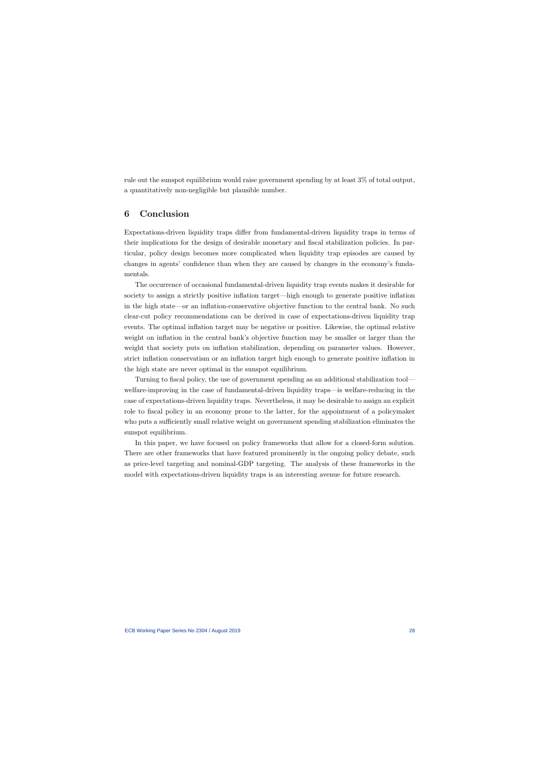rule out the sunspot equilibrium would raise government spending by at least 3% of total output, a quantitatively non-negligible but plausible number.

# 6 Conclusion

Expectations-driven liquidity traps differ from fundamental-driven liquidity traps in terms of their implications for the design of desirable monetary and fiscal stabilization policies. In particular, policy design becomes more complicated when liquidity trap episodes are caused by changes in agents' confidence than when they are caused by changes in the economy's fundamentals.

The occurrence of occasional fundamental-driven liquidity trap events makes it desirable for society to assign a strictly positive inflation target—high enough to generate positive inflation in the high state—or an inflation-conservative objective function to the central bank. No such clear-cut policy recommendations can be derived in case of expectations-driven liquidity trap events. The optimal inflation target may be negative or positive. Likewise, the optimal relative weight on inflation in the central bank's objective function may be smaller or larger than the weight that society puts on inflation stabilization, depending on parameter values. However, strict inflation conservatism or an inflation target high enough to generate positive inflation in the high state are never optimal in the sunspot equilibrium.

Turning to fiscal policy, the use of government spending as an additional stabilization tool welfare-improving in the case of fundamental-driven liquidity traps—is welfare-reducing in the case of expectations-driven liquidity traps. Nevertheless, it may be desirable to assign an explicit role to fiscal policy in an economy prone to the latter, for the appointment of a policymaker who puts a sufficiently small relative weight on government spending stabilization eliminates the sunspot equilibrium.

In this paper, we have focused on policy frameworks that allow for a closed-form solution. There are other frameworks that have featured prominently in the ongoing policy debate, such as price-level targeting and nominal-GDP targeting. The analysis of these frameworks in the model with expectations-driven liquidity traps is an interesting avenue for future research.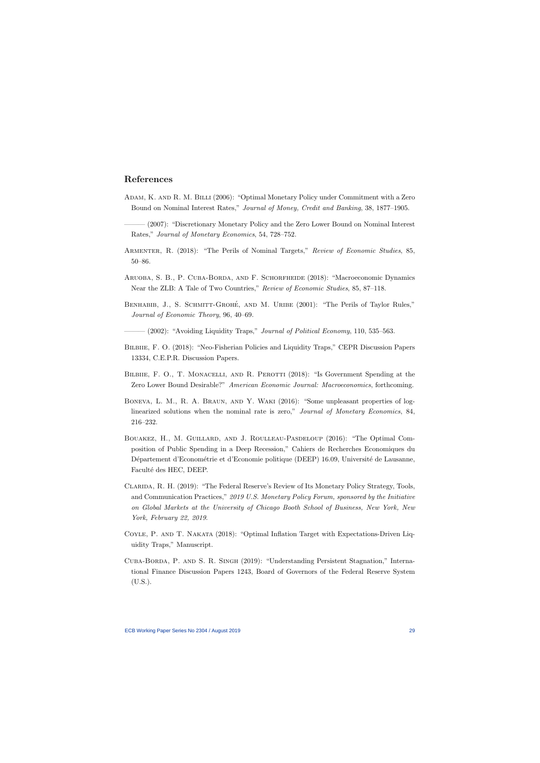## References

- Adam, K. and R. M. Billi (2006): "Optimal Monetary Policy under Commitment with a Zero Bound on Nominal Interest Rates," Journal of Money, Credit and Banking, 38, 1877–1905.
- ——— (2007): "Discretionary Monetary Policy and the Zero Lower Bound on Nominal Interest Rates," Journal of Monetary Economics, 54, 728–752.
- Armenter, R. (2018): "The Perils of Nominal Targets," Review of Economic Studies, 85, 50–86.
- Aruoba, S. B., P. Cuba-Borda, and F. Schorfheide (2018): "Macroeconomic Dynamics Near the ZLB: A Tale of Two Countries," Review of Economic Studies, 85, 87–118.
- BENHABIB, J., S. SCHMITT-GROHÉ, AND M. URIBE (2001): "The Perils of Taylor Rules," Journal of Economic Theory, 96, 40–69.
- $-$  (2002): "Avoiding Liquidity Traps," *Journal of Political Economy*, 110, 535–563.
- Bilbiie, F. O. (2018): "Neo-Fisherian Policies and Liquidity Traps," CEPR Discussion Papers 13334, C.E.P.R. Discussion Papers.
- BILBIIE, F. O., T. MONACELLI, AND R. PEROTTI (2018): "Is Government Spending at the Zero Lower Bound Desirable?" American Economic Journal: Macroeconomics, forthcoming.
- Boneva, L. M., R. A. Braun, and Y. Waki (2016): "Some unpleasant properties of loglinearized solutions when the nominal rate is zero," Journal of Monetary Economics, 84, 216–232.
- Bouakez, H., M. Guillard, and J. Roulleau-Pasdeloup (2016): "The Optimal Composition of Public Spending in a Deep Recession," Cahiers de Recherches Economiques du Département d'Econométrie et d'Economie politique (DEEP) 16.09, Université de Lausanne, Faculté des HEC, DEEP.
- Clarida, R. H. (2019): "The Federal Reserve's Review of Its Monetary Policy Strategy, Tools, and Communication Practices," 2019 U.S. Monetary Policy Forum, sponsored by the Initiative on Global Markets at the University of Chicago Booth School of Business, New York, New York, February 22, 2019.
- Coyle, P. and T. Nakata (2018): "Optimal Inflation Target with Expectations-Driven Liquidity Traps," Manuscript.
- Cuba-Borda, P. and S. R. Singh (2019): "Understanding Persistent Stagnation," International Finance Discussion Papers 1243, Board of Governors of the Federal Reserve System (U.S.).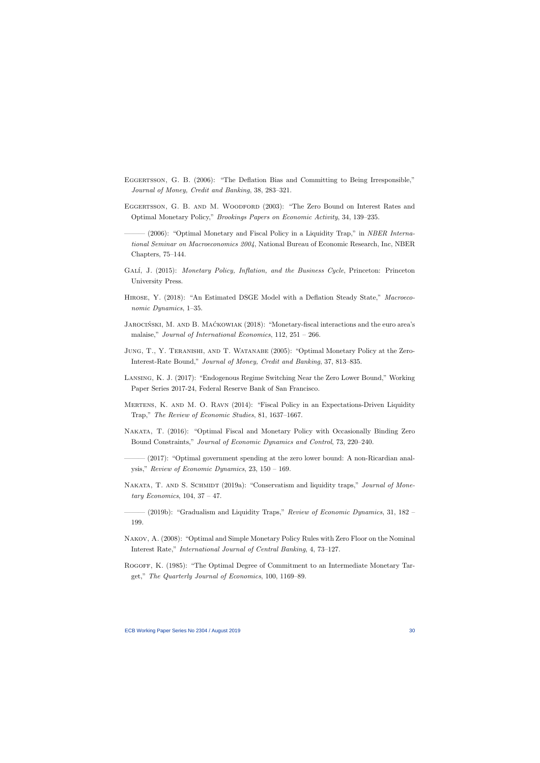- Eggertsson, G. B. (2006): "The Deflation Bias and Committing to Being Irresponsible," Journal of Money, Credit and Banking, 38, 283–321.
- EGGERTSSON, G. B. AND M. WOODFORD (2003): "The Zero Bound on Interest Rates and Optimal Monetary Policy," Brookings Papers on Economic Activity, 34, 139–235.
- $-$  (2006): "Optimal Monetary and Fiscal Policy in a Liquidity Trap," in NBER International Seminar on Macroeconomics 2004, National Bureau of Economic Research, Inc, NBER Chapters, 75–144.
- GALÍ, J. (2015): Monetary Policy, Inflation, and the Business Cycle, Princeton: Princeton University Press.
- HIROSE, Y. (2018): "An Estimated DSGE Model with a Deflation Steady State," Macroeconomic Dynamics, 1–35.
- JAROCIŃSKI, M. AND B. MAĆKOWIAK  $(2018)$ : "Monetary-fiscal interactions and the euro area's malaise," Journal of International Economics, 112, 251 – 266.
- Jung, T., Y. Teranishi, and T. Watanabe (2005): "Optimal Monetary Policy at the Zero-Interest-Rate Bound," Journal of Money, Credit and Banking, 37, 813–835.
- Lansing, K. J. (2017): "Endogenous Regime Switching Near the Zero Lower Bound," Working Paper Series 2017-24, Federal Reserve Bank of San Francisco.
- Mertens, K. and M. O. Ravn (2014): "Fiscal Policy in an Expectations-Driven Liquidity Trap," The Review of Economic Studies, 81, 1637–1667.
- Nakata, T. (2016): "Optimal Fiscal and Monetary Policy with Occasionally Binding Zero Bound Constraints," Journal of Economic Dynamics and Control, 73, 220–240.
- ——— (2017): "Optimal government spending at the zero lower bound: A non-Ricardian analysis," Review of Economic Dynamics, 23, 150 – 169.
- NAKATA, T. AND S. SCHMIDT (2019a): "Conservatism and liquidity traps," *Journal of Mone*tary Economics,  $104$ ,  $37 - 47$ .
- $-$  (2019b): "Gradualism and Liquidity Traps," Review of Economic Dynamics, 31, 182 199.
- Nakov, A. (2008): "Optimal and Simple Monetary Policy Rules with Zero Floor on the Nominal Interest Rate," International Journal of Central Banking, 4, 73–127.
- Rogoff, K. (1985): "The Optimal Degree of Commitment to an Intermediate Monetary Target," The Quarterly Journal of Economics, 100, 1169–89.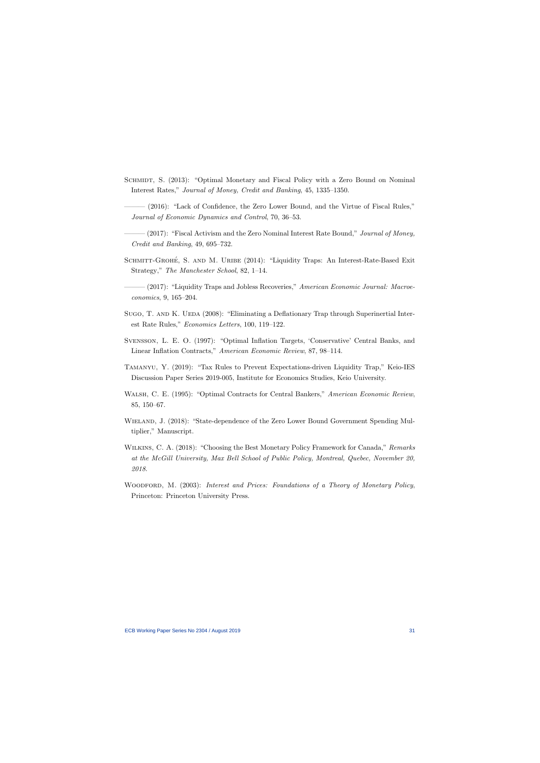- SCHMIDT, S. (2013): "Optimal Monetary and Fiscal Policy with a Zero Bound on Nominal Interest Rates," Journal of Money, Credit and Banking, 45, 1335–1350.
- ——— (2016): "Lack of Confidence, the Zero Lower Bound, and the Virtue of Fiscal Rules," Journal of Economic Dynamics and Control, 70, 36–53.
- $-(2017)$ : "Fiscal Activism and the Zero Nominal Interest Rate Bound," Journal of Money, Credit and Banking, 49, 695–732.
- SCHMITT-GROHÉ, S. AND M. URIBE  $(2014)$ : "Liquidity Traps: An Interest-Rate-Based Exit Strategy," The Manchester School, 82, 1–14.
- $-(2017)$ : "Liquidity Traps and Jobless Recoveries," American Economic Journal: Macroeconomics, 9, 165–204.
- Sugo, T. AND K. UEDA (2008): "Eliminating a Deflationary Trap through Superinertial Interest Rate Rules," Economics Letters, 100, 119–122.
- Svensson, L. E. O. (1997): "Optimal Inflation Targets, 'Conservative' Central Banks, and Linear Inflation Contracts," American Economic Review, 87, 98–114.
- Tamanyu, Y. (2019): "Tax Rules to Prevent Expectations-driven Liquidity Trap," Keio-IES Discussion Paper Series 2019-005, Institute for Economics Studies, Keio University.
- WALSH, C. E. (1995): "Optimal Contracts for Central Bankers," American Economic Review, 85, 150–67.
- WIELAND, J. (2018): "State-dependence of the Zero Lower Bound Government Spending Multiplier," Manuscript.
- WILKINS, C. A. (2018): "Choosing the Best Monetary Policy Framework for Canada," Remarks at the McGill University, Max Bell School of Public Policy, Montreal, Quebec, November 20, 2018.
- WOODFORD, M. (2003): Interest and Prices: Foundations of a Theory of Monetary Policy, Princeton: Princeton University Press.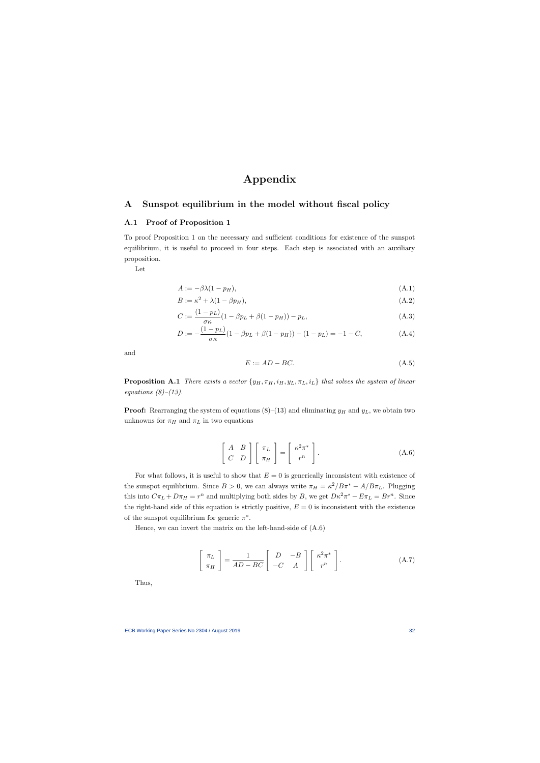# Appendix

## A Sunspot equilibrium in the model without fiscal policy

### A.1 Proof of Proposition 1

To proof Proposition 1 on the necessary and sufficient conditions for existence of the sunspot equilibrium, it is useful to proceed in four steps. Each step is associated with an auxiliary proposition.

Let

$$
A := -\beta \lambda (1 - p_H), \tag{A.1}
$$

$$
B := \kappa^2 + \lambda (1 - \beta p_H),\tag{A.2}
$$

$$
C := \frac{(1 - p_L)}{\sigma \kappa} (1 - \beta p_L + \beta (1 - p_H)) - p_L,
$$
\n(A.3)

$$
D := -\frac{(1 - p_L)}{\sigma \kappa} (1 - \beta p_L + \beta (1 - p_H)) - (1 - p_L) = -1 - C,
$$
 (A.4)

and

$$
E := AD - BC. \tag{A.5}
$$

**Proposition A.1** There exists a vector  $\{y_H, \pi_H, i_H, y_L, \pi_L, i_L\}$  that solves the system of linear equations  $(8)$ – $(13)$ .

**Proof:** Rearranging the system of equations  $(8)$ – $(13)$  and eliminating  $y_H$  and  $y_L$ , we obtain two unknowns for  $\pi_H$  and  $\pi_L$  in two equations

$$
\left[\begin{array}{cc} A & B \\ C & D \end{array}\right] \left[\begin{array}{c} \pi_L \\ \pi_H \end{array}\right] = \left[\begin{array}{c} \kappa^2 \pi^* \\ r^n \end{array}\right].
$$
 (A.6)

For what follows, it is useful to show that  $E = 0$  is generically inconsistent with existence of the sunspot equilibrium. Since  $B > 0$ , we can always write  $\pi_H = \kappa^2 / B \pi^* - A / B \pi_L$ . Plugging this into  $C\pi_L + D\pi_H = r^n$  and multiplying both sides by B, we get  $D\kappa^2 \pi^* - E\pi_L = Br^n$ . Since the right-hand side of this equation is strictly positive,  $E = 0$  is inconsistent with the existence of the sunspot equilibrium for generic  $\pi^*$ .

Hence, we can invert the matrix on the left-hand-side of (A.6)

$$
\left[\begin{array}{c}\pi_L\\\pi_H\end{array}\right] = \frac{1}{AD - BC} \left[\begin{array}{cc}D & -B\\-C & A\end{array}\right] \left[\begin{array}{c}\kappa^2 \pi^*\\r^n\end{array}\right].\tag{A.7}
$$

Thus,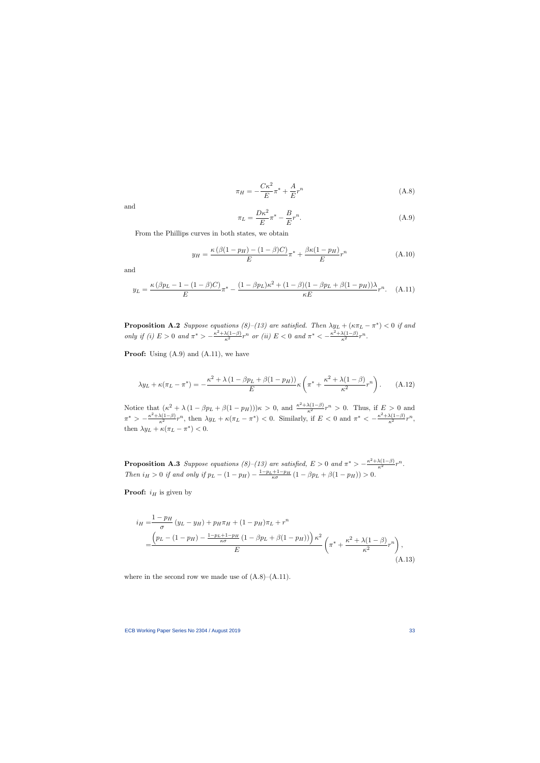$$
\pi_H = -\frac{C\kappa^2}{E}\pi^* + \frac{A}{E}r^n\tag{A.8}
$$

and

$$
\pi_L = \frac{D\kappa^2}{E} \pi^* - \frac{B}{E} r^n.
$$
\n(A.9)

From the Phillips curves in both states, we obtain

$$
y_H = \frac{\kappa \left(\beta (1 - p_H) - (1 - \beta) C\right)}{E} \pi^* + \frac{\beta \kappa (1 - p_H)}{E} r^n \tag{A.10}
$$

and

$$
y_L = \frac{\kappa (\beta p_L - 1 - (1 - \beta)C)}{E} \pi^* - \frac{(1 - \beta p_L)\kappa^2 + (1 - \beta)(1 - \beta p_L + \beta(1 - p_H))\lambda}{\kappa E} r^n. \tag{A.11}
$$

**Proposition A.2** Suppose equations  $(8)$ – $(13)$  are satisfied. Then  $\lambda y_L + (\kappa \pi_L - \pi^*)$  < 0 if and only if (i)  $E > 0$  and  $\pi^* > -\frac{\kappa^2 + \lambda(1-\beta)}{\kappa^2} r^n$  or (ii)  $E < 0$  and  $\pi^* < -\frac{\kappa^2 + \lambda(1-\beta)}{\kappa^2} r^n$ .

**Proof:** Using  $(A.9)$  and  $(A.11)$ , we have

$$
\lambda y_L + \kappa (\pi_L - \pi^*) = -\frac{\kappa^2 + \lambda (1 - \beta p_L + \beta (1 - p_H))}{E} \kappa \left( \pi^* + \frac{\kappa^2 + \lambda (1 - \beta)}{\kappa^2} r^n \right). \tag{A.12}
$$

Notice that  $(\kappa^2 + \lambda (1 - \beta p_L + \beta (1 - p_H)))\kappa > 0$ , and  $\frac{\kappa^2 + \lambda (1 - \beta)}{\kappa^2} r^n > 0$ . Thus, if  $E > 0$  and  $\pi^* > -\frac{\kappa^2 + \lambda(1-\beta)}{\kappa^2}r^n$ , then  $\lambda y_L + \kappa(\pi_L - \pi^*)$  < 0. Similarly, if  $E < 0$  and  $\pi^* < -\frac{\kappa^2 + \lambda(1-\beta)}{\kappa^2}r^n$ , then  $\lambda y_L + \kappa (\pi_L - \pi^*) < 0$ .

**Proposition A.3** Suppose equations (8)–(13) are satisfied,  $E > 0$  and  $\pi^* > -\frac{\kappa^2 + \lambda(1-\beta)}{\kappa^2}r^n$ . Then  $i_H > 0$  if and only if  $p_L - (1 - p_H) - \frac{1 - p_L + 1 - p_H}{\kappa \sigma} (1 - \beta p_L + \beta (1 - p_H)) > 0$ .

**Proof:**  $i_H$  is given by

$$
i_H = \frac{1 - p_H}{\sigma} (y_L - y_H) + p_H \pi_H + (1 - p_H) \pi_L + r^n
$$
  
= 
$$
\frac{\left( p_L - (1 - p_H) - \frac{1 - p_L + 1 - p_H}{\kappa \sigma} (1 - \beta p_L + \beta (1 - p_H)) \right) \kappa^2}{E} \left( \pi^* + \frac{\kappa^2 + \lambda (1 - \beta)}{\kappa^2} r^n \right),
$$
(A.13)

where in the second row we made use of  $(A.8)$ – $(A.11)$ .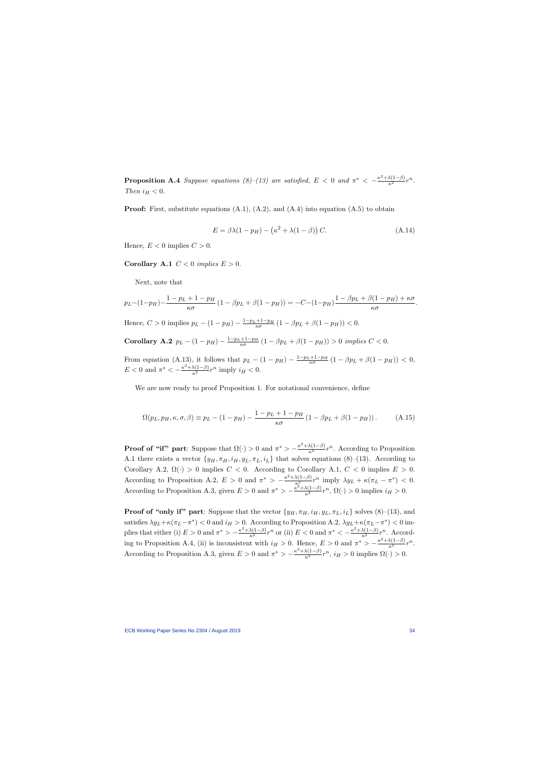**Proposition A.4** Suppose equations (8)–(13) are satisfied,  $E < 0$  and  $\pi^* < -\frac{\kappa^2 + \lambda(1-\beta)}{\kappa^2}r^n$ . Then  $i_H < 0$ .

**Proof:** First, substitute equations  $(A.1)$ ,  $(A.2)$ , and  $(A.4)$  into equation  $(A.5)$  to obtain

$$
E = \beta \lambda (1 - p_H) - (\kappa^2 + \lambda (1 - \beta)) C.
$$
 (A.14)

Hence,  $E < 0$  implies  $C > 0$ .

Corollary A.1  $C < 0$  implies  $E > 0$ .

Next, note that

$$
p_L - (1 - p_H) - \frac{1 - p_L + 1 - p_H}{\kappa \sigma} (1 - \beta p_L + \beta (1 - p_H)) = -C - (1 - p_H) \frac{1 - \beta p_L + \beta (1 - p_H) + \kappa \sigma}{\kappa \sigma}.
$$

Hence,  $C > 0$  implies  $p_L - (1 - p_H) - \frac{1 - p_L + 1 - p_H}{\kappa \sigma} (1 - \beta p_L + \beta (1 - p_H)) < 0$ .

Corollary A.2  $p_L - (1 - p_H) - \frac{1 - p_L + 1 - p_H}{\kappa \sigma} (1 - \beta p_L + \beta (1 - p_H)) > 0$  implies  $C < 0$ .

From equation (A.13), it follows that  $p_L - (1 - p_H) - \frac{1 - p_L + 1 - p_H}{\kappa \sigma} (1 - \beta p_L + \beta (1 - p_H)) < 0$ ,  $E < 0$  and  $\pi^* < -\frac{\kappa^2 + \lambda(1-\beta)}{\kappa^2} r^n$  imply  $i_H < 0$ .

We are now ready to proof Proposition 1. For notational convenience, define

$$
\Omega(p_L, p_H, \kappa, \sigma, \beta) \equiv p_L - (1 - p_H) - \frac{1 - p_L + 1 - p_H}{\kappa \sigma} (1 - \beta p_L + \beta (1 - p_H)). \tag{A.15}
$$

**Proof of "if" part**: Suppose that  $\Omega(\cdot) > 0$  and  $\pi^* > -\frac{\kappa^2 + \lambda(1-\beta)}{\kappa^2}r^n$ . According to Proposition A.1 there exists a vector  $\{y_H, \pi_H, i_H, y_L, \pi_L, i_L\}$  that solves equations (8)–(13). According to Corollary A.2,  $\Omega(\cdot) > 0$  implies  $C < 0$ . According to Corollary A.1,  $C < 0$  implies  $E > 0$ . According to Proposition A.2,  $E > 0$  and  $\pi^* > -\frac{\kappa^2 + \lambda(1-\beta)}{\kappa^2} r^n$  imply  $\lambda y_L + \kappa(\pi_L - \pi^*) < 0$ . According to Proposition A.3, given  $E > 0$  and  $\pi^* > -\frac{\kappa^2 + \lambda(1-\beta)}{\kappa^2}r^n$ ,  $\Omega(\cdot) > 0$  implies  $i_H > 0$ .

**Proof of "only if" part:** Suppose that the vector  $\{y_H, \pi_H, i_H, y_L, \pi_L, i_L\}$  solves (8)–(13), and satisfies  $\lambda y_L + \kappa (\pi_L - \pi^*)$  < 0 and  $i_H > 0$ . According to Proposition A.2,  $\lambda y_L + \kappa (\pi_L - \pi^*)$  < 0 implies that either (i)  $E > 0$  and  $\pi^* > -\frac{\kappa^2 + \lambda(1-\beta)}{\kappa^2} r^n$  or (ii)  $E < 0$  and  $\pi^* < -\frac{\kappa^2 + \lambda(1-\beta)}{\kappa^2} r^n$ . According to Proposition A.4, (ii) is inconsistent with  $i_H > 0$ . Hence,  $E > 0$  and  $\pi^* > -\frac{\kappa^2 + \lambda(1-\beta)}{\kappa^2}r^n$ . According to Proposition A.3, given  $E > 0$  and  $\pi^* > -\frac{\kappa^2 + \lambda(1-\beta)}{\kappa^2}r^n$ ,  $i_H > 0$  implies  $\Omega(\cdot) > 0$ .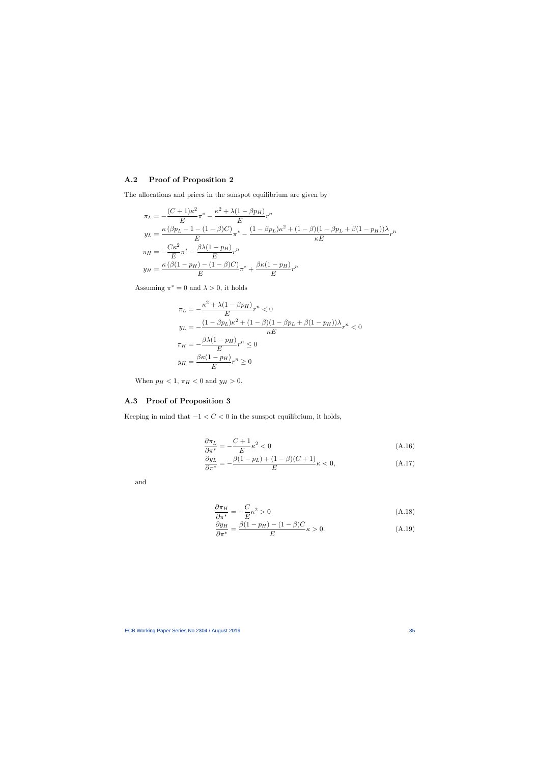# A.2 Proof of Proposition 2

The allocations and prices in the sunspot equilibrium are given by

$$
\pi_L = -\frac{(C+1)\kappa^2}{E} \pi^* - \frac{\kappa^2 + \lambda(1 - \beta p_H)}{E} r^n
$$
  
\n
$$
y_L = \frac{\kappa(\beta p_L - 1 - (1 - \beta)C)}{E} \pi^* - \frac{(1 - \beta p_L)\kappa^2 + (1 - \beta)(1 - \beta p_L + \beta(1 - p_H))\lambda}{\kappa E} r^n
$$
  
\n
$$
\pi_H = -\frac{C\kappa^2}{E} \pi^* - \frac{\beta \lambda(1 - p_H)}{E} r^n
$$
  
\n
$$
y_H = \frac{\kappa(\beta(1 - p_H) - (1 - \beta)C)}{E} \pi^* + \frac{\beta \kappa(1 - p_H)}{E} r^n
$$

Assuming  $\pi^* = 0$  and  $\lambda > 0$ , it holds

$$
\pi_L = -\frac{\kappa^2 + \lambda(1 - \beta p_H)}{E} r^n < 0
$$
  
\n
$$
y_L = -\frac{(1 - \beta p_L)\kappa^2 + (1 - \beta)(1 - \beta p_L + \beta(1 - p_H))\lambda}{\kappa E} r^n < 0
$$
  
\n
$$
\pi_H = -\frac{\beta \lambda (1 - p_H)}{E} r^n \le 0
$$
  
\n
$$
y_H = \frac{\beta \kappa (1 - p_H)}{E} r^n \ge 0
$$

When  $p_H < 1$ ,  $\pi_H < 0$  and  $y_H > 0$ .

# A.3 Proof of Proposition 3

Keeping in mind that  $-1 < C < 0$  in the sunspot equilibrium, it holds,

$$
\frac{\partial \pi_L}{\partial \pi^*} = -\frac{C+1}{E} \kappa^2 < 0 \tag{A.16}
$$

$$
\frac{\partial y_L}{\partial \pi^*} = -\frac{\beta(1 - p_L) + (1 - \beta)(C + 1)}{E} \kappa < 0,\tag{A.17}
$$

and

$$
\frac{\partial \pi_H}{\partial \pi^*} = -\frac{C}{E} \kappa^2 > 0 \tag{A.18}
$$

$$
\frac{\partial y_H}{\partial \pi^*} = \frac{\beta (1 - p_H) - (1 - \beta) C}{E} \kappa > 0.
$$
\n(A.19)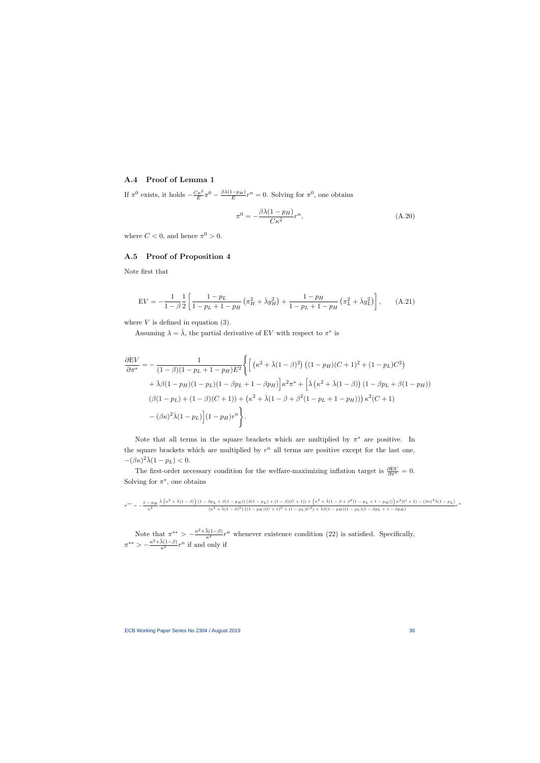### A.4 Proof of Lemma 1

If  $\pi^0$  exists, it holds  $-\frac{C\kappa^2}{E}$  $\frac{E\kappa^2}{E}\pi^0-\frac{\beta\lambda(1-p_H)}{E}$  $\frac{(-p_H)}{E}r^n = 0$ . Solving for  $\pi^0$ , one obtains

$$
\pi^0 = -\frac{\beta \lambda (1 - p_H)}{C\kappa^2} r^n,\tag{A.20}
$$

where  $C < 0$ , and hence  $\pi^0 > 0$ .

### A.5 Proof of Proposition 4

Note first that

$$
EV = -\frac{1}{1-\beta} \frac{1}{2} \left[ \frac{1-p_L}{1-p_L+1-p_H} \left( \pi_H^2 + \bar{\lambda} y_H^2 \right) + \frac{1-p_H}{1-p_L+1-p_H} \left( \pi_L^2 + \bar{\lambda} y_L^2 \right) \right], \quad (A.21)
$$

where  $V$  is defined in equation (3).

Assuming  $\lambda = \overline{\lambda}$ , the partial derivative of EV with respect to  $\pi^*$  is

$$
\frac{\partial EV}{\partial \pi^*} = -\frac{1}{(1-\beta)(1-p_L+1-p_H)E^2} \Biggl\{ \Biggl[ \left( \kappa^2 + \bar{\lambda}(1-\beta)^2 \right) \left( (1-p_H)(C+1)^2 + (1-p_L)C^2 \right) \n+ \bar{\lambda}\beta(1-p_H)(1-p_L)(1-\beta p_L+1-\beta p_H) \Biggr] \kappa^2 \pi^* + \Biggl[ \bar{\lambda} \left( \kappa^2 + \bar{\lambda}(1-\beta) \right) \left( 1 - \beta p_L + \beta(1-p_H) \right) \n\left( \beta(1-p_L) + (1-\beta)(C+1) \right) + \left( \kappa^2 + \bar{\lambda}(1-\beta+\beta^2(1-p_L+1-p_H)) \right) \kappa^2(C+1) \n- (\beta \kappa)^2 \bar{\lambda}(1-p_L) \Biggr] (1-p_H) r^n \Biggr\}.
$$

Note that all terms in the square brackets which are multiplied by  $\pi^*$  are positive. In the square brackets which are multiplied by  $r^n$  all terms are positive except for the last one,  $-(\beta \kappa)^2 \bar{\lambda} (1 - p_L) < 0.$ 

The first-order necessary condition for the welfare-maximizing inflation target is  $\frac{\partial EV}{\partial \pi^*} = 0$ . Solving for  $\pi^*$ , one obtains

$$
\pi^{**}=-\frac{1-p_H}{\kappa^2}\frac{\bar{\lambda}\left(\kappa^2+\bar{\lambda}(1-\beta)\right)(1-\beta p_L+\beta(1-p_H))\left(\beta(1-p_L)+(1-\beta)(C+1)\right)+\left(\kappa^2+\bar{\lambda}(1-\beta+\beta^2(1-p_L+1-p_H))\right)\kappa^2(C+1)-(\beta\kappa)^2\bar{\lambda}(1-p_L)}{(\kappa^2+\bar{\lambda}(1-\beta)^2)\left((1-p_H)(C+1)^2+(1-p_L)C^2\right)+\bar{\lambda}\beta(1-p_H)(1-p_L)(1-\beta p_L+1-\beta p_H)}
$$

Note that  $\pi^{**} > -\frac{\kappa^2 + \bar{\lambda}(1-\beta)}{\kappa^2} r^n$  whenever existence condition (22) is satisfied. Specifically,  $\pi^{**} > -\frac{\kappa^2 + \bar{\lambda}(1-\beta)}{\kappa^2} r^n$  if and only if

r n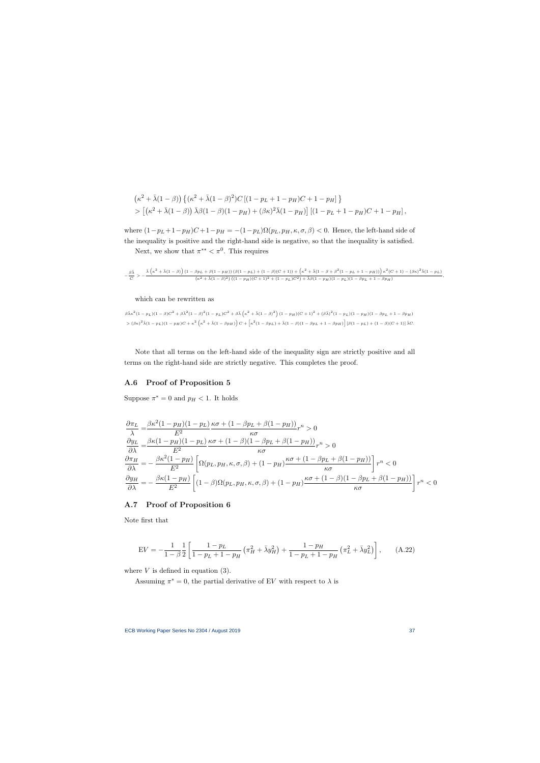$$
\begin{aligned} &\left(\kappa^2+\bar{\lambda}(1-\beta)\right)\left\{(\kappa^2+\bar{\lambda}(1-\beta)^2)C\left[(1-p_L+1-p_H)C+1-p_H\right]\right\} \\ &>\left[\left(\kappa^2+\bar{\lambda}(1-\beta)\right)\bar{\lambda}\beta(1-\beta)(1-p_H)+(\beta\kappa)^2\bar{\lambda}(1-p_H)\right]\left[(1-p_L+1-p_H)C+1-p_H\right], \end{aligned}
$$

where  $(1-p_L+1-p_H)C+1-p_H = -(1-p_L)\Omega(p_L, p_H, \kappa, \sigma, \beta) < 0$ . Hence, the left-hand side of the inequality is positive and the right-hand side is negative, so that the inequality is satisfied.

Next, we show that  $\pi^{**} < \pi^0$ . This requires

$$
-\frac{\beta\bar{\lambda}}{C}>-\frac{\bar{\lambda}\left(\kappa^2+\bar{\lambda}(1-\beta)\right)(1-\beta p_L+\beta(1-p_H))\left(\beta(1-p_L)+(1-\beta)(C+1)\right)+\left(\kappa^2+\bar{\lambda}(1-\beta+\beta^2(1-p_L+1-p_H))\right)\kappa^2(C+1)-(\beta\kappa)^2\bar{\lambda}(1-p_L)}{(\kappa^2+\bar{\lambda}(1-\beta)^2)\left((1-p_H)(C+1)^2+(1-p_L)C^2\right)+\bar{\lambda}\beta(1-p_H)(1-p_L)(1-\beta p_L+1-\beta p_H)},
$$

which can be rewritten as

 $\beta \bar{\lambda} \kappa^2 (1-p_L) (1-\beta) C^2 + \beta \bar{\lambda}^2 (1-\rho_L) C^2 + \beta \bar{\lambda} \left( \kappa^2 + \bar{\lambda} (1-\beta)^2 \right) (1-p_H) (C+1)^2 + (\beta \bar{\lambda})^2 (1-p_L) (1-p_H) (1-\beta p_L + 1-\beta p_H)$  $\frac{1}{2} \left[ (\beta \kappa)^2 \bar{\lambda} (1 - p_L) (1 - p_H) C + \kappa^2 \left( \kappa^2 + \bar{\lambda} (1 - \beta p_H) \right) C + \kappa^2 (1 - \beta p_L) + \bar{\lambda} (1 - \beta) (1 - \beta p_L + 1 - \beta p_H) \right] [\beta (1 - p_L) + (1 - \beta) (C + 1)] \bar{\lambda} C.$ 

Note that all terms on the left-hand side of the inequality sign are strictly positive and all terms on the right-hand side are strictly negative. This completes the proof.

#### A.6 Proof of Proposition 5

Suppose  $\pi^* = 0$  and  $p_H < 1$ . It holds

$$
\frac{\partial \pi_L}{\lambda} = \frac{\beta \kappa^2 (1 - p_H)(1 - p_L)}{E^2} \frac{\kappa \sigma + (1 - \beta p_L + \beta (1 - p_H))}{\kappa \sigma} r^n > 0
$$
\n
$$
\frac{\partial y_L}{\partial \lambda} = \frac{\beta \kappa (1 - p_H)(1 - p_L)}{E^2} \frac{\kappa \sigma + (1 - \beta)(1 - \beta p_L + \beta (1 - p_H))}{\kappa \sigma} r^n > 0
$$
\n
$$
\frac{\partial \pi_H}{\partial \lambda} = -\frac{\beta \kappa^2 (1 - p_H)}{E^2} \left[ \Omega(p_L, p_H, \kappa, \sigma, \beta) + (1 - p_H) \frac{\kappa \sigma + (1 - \beta p_L + \beta (1 - p_H))}{\kappa \sigma} \right] r^n < 0
$$
\n
$$
\frac{\partial y_H}{\partial \lambda} = -\frac{\beta \kappa (1 - p_H)}{E^2} \left[ (1 - \beta) \Omega(p_L, p_H, \kappa, \sigma, \beta) + (1 - p_H) \frac{\kappa \sigma + (1 - \beta)(1 - \beta p_L + \beta (1 - p_H))}{\kappa \sigma} \right] r^n < 0
$$

#### A.7 Proof of Proposition 6

Note first that

$$
EV = -\frac{1}{1-\beta} \frac{1}{2} \left[ \frac{1-p_L}{1-p_L+1-p_H} \left( \pi_H^2 + \bar{\lambda} y_H^2 \right) + \frac{1-p_H}{1-p_L+1-p_H} \left( \pi_L^2 + \bar{\lambda} y_L^2 \right) \right], \quad (A.22)
$$

where  $V$  is defined in equation (3).

Assuming  $\pi^* = 0$ , the partial derivative of EV with respect to  $\lambda$  is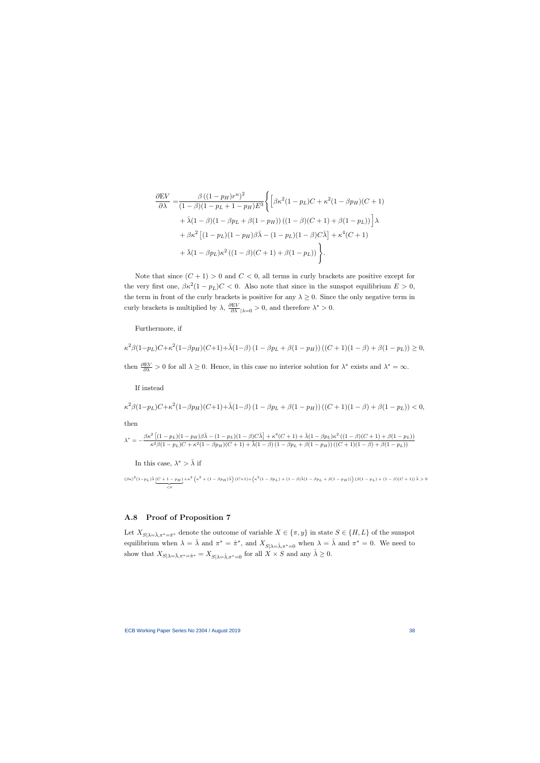$$
\frac{\partial EV}{\partial \lambda} = \frac{\beta ((1 - p_H)r^n)^2}{(1 - \beta)(1 - p_L + 1 - p_H)E^3} \Biggl\{ \Bigl[ \beta \kappa^2 (1 - p_L)C + \kappa^2 (1 - \beta p_H)(C + 1) + \bar{\lambda}(1 - \beta)(1 - \beta p_L + \beta(1 - p_H)) ((1 - \beta)(C + 1) + \beta(1 - p_L)) \Bigr] \lambda
$$
  
+  $\beta \kappa^2 \Bigl[ (1 - p_L)(1 - p_H)\beta \bar{\lambda} - (1 - p_L)(1 - \beta)C \bar{\lambda} \Bigr] + \kappa^4 (C + 1)$   
+  $\bar{\lambda}(1 - \beta p_L) \kappa^2 ((1 - \beta)(C + 1) + \beta(1 - p_L)) \Biggr\}.$ 

Note that since  $(C + 1) > 0$  and  $C < 0$ , all terms in curly brackets are positive except for the very first one,  $\beta \kappa^2 (1 - p_L) C < 0$ . Also note that since in the sunspot equilibrium  $E > 0$ , the term in front of the curly brackets is positive for any  $\lambda \geq 0$ . Since the only negative term in curly brackets is multiplied by  $\lambda$ ,  $\frac{\partial EV}{\partial \lambda}\Big|_{\lambda=0} > 0$ , and therefore  $\lambda^* > 0$ .

Furthermore, if

$$
\kappa^2 \beta (1 - p_L) C + \kappa^2 (1 - \beta p_H) (C + 1) + \bar{\lambda} (1 - \beta) (1 - \beta p_L + \beta (1 - p_H)) ((C + 1)(1 - \beta) + \beta (1 - p_L)) \ge 0,
$$

then  $\frac{\partial EV}{\partial \lambda} > 0$  for all  $\lambda \geq 0$ . Hence, in this case no interior solution for  $\lambda^*$  exists and  $\lambda^* = \infty$ .

If instead

$$
\kappa^2 \beta (1 - p_L) C + \kappa^2 (1 - \beta p_H) (C + 1) + \bar{\lambda} (1 - \beta) (1 - \beta p_L + \beta (1 - p_H)) ((C + 1)(1 - \beta) + \beta (1 - p_L)) < 0,
$$

then

$$
\lambda^* = -\frac{\beta \kappa^2 \left[ (1-p_L)(1-p_H) \beta \bar{\lambda} - (1-p_L)(1-\beta) C \bar{\lambda} \right] + \kappa^4 (C+1) + \bar{\lambda} (1-\beta p_L) \kappa^2 \left( (1-\beta) (C+1) + \beta (1-p_L) \right)}{\kappa^2 \beta (1-p_L) C + \kappa^2 (1-\beta p_H) (C+1) + \bar{\lambda} (1-\beta) \left( 1-\beta p_L + \beta (1-p_H) \right) \left( (C+1)(1-\beta) + \beta (1-p_L) \right)}
$$

In this case,  $\lambda^* > \bar{\lambda}$  if

 $(\beta \kappa)^2 (1-p_L) \bar{\lambda} (C+1-p_H)$  $\lt 0$  $+\kappa^2 \left(\kappa^2 + (1-\beta p_H) \bar{\lambda}\right) (C+1) + \left(\kappa^2 (1-\beta p_L) + (1-\beta) \bar{\lambda}(1-\beta p_L + \beta (1-p_H))\right) (\beta (1-p_L) + (1-\beta) (C+1)) \bar{\lambda} > 0$ 

## A.8 Proof of Proposition 7

Let  $X_{S|\lambda=\bar{\lambda},\pi^*=\hat{\pi}^*}$  denote the outcome of variable  $X \in {\pi, y}$  in state  $S \in {\{H, L\}}$  of the sunspot equilibrium when  $\lambda = \overline{\lambda}$  and  $\pi^* = \hat{\pi}^*$ , and  $X_{S|\lambda = \hat{\lambda}, \pi^* = 0}$  when  $\lambda = \hat{\lambda}$  and  $\pi^* = 0$ . We need to show that  $X_{S|\lambda=\bar{\lambda},\pi^*=\hat{\pi}^*}=X_{S|\lambda=\hat{\lambda},\pi^*=0}$  for all  $X\times S$  and any  $\hat{\lambda}\geq 0$ .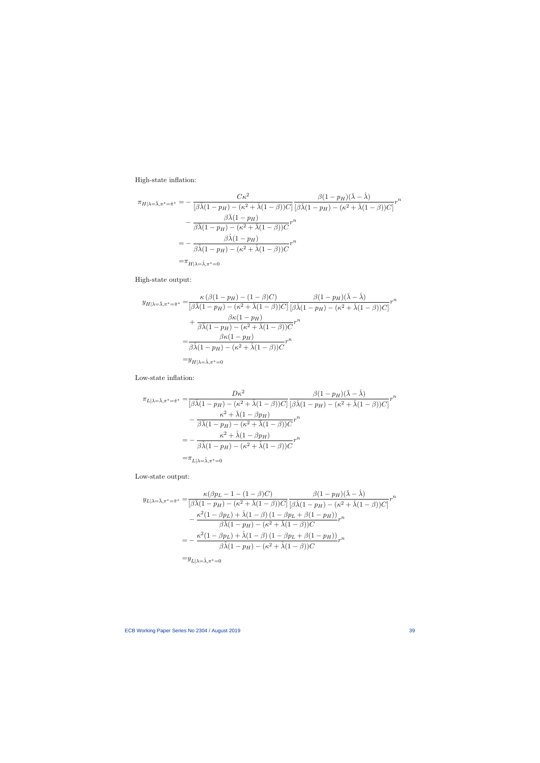High-state inflation:

$$
\pi_{H|\lambda=\bar{\lambda},\pi^*=\hat{\pi}^*} = -\frac{C\kappa^2}{[\beta\bar{\lambda}(1-p_H) - (\kappa^2 + \bar{\lambda}(1-\beta))C]} \frac{\beta(1-p_H)(\bar{\lambda} - \hat{\lambda})}{[\beta\hat{\lambda}(1-p_H) - (\kappa^2 + \hat{\lambda}(1-\beta))C]} r^n
$$

$$
-\frac{\beta\bar{\lambda}(1-p_H)}{\beta\bar{\lambda}(1-p_H) - (\kappa^2 + \bar{\lambda}(1-\beta))C} r^n
$$

$$
= -\frac{\beta\hat{\lambda}(1-p_H)}{\beta\hat{\lambda}(1-p_H) - (\kappa^2 + \hat{\lambda}(1-\beta))C} r^n
$$

$$
= \pi_{H|\lambda=\hat{\lambda},\pi^*=0}
$$

High-state output:

$$
y_{H|\lambda=\bar{\lambda},\pi^*=\hat{\pi}^*} = \frac{\kappa (\beta(1-p_H) - (1-\beta)C)}{[\beta\bar{\lambda}(1-p_H) - (\kappa^2 + \bar{\lambda}(1-\beta))C]} \frac{\beta(1-p_H)(\bar{\lambda} - \hat{\lambda})}{[\beta\hat{\lambda}(1-p_H) - (\kappa^2 + \hat{\lambda}(1-\beta))C]} r^n
$$
  
+ 
$$
\frac{\beta\kappa(1-p_H)}{\beta\bar{\lambda}(1-p_H) - (\kappa^2 + \bar{\lambda}(1-\beta))C} r^n
$$
  
= 
$$
\frac{\beta\kappa(1-p_H)}{\beta\bar{\lambda}(1-p_H) - (\kappa^2 + \hat{\lambda}(1-\beta))C} r^n
$$
  
= 
$$
y_{H|\lambda=\hat{\lambda},\pi^*=0}
$$

Low-state inflation:

$$
\pi_{L|\lambda=\bar{\lambda},\pi^{*}=\hat{\pi}^{*}} = \frac{D\kappa^{2}}{[\beta\bar{\lambda}(1-p_{H}) - (\kappa^{2} + \bar{\lambda}(1-\beta))C]} \frac{\beta(1-p_{H})(\bar{\lambda}-\hat{\lambda})}{[\beta\hat{\lambda}(1-p_{H}) - (\kappa^{2} + \hat{\lambda}(1-\beta))C]} r^{n}
$$

$$
- \frac{\kappa^{2} + \bar{\lambda}(1-\beta p_{H})}{\beta\bar{\lambda}(1-p_{H}) - (\kappa^{2} + \bar{\lambda}(1-\beta))C} r^{n}
$$

$$
= -\frac{\kappa^{2} + \hat{\lambda}(1-\beta p_{H})}{\beta\hat{\lambda}(1-p_{H}) - (\kappa^{2} + \hat{\lambda}(1-\beta))C} r^{n}
$$

$$
= \pi_{L|\lambda=\hat{\lambda},\pi^{*}=0}
$$

Low-state output:

$$
y_{L|\lambda=\bar{\lambda},\pi^*=\hat{\pi}^*} = \frac{\kappa(\beta p_L - 1 - (1 - \beta)C)}{[\beta\bar{\lambda}(1 - p_H) - (\kappa^2 + \bar{\lambda}(1 - \beta))C]} \frac{\beta(1 - p_H)(\bar{\lambda} - \hat{\lambda})}{[\beta\hat{\lambda}(1 - p_H) - (\kappa^2 + \hat{\lambda}(1 - \beta))C]} r^n
$$
  

$$
- \frac{\kappa^2(1 - \beta p_L) + \bar{\lambda}(1 - \beta)(1 - \beta p_L + \beta(1 - p_H))}{\beta\bar{\lambda}(1 - p_H) - (\kappa^2 + \bar{\lambda}(1 - \beta))C} r^n
$$
  

$$
= -\frac{\kappa^2(1 - \beta p_L) + \hat{\lambda}(1 - \beta)(1 - \beta p_L + \beta(1 - p_H))}{\beta\hat{\lambda}(1 - p_H) - (\kappa^2 + \hat{\lambda}(1 - \beta))C} r^n
$$
  

$$
= y_{L|\lambda=\hat{\lambda},\pi^*=0}
$$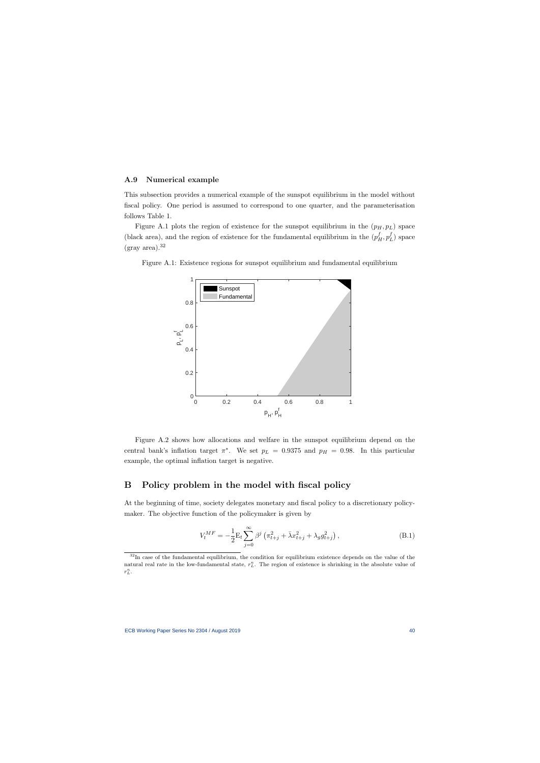#### A.9 Numerical example

This subsection provides a numerical example of the sunspot equilibrium in the model without fiscal policy. One period is assumed to correspond to one quarter, and the parameterisation follows Table 1.

Figure A.1 plots the region of existence for the sunspot equilibrium in the  $(p_H, p_L)$  space (black area), and the region of existence for the fundamental equilibrium in the  $(p_H^f, p_I^f)$  $L_L$ ) space  $(gray area).<sup>32</sup>$ 

Figure A.1: Existence regions for sunspot equilibrium and fundamental equilibrium



Figure A.2 shows how allocations and welfare in the sunspot equilibrium depend on the central bank's inflation target  $\pi^*$ . We set  $p_L = 0.9375$  and  $p_H = 0.98$ . In this particular example, the optimal inflation target is negative.

## B Policy problem in the model with fiscal policy

At the beginning of time, society delegates monetary and fiscal policy to a discretionary policymaker. The objective function of the policymaker is given by

$$
V_t^{MF} = -\frac{1}{2} \mathcal{E}_t \sum_{j=0}^{\infty} \beta^j \left( \pi_{t+j}^2 + \bar{\lambda} x_{t+j}^2 + \lambda_g g_{t+j}^2 \right), \tag{B.1}
$$

<sup>&</sup>lt;sup>32</sup>In case of the fundamental equilibrium, the condition for equilibrium existence depends on the value of the natural real rate in the low-fundamental state,  $r_L^n$ . The region of existence is shrinking in the absolute value of  $r_L^n$ .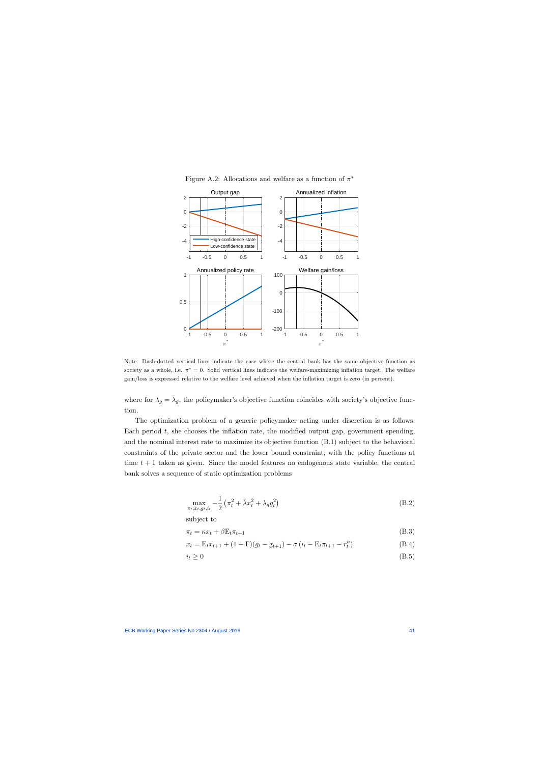

Figure A.2: Allocations and welfare as a function of  $\pi^*$ 

Note: Dash-dotted vertical lines indicate the case where the central bank has the same objective function as society as a whole, i.e.  $\pi^* = 0$ . Solid vertical lines indicate the welfare-maximizing inflation target. The welfare gain/loss is expressed relative to the welfare level achieved when the inflation target is zero (in percent).

where for  $\lambda_g = \bar{\lambda}_g$ , the policymaker's objective function coincides with society's objective function.

The optimization problem of a generic policymaker acting under discretion is as follows. Each period  $t$ , she chooses the inflation rate, the modified output gap, government spending, and the nominal interest rate to maximize its objective function (B.1) subject to the behavioral constraints of the private sector and the lower bound constraint, with the policy functions at time  $t + 1$  taken as given. Since the model features no endogenous state variable, the central bank solves a sequence of static optimization problems

$$
\max_{\pi_t, x_t, g_t, i_t} -\frac{1}{2} \left( \pi_t^2 + \bar{\lambda} x_t^2 + \lambda_g g_t^2 \right)
$$
 (B.2)

subject to

$$
\pi_t = \kappa x_t + \beta E_t \pi_{t+1} \tag{B.3}
$$

$$
x_t = \mathcal{E}_t x_{t+1} + (1 - \Gamma)(g_t - g_{t+1}) - \sigma (i_t - \mathcal{E}_t \pi_{t+1} - r_t^n)
$$
(B.4)

$$
i_t \ge 0 \tag{B.5}
$$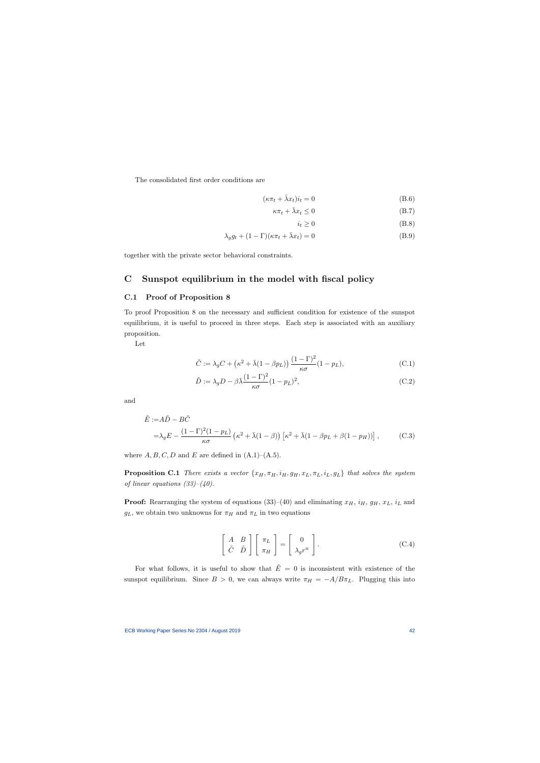The consolidated first order conditions are

$$
(\kappa \pi_t + \bar{\lambda} x_t) i_t = 0 \tag{B.6}
$$

$$
\kappa \pi_t + \bar{\lambda} x_t \le 0 \tag{B.7}
$$

 $i_t \geq 0$  (B.8)

$$
\lambda_g g_t + (1 - \Gamma)(\kappa \pi_t + \bar{\lambda} x_t) = 0 \tag{B.9}
$$

together with the private sector behavioral constraints.

# C Sunspot equilibrium in the model with fiscal policy

#### C.1 Proof of Proposition 8

To proof Proposition 8 on the necessary and sufficient condition for existence of the sunspot equilibrium, it is useful to proceed in three steps. Each step is associated with an auxiliary proposition.

Let

$$
\tilde{C} := \lambda_g C + \left(\kappa^2 + \bar{\lambda} (1 - \beta p_L)\right) \frac{(1 - \Gamma)^2}{\kappa \sigma} (1 - p_L),\tag{C.1}
$$

$$
\tilde{D} := \lambda_g D - \beta \bar{\lambda} \frac{(1 - \Gamma)^2}{\kappa \sigma} (1 - p_L)^2,
$$
\n(C.2)

and

$$
\tilde{E} := A\tilde{D} - B\tilde{C}
$$
\n
$$
= \lambda_g E - \frac{(1 - \Gamma)^2 (1 - p_L)}{\kappa \sigma} \left(\kappa^2 + \bar{\lambda}(1 - \beta)\right) \left[\kappa^2 + \bar{\lambda}(1 - \beta p_L + \beta(1 - p_H))\right],
$$
\n(C.3)

where  $A, B, C, D$  and E are defined in  $(A.1)$ – $(A.5)$ .

**Proposition C.1** There exists a vector  $\{x_H, \pi_H, i_H, g_H, x_L, \pi_L, i_L, g_L\}$  that solves the system of linear equations  $(33)-(40)$ .

**Proof:** Rearranging the system of equations (33)–(40) and eliminating  $x_H$ ,  $i_H$ ,  $g_H$ ,  $x_L$ ,  $i_L$  and  $g_L$ , we obtain two unknowns for  $\pi_H$  and  $\pi_L$  in two equations

$$
\left[\begin{array}{cc} A & B \\ \tilde{C} & \tilde{D} \end{array}\right] \left[\begin{array}{c} \pi_L \\ \pi_H \end{array}\right] = \left[\begin{array}{c} 0 \\ \lambda_g r^n \end{array}\right].
$$
 (C.4)

For what follows, it is useful to show that  $\tilde{E} = 0$  is inconsistent with existence of the sunspot equilibrium. Since  $B > 0$ , we can always write  $\pi_H = -A/B\pi_L$ . Plugging this into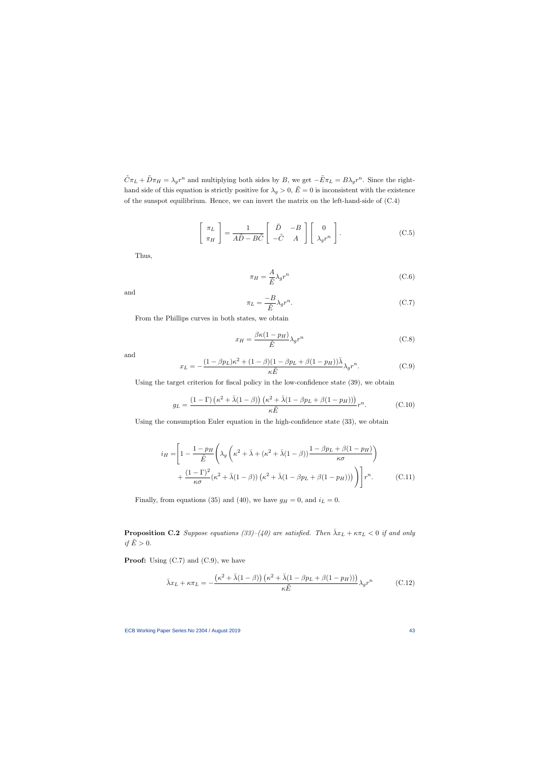$\tilde{C}\pi_L + \tilde{D}\pi_H = \lambda_g r^n$  and multiplying both sides by B, we get  $-\tilde{E}\pi_L = B\lambda_g r^n$ . Since the righthand side of this equation is strictly positive for  $\lambda_g > 0$ ,  $\tilde{E} = 0$  is inconsistent with the existence of the sunspot equilibrium. Hence, we can invert the matrix on the left-hand-side of (C.4)

$$
\begin{bmatrix} \pi_L \\ \pi_H \end{bmatrix} = \frac{1}{A\tilde{D} - B\tilde{C}} \begin{bmatrix} \tilde{D} & -B \\ -\tilde{C} & A \end{bmatrix} \begin{bmatrix} 0 \\ \lambda_g r^n \end{bmatrix} .
$$
 (C.5)

Thus,

$$
\pi_H = \frac{A}{\tilde{E}} \lambda_g r^n \tag{C.6}
$$

and

$$
\pi_L = \frac{-B}{\tilde{E}} \lambda_g r^n. \tag{C.7}
$$

From the Phillips curves in both states, we obtain

$$
x_H = \frac{\beta \kappa (1 - p_H)}{\tilde{E}} \lambda_g r^n \tag{C.8}
$$

and

$$
x_L = -\frac{(1 - \beta p_L)\kappa^2 + (1 - \beta)(1 - \beta p_L + \beta(1 - p_H))\bar{\lambda}}{\kappa \tilde{E}} \lambda_g r^n.
$$
 (C.9)

Using the target criterion for fiscal policy in the low-confidence state (39), we obtain

$$
g_L = \frac{(1 - \Gamma)\left(\kappa^2 + \bar{\lambda}(1 - \beta)\right)\left(\kappa^2 + \bar{\lambda}(1 - \beta p_L + \beta(1 - p_H))\right)}{\kappa \tilde{E}} r^n.
$$
 (C.10)

Using the consumption Euler equation in the high-confidence state (33), we obtain

$$
i_H = \left[1 - \frac{1 - p_H}{\tilde{E}} \left( \lambda_g \left( \kappa^2 + \bar{\lambda} + (\kappa^2 + \bar{\lambda}(1 - \beta)) \frac{1 - \beta p_L + \beta (1 - p_H)}{\kappa \sigma} \right) + \frac{(1 - \Gamma)^2}{\kappa \sigma} (\kappa^2 + \bar{\lambda}(1 - \beta)) (\kappa^2 + \bar{\lambda}(1 - \beta p_L + \beta (1 - p_H))) \right) \right] r^n.
$$
 (C.11)

Finally, from equations (35) and (40), we have  $g_H = 0$ , and  $i_L = 0$ .

**Proposition C.2** Suppose equations (33)–(40) are satisfied. Then  $\bar{\lambda}x_L + \kappa \pi_L < 0$  if and only if  $\tilde{E} > 0$ .

**Proof:** Using  $(C.7)$  and  $(C.9)$ , we have

$$
\bar{\lambda}x_L + \kappa \pi_L = -\frac{\left(\kappa^2 + \bar{\lambda}(1-\beta)\right)\left(\kappa^2 + \bar{\lambda}(1-\beta p_L + \beta(1-p_H))\right)}{\kappa \tilde{E}} \lambda_g r^n \tag{C.12}
$$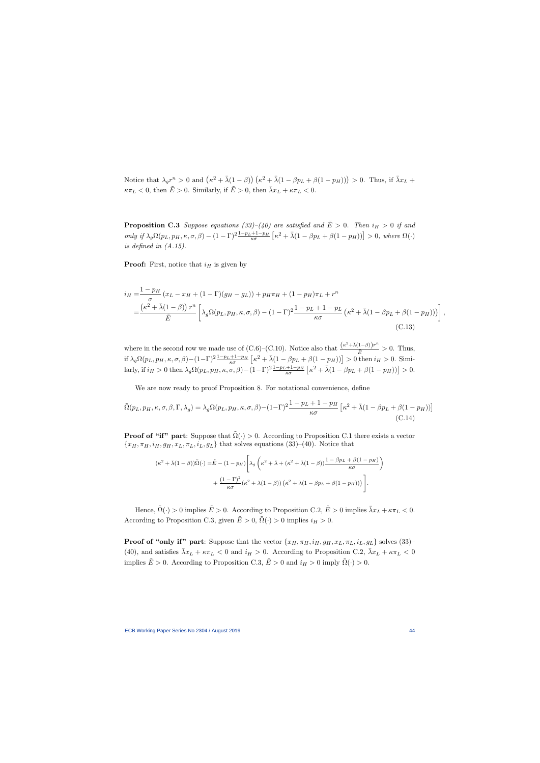Notice that  $\lambda_g r^n > 0$  and  $(\kappa^2 + \bar{\lambda}(1-\beta))(\kappa^2 + \bar{\lambda}(1-\beta p_L + \beta(1-p_H))) > 0$ . Thus, if  $\bar{\lambda}x_L$  +  $\kappa \pi_L < 0$ , then  $\tilde{E} > 0$ . Similarly, if  $\tilde{E} > 0$ , then  $\bar{\lambda} x_L + \kappa \pi_L < 0$ .

**Proposition C.3** Suppose equations (33)–(40) are satisfied and  $\tilde{E} > 0$ . Then  $i_H > 0$  if and only if  $\lambda_g \Omega(p_L, p_H, \kappa, \sigma, \beta) - (1 - \Gamma)^2 \frac{1 - p_L + 1 - p_H}{\kappa \sigma} \left[ \kappa^2 + \bar{\lambda} (1 - \beta p_L + \beta (1 - p_H)) \right] > 0$ , where  $\Omega(\cdot)$ is defined in (A.15).

**Proof:** First, notice that  $i_H$  is given by

$$
i_H = \frac{1 - p_H}{\sigma} (x_L - x_H + (1 - \Gamma)(g_H - g_L)) + p_H \pi_H + (1 - p_H) \pi_L + r^n
$$
  
= 
$$
\frac{(\kappa^2 + \bar{\lambda}(1 - \beta)) r^n}{\tilde{E}} \left[ \lambda_g \Omega(p_L, p_H, \kappa, \sigma, \beta) - (1 - \Gamma)^2 \frac{1 - p_L + 1 - p_L}{\kappa \sigma} (\kappa^2 + \bar{\lambda}(1 - \beta p_L + \beta(1 - p_H))) \right]
$$
(C.13)

where in the second row we made use of  $(C.6)$ – $(C.10)$ . Notice also that  $\frac{(\kappa^2 + \bar{\lambda}(1-\beta))r^n}{\tilde{E}} > 0$ . Thus, if  $\lambda_g \Omega(p_L, p_H, \kappa, \sigma, \beta) - (1 - \Gamma)^2 \frac{1 - p_L + 1 - p_H}{\kappa \sigma} \left[ \kappa^2 + \bar{\lambda} (1 - \beta p_L + \beta (1 - p_H)) \right] > 0$  then  $i_H > 0$ . Similarly, if  $i_H > 0$  then  $\lambda_g \Omega(p_L, p_H, \kappa, \sigma, \beta) - (1 - \Gamma)^2 \frac{1 - p_L + 1 - p_H}{\kappa \sigma} \left[ \kappa^2 + \bar{\lambda} (1 - \beta p_L + \beta (1 - p_H)) \right] > 0.$ 

We are now ready to proof Proposition 8. For notational convenience, define

$$
\tilde{\Omega}(p_L, p_H, \kappa, \sigma, \beta, \Gamma, \lambda_g) = \lambda_g \Omega(p_L, p_H, \kappa, \sigma, \beta) - (1 - \Gamma)^2 \frac{1 - p_L + 1 - p_H}{\kappa \sigma} \left[ \kappa^2 + \bar{\lambda} (1 - \beta p_L + \beta (1 - p_H)) \right]
$$
\n(C.14)

**Proof of "if" part:** Suppose that  $\tilde{\Omega}(\cdot) > 0$ . According to Proposition C.1 there exists a vector  ${x_H, \pi_H, i_H, g_H, x_L, \pi_L, i_L, g_L}$  that solves equations (33)–(40). Notice that

$$
(\kappa^2 + \bar{\lambda}(1-\beta))\tilde{\Omega}(\cdot) = \tilde{E} - (1 - p_H) \left[ \lambda_g \left( \kappa^2 + \bar{\lambda} + (\kappa^2 + \bar{\lambda}(1-\beta)) \frac{1 - \beta p_L + \beta(1 - p_H)}{\kappa \sigma} \right) + \frac{(1-\Gamma)^2}{\kappa \sigma} (\kappa^2 + \lambda(1-\beta)) (\kappa^2 + \lambda(1 - \beta p_L + \beta(1 - p_H))) \right].
$$

Hence,  $\tilde{\Omega}(\cdot) > 0$  implies  $\tilde{E} > 0$ . According to Proposition C.2,  $\tilde{E} > 0$  implies  $\bar{\lambda}x_L + \kappa \pi_L < 0$ . According to Proposition C.3, given  $\tilde{E} > 0$ ,  $\tilde{\Omega}(\cdot) > 0$  implies  $i_H > 0$ .

**Proof of "only if" part:** Suppose that the vector  $\{x_H, \pi_H, i_H, g_H, x_L, \pi_L, i_L, g_L\}$  solves (33)– (40), and satisfies  $\bar{\lambda}x_L + \kappa \pi_L < 0$  and  $i_H > 0$ . According to Proposition C.2,  $\bar{\lambda}x_L + \kappa \pi_L < 0$ implies  $\tilde{E} > 0$ . According to Proposition C.3,  $\tilde{E} > 0$  and  $i_H > 0$  imply  $\tilde{\Omega}(\cdot) > 0$ .

,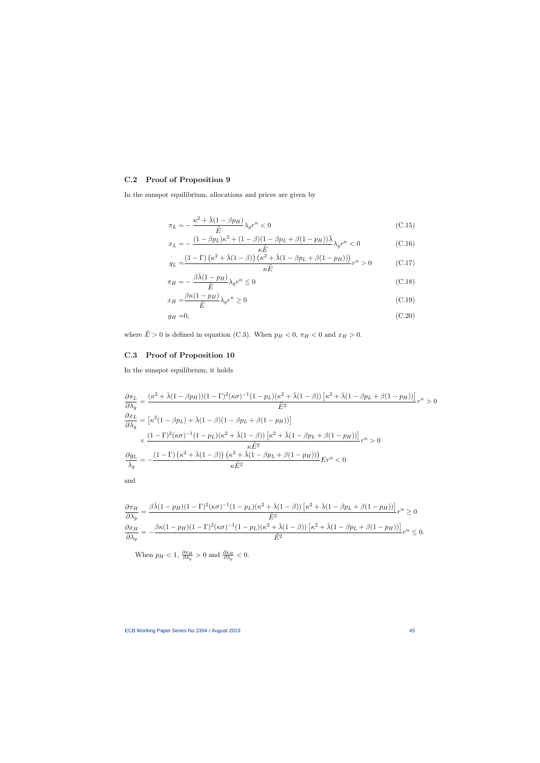# C.2 Proof of Proposition 9

In the sunspot equilibrium, allocations and prices are given by

$$
\pi_L = -\frac{\kappa^2 + \bar{\lambda}(1 - \beta p_H)}{\tilde{E}} \lambda_g r^n < 0 \tag{C.15}
$$

$$
x_L = -\frac{(1 - \beta p_L)\kappa^2 + (1 - \beta)(1 - \beta p_L + \beta(1 - p_H))\bar{\lambda}}{\kappa \tilde{E}} \lambda_g r^n < 0 \tag{C.16}
$$

$$
g_L = \frac{(1 - \Gamma)\left(\kappa^2 + \bar{\lambda}(1 - \beta)\right)\left(\kappa^2 + \bar{\lambda}(1 - \beta p_L + \beta(1 - p_H))\right)}{\kappa \tilde{E}} r^n > 0 \tag{C.17}
$$

$$
\pi_H = -\frac{\beta \bar{\lambda} (1 - p_H)}{\tilde{E}} \lambda_g r^n \le 0
$$
\n(C.18)

$$
x_H = \frac{\beta \kappa (1 - p_H)}{\tilde{E}} \lambda_g r^n \ge 0
$$
\n(C.19)

$$
g_H = 0,\tag{C.20}
$$

where  $\tilde{E} > 0$  is defined in equation (C.3). When  $p_H < 0$ ,  $\pi_H < 0$  and  $x_H > 0$ .

## C.3 Proof of Proposition 10

In the sunspot equilibrium, it holds

$$
\frac{\partial \pi_L}{\partial \lambda_g} = \frac{(\kappa^2 + \bar{\lambda}(1 - \beta p_H))(1 - \Gamma)^2(\kappa \sigma)^{-1}(1 - p_L)(\kappa^2 + \bar{\lambda}(1 - \beta))\left[\kappa^2 + \bar{\lambda}(1 - \beta p_L + \beta(1 - p_H))\right]}{\tilde{E}^2} r^n > 0
$$
  

$$
\frac{\partial x_L}{\partial \lambda_g} = \left[\kappa^2(1 - \beta p_L) + \bar{\lambda}(1 - \beta)(1 - \beta p_L + \beta(1 - p_H))\right]
$$
  

$$
\times \frac{(1 - \Gamma)^2(\kappa \sigma)^{-1}(1 - p_L)(\kappa^2 + \bar{\lambda}(1 - \beta))\left[\kappa^2 + \bar{\lambda}(1 - \beta p_L + \beta(1 - p_H))\right]}{\kappa \tilde{E}^2} r^n > 0
$$
  

$$
\frac{\partial g_L}{\lambda_g} = -\frac{(1 - \Gamma)(\kappa^2 + \bar{\lambda}(1 - \beta))(\kappa^2 + \bar{\lambda}(1 - \beta p_L + \beta(1 - p_H)))}{\kappa \tilde{E}^2} E r^n < 0
$$

and

$$
\frac{\partial \pi_H}{\partial \lambda_g} = \frac{\beta \bar{\lambda} (1 - p_H)(1 - \Gamma)^2 (\kappa \sigma)^{-1} (1 - p_L)(\kappa^2 + \bar{\lambda} (1 - \beta)) \left[ \kappa^2 + \bar{\lambda} (1 - \beta p_L + \beta (1 - p_H)) \right]}{\tilde{E}^2} r^n \ge 0
$$
  

$$
\frac{\partial x_H}{\partial \lambda_g} = -\frac{\beta \kappa (1 - p_H)(1 - \Gamma)^2 (\kappa \sigma)^{-1} (1 - p_L)(\kappa^2 + \bar{\lambda} (1 - \beta)) \left[ \kappa^2 + \bar{\lambda} (1 - \beta p_L + \beta (1 - p_H)) \right]}{\tilde{E}^2} r^n \le 0.
$$

When  $p_H < 1$ ,  $\frac{\partial \pi_H}{\partial \lambda_g} > 0$  and  $\frac{\partial x_H}{\partial \lambda_g} < 0$ .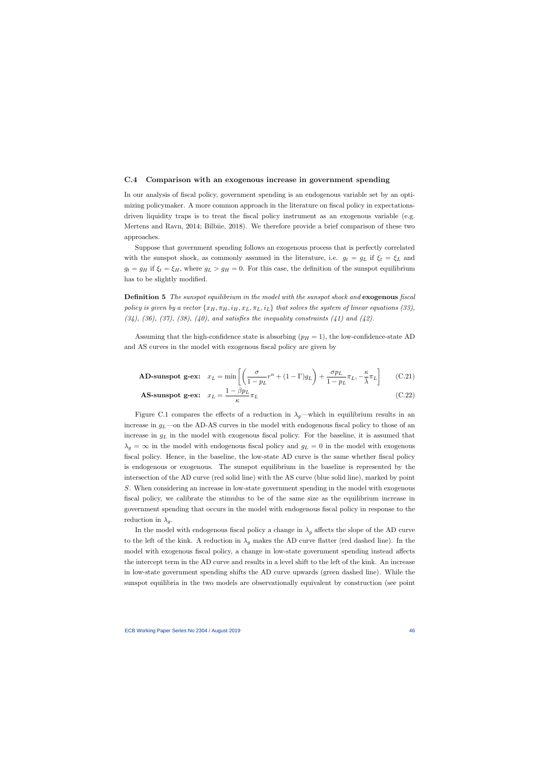#### C.4 Comparison with an exogenous increase in government spending

In our analysis of fiscal policy, government spending is an endogenous variable set by an optimizing policymaker. A more common approach in the literature on fiscal policy in expectationsdriven liquidity traps is to treat the fiscal policy instrument as an exogenous variable (e.g. Mertens and Ravn, 2014; Bilbiie, 2018). We therefore provide a brief comparison of these two approaches.

Suppose that government spending follows an exogenous process that is perfectly correlated with the sunspot shock, as commonly assumed in the literature, i.e.  $g_t = g_L$  if  $\xi_t = \xi_L$  and  $g_t = g_H$  if  $\xi_t = \xi_H$ , where  $g_L > g_H = 0$ . For this case, the definition of the sunspot equilibrium has to be slightly modified.

Definition 5 The sunspot equilibrium in the model with the sunspot shock and exogenous fiscal policy is given by a vector  $\{x_H, \pi_H, i_H, x_L, \pi_L, i_L\}$  that solves the system of linear equations (33),  $(34)$ ,  $(36)$ ,  $(37)$ ,  $(38)$ ,  $(40)$ , and satisfies the inequality constraints  $(41)$  and  $(42)$ .

Assuming that the high-confidence state is absorbing  $(p_H = 1)$ , the low-confidence-state AD and AS curves in the model with exogenous fiscal policy are given by

$$
\textbf{AD-sunspot g-ex:} \quad x_L = \min\left[ \left( \frac{\sigma}{1 - p_L} r^n + (1 - \Gamma) g_L \right) + \frac{\sigma p_L}{1 - p_L} \pi_L, -\frac{\kappa}{\overline{\lambda}} \pi_L \right] \tag{C.21}
$$

$$
\text{AS-sunspot g-ex:} \quad x_L = \frac{1 - \beta p_L}{\kappa} \pi_L \tag{C.22}
$$

Figure C.1 compares the effects of a reduction in  $\lambda_g$ —which in equilibrium results in an increase in  $g_L$ —on the AD-AS curves in the model with endogenous fiscal policy to those of an increase in  $g_L$  in the model with exogenous fiscal policy. For the baseline, it is assumed that  $\lambda_g = \infty$  in the model with endogenous fiscal policy and  $g_L = 0$  in the model with exogenous fiscal policy. Hence, in the baseline, the low-state AD curve is the same whether fiscal policy is endogenous or exogenous. The sunspot equilibrium in the baseline is represented by the intersection of the AD curve (red solid line) with the AS curve (blue solid line), marked by point S. When considering an increase in low-state government spending in the model with exogenous fiscal policy, we calibrate the stimulus to be of the same size as the equilibrium increase in government spending that occurs in the model with endogenous fiscal policy in response to the reduction in  $\lambda_q$ .

In the model with endogenous fiscal policy a change in  $\lambda_g$  affects the slope of the AD curve to the left of the kink. A reduction in  $\lambda_g$  makes the AD curve flatter (red dashed line). In the model with exogenous fiscal policy, a change in low-state government spending instead affects the intercept term in the AD curve and results in a level shift to the left of the kink. An increase in low-state government spending shifts the AD curve upwards (green dashed line). While the sunspot equilibria in the two models are observationally equivalent by construction (see point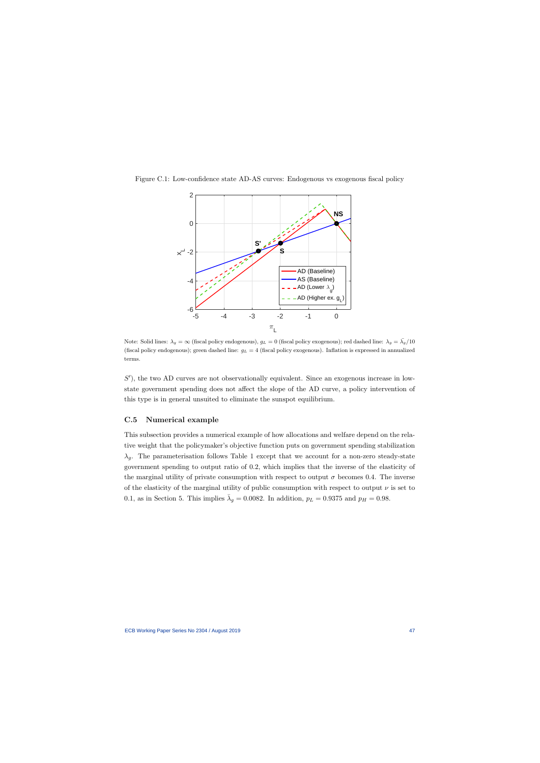



Note: Solid lines:  $\lambda_g = \infty$  (fiscal policy endogenous),  $g_L = 0$  (fiscal policy exogenous); red dashed line:  $\lambda_g = \overline{\lambda}_g/10$ (fiscal policy endogenous); green dashed line:  $g_L = 4$  (fiscal policy exogenous). Inflation is expressed in annualized terms.

S'), the two AD curves are not observationally equivalent. Since an exogenous increase in lowstate government spending does not affect the slope of the AD curve, a policy intervention of this type is in general unsuited to eliminate the sunspot equilibrium.

## C.5 Numerical example

This subsection provides a numerical example of how allocations and welfare depend on the relative weight that the policymaker's objective function puts on government spending stabilization  $\lambda_g$ . The parameterisation follows Table 1 except that we account for a non-zero steady-state government spending to output ratio of 0.2, which implies that the inverse of the elasticity of the marginal utility of private consumption with respect to output  $\sigma$  becomes 0.4. The inverse of the elasticity of the marginal utility of public consumption with respect to output  $\nu$  is set to 0.1, as in Section 5. This implies  $\bar{\lambda}_g = 0.0082$ . In addition,  $p_L = 0.9375$  and  $p_H = 0.98$ .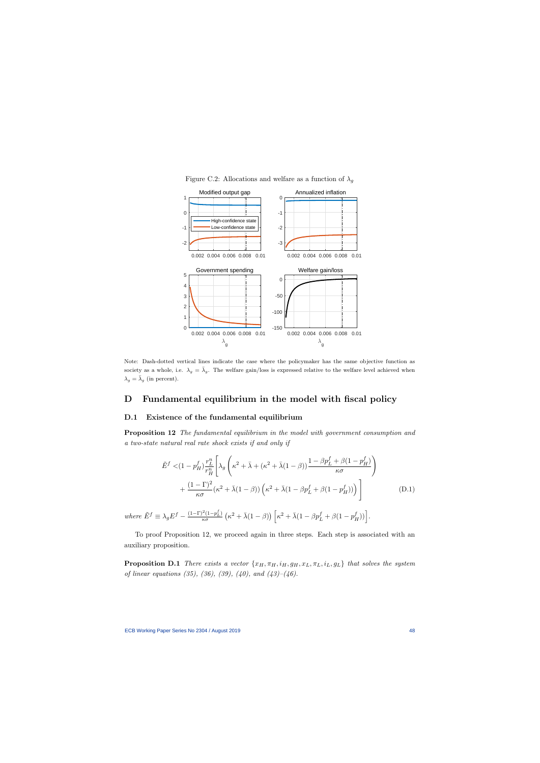

Figure C.2: Allocations and welfare as a function of  $\lambda_q$ 

Note: Dash-dotted vertical lines indicate the case where the policymaker has the same objective function as society as a whole, i.e.  $\lambda_g = \overline{\lambda}_g$ . The welfare gain/loss is expressed relative to the welfare level achieved when  $\lambda_g = \bar{\lambda}_g$  (in percent).

## D Fundamental equilibrium in the model with fiscal policy

#### D.1 Existence of the fundamental equilibrium

Proposition 12 The fundamental equilibrium in the model with government consumption and a two-state natural real rate shock exists if and only if

$$
\tilde{E}^{f} < (1 - p_H^f) \frac{r_L^n}{r_H^n} \left[ \lambda_g \left( \kappa^2 + \bar{\lambda} + (\kappa^2 + \bar{\lambda}(1 - \beta)) \frac{1 - \beta p_L^f + \beta (1 - p_H^f)}{\kappa \sigma} \right) + \frac{(1 - \Gamma)^2}{\kappa \sigma} (\kappa^2 + \bar{\lambda}(1 - \beta)) \left( \kappa^2 + \bar{\lambda}(1 - \beta p_L^f + \beta (1 - p_H^f)) \right) \right]
$$
\n(D.1)

where  $\tilde{E}^f \equiv \lambda_g E^f - \frac{(1-\Gamma)^2(1-p_L^f)}{\kappa \sigma} \left(\kappa^2 + \bar{\lambda}(1-\beta)\right) \left[\kappa^2 + \bar{\lambda}(1-\beta p_L^f + \beta(1-p_H^f))\right].$ 

To proof Proposition 12, we proceed again in three steps. Each step is associated with an auxiliary proposition.

**Proposition D.1** There exists a vector  $\{x_H, \pi_H, i_H, g_H, x_L, \pi_L, i_L, g_L\}$  that solves the system of linear equations (35), (36), (39), (40), and (43)–(46).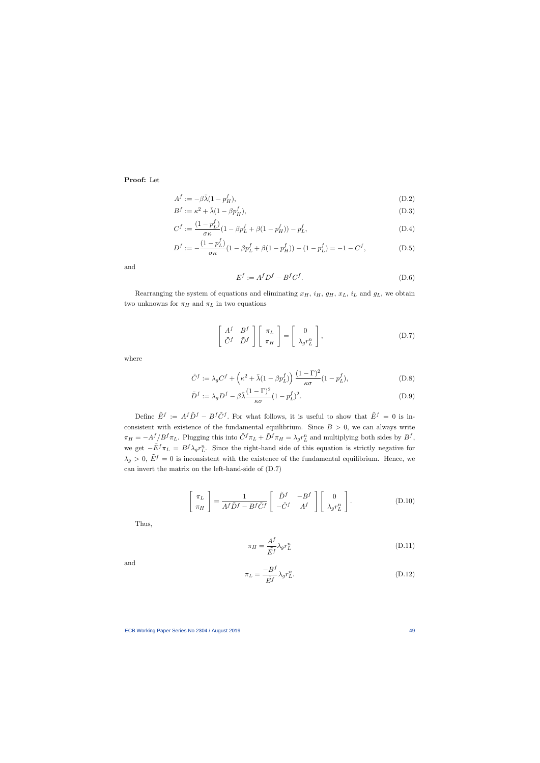Proof: Let

$$
A^f := -\beta \bar{\lambda} (1 - p_H^f), \tag{D.2}
$$

$$
B^f := \kappa^2 + \bar{\lambda}(1 - \beta p_H^f),\tag{D.3}
$$

$$
C^{f} := \frac{(1 - p_{L}^{f})}{\sigma \kappa} (1 - \beta p_{L}^{f} + \beta (1 - p_{H}^{f})) - p_{L}^{f}, \tag{D.4}
$$

$$
D^f := -\frac{(1 - p_L^f)}{\sigma \kappa} (1 - \beta p_L^f + \beta (1 - p_H^f)) - (1 - p_L^f) = -1 - C^f,
$$
 (D.5)

and

$$
E^f := A^f D^f - B^f C^f. \tag{D.6}
$$

Rearranging the system of equations and eliminating  $x_H$ ,  $i_H$ ,  $g_H$ ,  $x_L$ ,  $i_L$  and  $g_L$ , we obtain two unknowns for  $\pi_H$  and  $\pi_L$  in two equations

$$
\begin{bmatrix}\nA^f & B^f \\
\tilde{C}^f & \tilde{D}^f\n\end{bmatrix}\n\begin{bmatrix}\n\pi_L \\
\pi_H\n\end{bmatrix} =\n\begin{bmatrix}\n0 \\
\lambda_g r_L^n\n\end{bmatrix},
$$
\n(D.7)

where

$$
\tilde{C}^f := \lambda_g C^f + \left(\kappa^2 + \bar{\lambda}(1 - \beta p_L^f)\right) \frac{(1 - \Gamma)^2}{\kappa \sigma} (1 - p_L^f),\tag{D.8}
$$

$$
\tilde{D}^f := \lambda_g D^f - \beta \bar{\lambda} \frac{(1 - \Gamma)^2}{\kappa \sigma} (1 - p_L^f)^2.
$$
\n(D.9)

Define  $\tilde{E}^f := A^f \tilde{D}^f - B^f \tilde{C}^f$ . For what follows, it is useful to show that  $\tilde{E}^f = 0$  is inconsistent with existence of the fundamental equilibrium. Since  $B > 0$ , we can always write  $\pi_H = -A^f/B^f \pi_L$ . Plugging this into  $\tilde{C}^f \pi_L + \tilde{D}^f \pi_H = \lambda_g r_L^n$  and multiplying both sides by  $B^f$ , we get  $-\tilde{E}^f \pi_L = B^f \lambda_g r_L^n$ . Since the right-hand side of this equation is strictly negative for  $\lambda_g > 0$ ,  $\tilde{E}^f = 0$  is inconsistent with the existence of the fundamental equilibrium. Hence, we can invert the matrix on the left-hand-side of (D.7)

$$
\begin{bmatrix} \pi_L \\ \pi_H \end{bmatrix} = \frac{1}{A^f \tilde{D}^f - B^f \tilde{C}^f} \begin{bmatrix} \tilde{D}^f & -B^f \\ -\tilde{C}^f & A^f \end{bmatrix} \begin{bmatrix} 0 \\ \lambda_g r_L^n \end{bmatrix}.
$$
 (D.10)

Thus,

$$
\pi_H = \frac{A^f}{\tilde{E}^f} \lambda_g r_L^n \tag{D.11}
$$

and

$$
\pi_L = \frac{-B^f}{\tilde{E}^f} \lambda_g r_L^n. \tag{D.12}
$$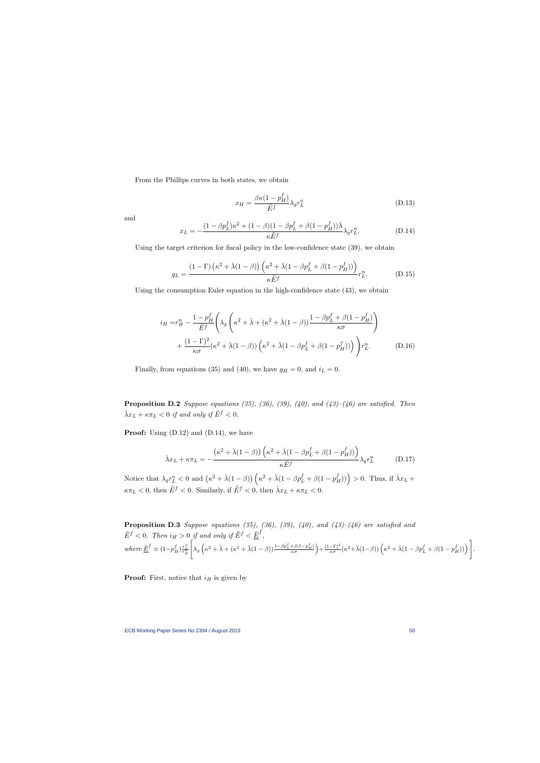From the Phillips curves in both states, we obtain

$$
x_H = \frac{\beta \kappa (1 - p_H^f)}{\tilde{E}^f} \lambda_g r_L^n \tag{D.13}
$$

and

$$
x_L = -\frac{(1 - \beta p_L^f)\kappa^2 + (1 - \beta)(1 - \beta p_L^f + \beta(1 - p_H^f))\bar{\lambda}}{\kappa \tilde{E}^f} \lambda_g r_L^n.
$$
 (D.14)

Using the target criterion for fiscal policy in the low-confidence state (39), we obtain

$$
g_L = \frac{(1 - \Gamma)\left(\kappa^2 + \bar{\lambda}(1 - \beta)\right)\left(\kappa^2 + \bar{\lambda}(1 - \beta p_L^f + \beta(1 - p_H^f))\right)}{\kappa \tilde{E}^f} r_L^n.
$$
 (D.15)

Using the consumption Euler equation in the high-confidence state (43), we obtain

$$
i_H = r_H^n - \frac{1 - p_H^f}{\tilde{E}^f} \left( \lambda_g \left( \kappa^2 + \bar{\lambda} + (\kappa^2 + \bar{\lambda}(1 - \beta)) \frac{1 - \beta p_L^f + \beta (1 - p_H^f)}{\kappa \sigma} \right) + \frac{(1 - \Gamma)^2}{\kappa \sigma} (\kappa^2 + \bar{\lambda}(1 - \beta)) \left( \kappa^2 + \bar{\lambda}(1 - \beta p_L^f + \beta (1 - p_H^f)) \right) \right) r_L^n. \tag{D.16}
$$

Finally, from equations (35) and (40), we have  $g_H = 0$ , and  $i_L = 0$ .

**Proposition D.2** Suppose equations (35), (36), (39), (40), and (43)–(46) are satisfied. Then  $\bar{\lambda}x_L + \kappa \pi_L < 0$  if and only if  $\tilde{E}^f < 0$ .

**Proof:** Using  $(D.12)$  and  $(D.14)$ , we have

$$
\bar{\lambda}x_L + \kappa \pi_L = -\frac{(\kappa^2 + \bar{\lambda}(1-\beta))(\kappa^2 + \bar{\lambda}(1-\beta p_L^f + \beta(1-p_H^f)))}{\kappa \tilde{E}^f} \lambda_g r_L^n \tag{D.17}
$$

Notice that  $\lambda_g r_L^n < 0$  and  $(\kappa^2 + \bar{\lambda}(1-\beta))(\kappa^2 + \bar{\lambda}(1-\beta p_L^f + \beta(1-p_H^f))) > 0$ . Thus, if  $\bar{\lambda}x_L$  +  $\kappa \pi_L < 0$ , then  $\tilde{E}^f < 0$ . Similarly, if  $\tilde{E}^f < 0$ , then  $\bar{\lambda} x_L + \kappa \pi_L < 0$ .

**Proposition D.3** Suppose equations (35), (36), (39), (40), and (43)–(46) are satisfied and  $\tilde{E}^{f} < 0$ . Then  $i_H > 0$  if and only if  $\tilde{E}^{f} < \underline{\tilde{E}}^{f}$ , where  $\underline{\tilde{E}}^{f} \equiv (1-p_{H}^{f})\frac{r_{L}^{n}}{r_{H}^{n}}$  $\lceil$  $\lambda_g\left(\kappa^2+\bar{\lambda}+(\kappa^2+\bar{\lambda}(1-\beta))\frac{1-\beta p_L^f+\beta(1-p_H^f)}{\kappa\sigma}\right)+\frac{(1-\Gamma)^2}{\kappa\sigma}$  $\frac{(-\Gamma)^2}{\kappa \sigma}(\kappa^2+\bar{\lambda}(1\!-\!\beta))\left(\kappa^2+\bar{\lambda}(1-\beta p_L^f +\beta(1-p_H^f$ 

**Proof:** First, notice that  $i_H$  is given by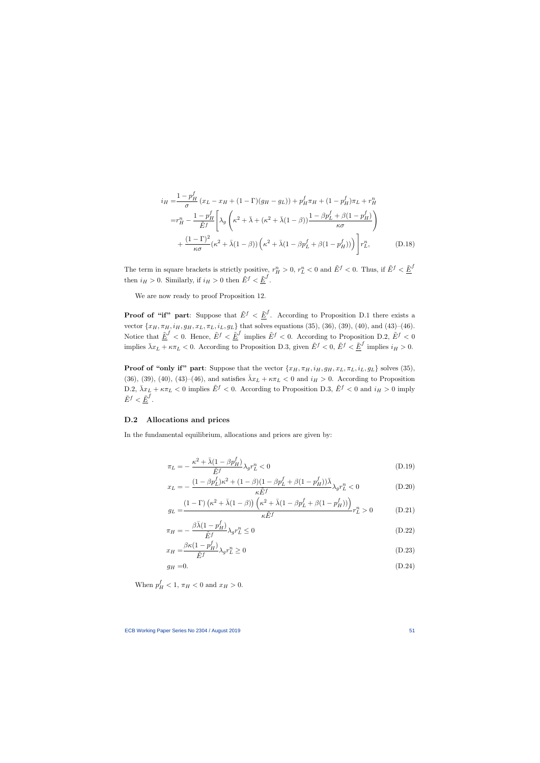$$
i_{H} = \frac{1 - p_{H}^{f}}{\sigma} (x_{L} - x_{H} + (1 - \Gamma)(g_{H} - g_{L})) + p_{H}^{f} \pi_{H} + (1 - p_{H}^{f}) \pi_{L} + r_{H}^{n}
$$
  

$$
= r_{H}^{n} - \frac{1 - p_{H}^{f}}{\tilde{E}^{f}} \left[ \lambda_{g} \left( \kappa^{2} + \bar{\lambda} + (\kappa^{2} + \bar{\lambda}(1 - \beta)) \frac{1 - \beta p_{L}^{f} + \beta(1 - p_{H}^{f})}{\kappa \sigma} \right) + \frac{(1 - \Gamma)^{2}}{\kappa \sigma} (\kappa^{2} + \bar{\lambda}(1 - \beta)) \left( \kappa^{2} + \bar{\lambda}(1 - \beta p_{L}^{f} + \beta(1 - p_{H}^{f})) \right) \right] r_{L}^{n}, \qquad (D.18)
$$

The term in square brackets is strictly positive,  $r_H^n > 0$ ,  $r_L^n < 0$  and  $\tilde{E}^f < 0$ . Thus, if  $\tilde{E}^f < \underline{\tilde{E}}^f$ then  $i_H > 0$ . Similarly, if  $i_H > 0$  then  $\tilde{E}^f < \underline{\tilde{E}}^f$ .

We are now ready to proof Proposition 12.

**Proof of "if" part**: Suppose that  $\tilde{E}^f < \underline{\tilde{E}}^f$ . According to Proposition D.1 there exists a vector  $\{x_H, \pi_H, i_H, g_H, x_L, \pi_L, i_L, g_L\}$  that solves equations (35), (36), (39), (40), and (43)–(46). Notice that  $\underline{\tilde{E}}^f < 0$ . Hence,  $\tilde{E}^f < \underline{\tilde{E}}^f$  implies  $\tilde{E}^f < 0$ . According to Proposition D.2,  $\tilde{E}^f < 0$ implies  $\bar{\lambda}x_L + \kappa \pi_L < 0$ . According to Proposition D.3, given  $\tilde{E}^f < 0$ ,  $\tilde{E}^f < \underline{\tilde{E}}^f$  implies  $i_H > 0$ .

**Proof of "only if" part:** Suppose that the vector  $\{x_H, \pi_H, i_H, g_H, x_L, \pi_L, i_L, g_L\}$  solves (35), (36), (39), (40), (43)–(46), and satisfies  $\bar{\lambda}x_L + \kappa \pi_L < 0$  and  $i_H > 0$ . According to Proposition D.2,  $\bar{\lambda}x_L + \kappa \pi_L < 0$  implies  $\tilde{E}^f < 0$ . According to Proposition D.3,  $\tilde{E}^f < 0$  and  $i_H > 0$  imply  $\tilde{E}^f < \underline{\tilde{E}}^f$  .

#### D.2 Allocations and prices

In the fundamental equilibrium, allocations and prices are given by:

$$
\pi_L = -\frac{\kappa^2 + \bar{\lambda}(1 - \beta p_H^f)}{\tilde{E}^f} \lambda_g r_L^n < 0 \tag{D.19}
$$

$$
x_L = -\frac{(1 - \beta p_L^f)\kappa^2 + (1 - \beta)(1 - \beta p_L^f + \beta(1 - p_H^f))\bar{\lambda}}{\kappa \tilde{E}^f} \lambda_g r_L^n < 0 \tag{D.20}
$$

$$
g_L = \frac{(1 - \Gamma)\left(\kappa^2 + \bar{\lambda}(1 - \beta)\right)\left(\kappa^2 + \bar{\lambda}(1 - \beta p_L^f + \beta(1 - p_H^f))\right)}{\kappa \tilde{E}^f} r_L^n > 0 \tag{D.21}
$$

$$
\pi_H = -\frac{\beta \bar{\lambda} (1 - p_H^f)}{\tilde{E}^f} \lambda_g r_L^n \le 0
$$
\n(D.22)

$$
x_H = \frac{\beta \kappa (1 - p_H^f)}{\tilde{E}^f} \lambda_g r_L^n \ge 0
$$
\n(D.23)

$$
g_H = 0.\tag{D.24}
$$

When  $p_H^f < 1$ ,  $\pi_H < 0$  and  $x_H > 0$ .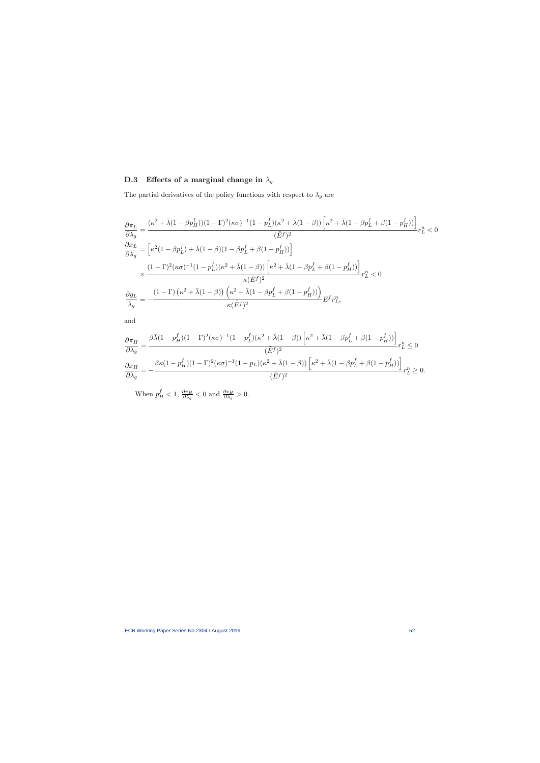# D.3 Effects of a marginal change in  $\lambda_g$

The partial derivatives of the policy functions with respect to  $\lambda_g$  are

$$
\frac{\partial \pi_L}{\partial \lambda_g} = \frac{(\kappa^2 + \bar{\lambda}(1 - \beta p_H^f))(1 - \Gamma)^2(\kappa \sigma)^{-1}(1 - p_L^f)(\kappa^2 + \bar{\lambda}(1 - \beta))\left[\kappa^2 + \bar{\lambda}(1 - \beta p_L^f + \beta(1 - p_H^f))\right]}{(\tilde{E}^f)^2} r_L^n < 0
$$
\n
$$
\frac{\partial x_L}{\partial \lambda_g} = \left[\kappa^2(1 - \beta p_L^f) + \bar{\lambda}(1 - \beta)(1 - \beta p_L^f + \beta(1 - p_H^f))\right]
$$
\n
$$
\times \frac{(1 - \Gamma)^2(\kappa \sigma)^{-1}(1 - p_L^f)(\kappa^2 + \bar{\lambda}(1 - \beta))\left[\kappa^2 + \bar{\lambda}(1 - \beta p_L^f + \beta(1 - p_H^f))\right]}{\kappa(\tilde{E}^f)^2} r_L^n < 0
$$
\n
$$
\frac{\partial g_L}{\partial \lambda_g} = -\frac{(1 - \Gamma)(\kappa^2 + \bar{\lambda}(1 - \beta))\left(\kappa^2 + \bar{\lambda}(1 - \beta p_L^f + \beta(1 - p_H^f))\right)}{\kappa(\tilde{E}^f)^2} E^f r_L^n,
$$

and

$$
\frac{\partial \pi_H}{\partial \lambda_g} = \frac{\beta \bar{\lambda} (1 - p_H^f)(1-\Gamma)^2 (\kappa \sigma)^{-1} (1-p_L^f)(\kappa^2 + \bar{\lambda} (1-\beta)) \left[ \kappa^2 + \bar{\lambda} (1-\beta p_L^f + \beta (1-p_H^f)) \right]}{(\tilde{E}^f)^2} r_L^n \leq 0
$$
  

$$
\frac{\partial x_H}{\partial \lambda_g} = -\frac{\beta \kappa (1-p_H^f)(1-\Gamma)^2 (\kappa \sigma)^{-1} (1-p_L)(\kappa^2 + \bar{\lambda} (1-\beta)) \left[ \kappa^2 + \bar{\lambda} (1-\beta p_L^f + \beta (1-p_H^f)) \right]}{(\tilde{E}^f)^2} r_L^n \geq 0.
$$

When  $p_H^f < 1$ ,  $\frac{\partial \pi_H}{\partial \lambda_g} < 0$  and  $\frac{\partial x_H}{\partial \lambda_g} > 0$ .